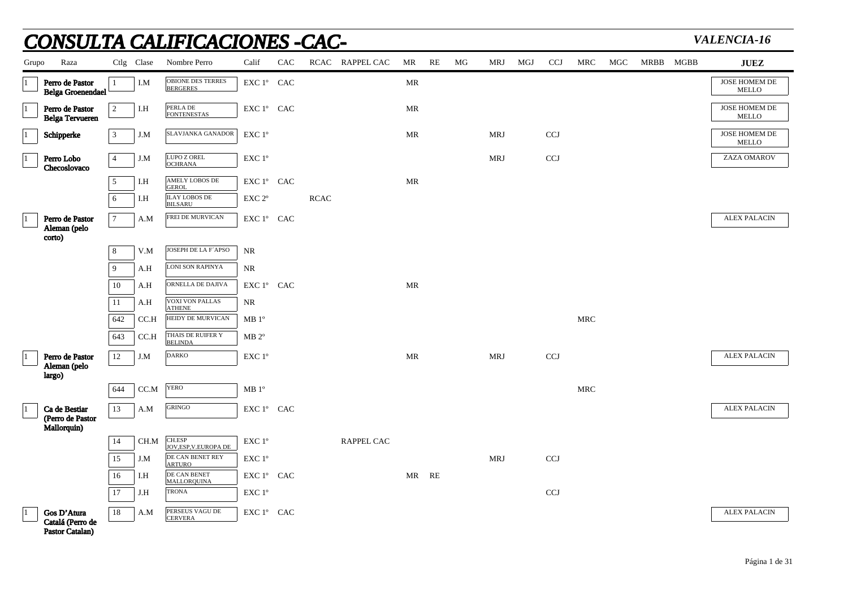|           |                                                    |                 |            | <u>CONSULTA CALIFICACIONES -CAC-</u>              |                                              |     |             |                   |                                   |    |    |            |     |            |            |     |           | VALENCIA-16                   |
|-----------|----------------------------------------------------|-----------------|------------|---------------------------------------------------|----------------------------------------------|-----|-------------|-------------------|-----------------------------------|----|----|------------|-----|------------|------------|-----|-----------|-------------------------------|
| Grupo     | Raza                                               |                 | Ctlg Clase | Nombre Perro                                      | Calif                                        | CAC |             | RCAC RAPPEL CAC   | MR                                | RE | MG | <b>MRJ</b> | MGJ | <b>CCJ</b> | MRC        | MGC | MRBB MGBB | <b>JUEZ</b>                   |
| $\vert$ 1 | Perro de Pastor<br><b>Belga Groenendael</b>        | $\mathbf{1}$    | I.M        | <b>OBIONE DES TERRES</b><br><b>BERGERES</b>       | EXC 1° CAC                                   |     |             |                   | MR                                |    |    |            |     |            |            |     |           | JOSE HOMEM DE<br><b>MELLO</b> |
| $\vert$ 1 | Perro de Pastor<br><b>Belga Tervueren</b>          | 2               | I.H        | PERLA DE<br><b>FONTENESTAS</b>                    | EXC 1° CAC                                   |     |             |                   | MR                                |    |    |            |     |            |            |     |           | JOSE HOMEM DE<br><b>MELLO</b> |
|           | Schipperke                                         | $\mathbf{3}$    | J.M        | SLAVJANKA GANADOR                                 | EXC 1°                                       |     |             |                   | MR                                |    |    | <b>MRJ</b> |     | <b>CCJ</b> |            |     |           | JOSE HOMEM DE<br>MELLO        |
|           | Perro Lobo<br>Checoslovaco                         | $\overline{4}$  | J.M        | LUPO Z OREL<br><b>OCHRANA</b>                     | $\ensuremath{\mathrm{EXC}}$ $1^{\mathrm{o}}$ |     |             |                   |                                   |    |    | <b>MRJ</b> |     | <b>CCJ</b> |            |     |           | ZAZA OMAROV                   |
|           |                                                    | 5               | I.H        | <b>AMELY LOBOS DE</b><br><b>GEROL</b>             | EXC 1° CAC                                   |     |             |                   | $\ensuremath{\mathsf{MR}}\xspace$ |    |    |            |     |            |            |     |           |                               |
|           |                                                    | 6               | I.H        | <b>ILAY LOBOS DE</b><br><b>BILSARU</b>            | EXC <sub>2°</sub>                            |     | <b>RCAC</b> |                   |                                   |    |    |            |     |            |            |     |           |                               |
|           | Perro de Pastor<br>Aleman (pelo                    | $7\overline{ }$ | A.M        | FREI DE MURVICAN                                  | EXC 1° CAC                                   |     |             |                   |                                   |    |    |            |     |            |            |     |           | <b>ALEX PALACIN</b>           |
|           | corto)                                             | 8               | V.M        | JOSEPH DE LA F'APSO                               | NR                                           |     |             |                   |                                   |    |    |            |     |            |            |     |           |                               |
|           |                                                    | $\mathbf{Q}$    | A.H        | LONI SON RAPINYA                                  | <b>NR</b>                                    |     |             |                   |                                   |    |    |            |     |            |            |     |           |                               |
|           |                                                    | 10              | A.H        | ORNELLA DE DAJIVA                                 | EXC 1º CAC                                   |     |             |                   | <b>MR</b>                         |    |    |            |     |            |            |     |           |                               |
|           |                                                    | 11              | A.H        | <b>VOXI VON PALLAS</b>                            | <b>NR</b>                                    |     |             |                   |                                   |    |    |            |     |            |            |     |           |                               |
|           |                                                    | 642             | CC.H       | ATHENE<br>HEIDY DE MURVICAN                       | MB1°                                         |     |             |                   |                                   |    |    |            |     |            | <b>MRC</b> |     |           |                               |
|           |                                                    | 643             | CC.H       | THAIS DE RUIFER Y<br><b>BELINDA</b>               | $MB 2^{\circ}$                               |     |             |                   |                                   |    |    |            |     |            |            |     |           |                               |
|           | Perro de Pastor<br>Aleman (pelo                    | $12\,$          | J.M        | <b>DARKO</b>                                      | EXC 1°                                       |     |             |                   | $\ensuremath{\mathsf{MR}}\xspace$ |    |    | <b>MRJ</b> |     | <b>CCJ</b> |            |     |           | <b>ALEX PALACIN</b>           |
|           | largo)                                             |                 |            |                                                   |                                              |     |             |                   |                                   |    |    |            |     |            |            |     |           |                               |
|           |                                                    | 644             | CC.M       | <b>YERO</b>                                       | $\rm MB$ $1^{\rm o}$                         |     |             |                   |                                   |    |    |            |     |            | <b>MRC</b> |     |           |                               |
|           | Ca de Bestiar<br>(Perro de Pastor                  | 13              | A.M        | <b>GRINGO</b>                                     | EXC 1° CAC                                   |     |             |                   |                                   |    |    |            |     |            |            |     |           | <b>ALEX PALACIN</b>           |
|           | Mallorquin)                                        |                 |            |                                                   |                                              |     |             |                   |                                   |    |    |            |     |            |            |     |           |                               |
|           |                                                    | 14              | CH.M       | CH.ESP<br>JOV, ESP, V. EUROPA DE                  | EXC 1°                                       |     |             | <b>RAPPEL CAC</b> |                                   |    |    |            |     |            |            |     |           |                               |
|           |                                                    | 15<br>16        | J.M<br>I.H | DE CAN BENET REY<br><b>ARTURO</b><br>DE CAN BENET | EXC 1°<br>EXC 1° CAC                         |     |             |                   | MR                                | RE |    | <b>MRJ</b> |     | <b>CCJ</b> |            |     |           |                               |
|           |                                                    | 17              | J.H        | MALLORQUINA<br><b>TRONA</b>                       | EXC 1°                                       |     |             |                   |                                   |    |    |            |     | <b>CCJ</b> |            |     |           |                               |
|           |                                                    |                 |            |                                                   |                                              |     |             |                   |                                   |    |    |            |     |            |            |     |           |                               |
|           | Gos D'Atura<br>Catalá (Perro de<br>Pastor Catalan) | 18              | A.M        | PERSEUS VAGU DE<br><b>CERVERA</b>                 | EXC 1° CAC                                   |     |             |                   |                                   |    |    |            |     |            |            |     |           | <b>ALEX PALACIN</b>           |

## Página 1 de 31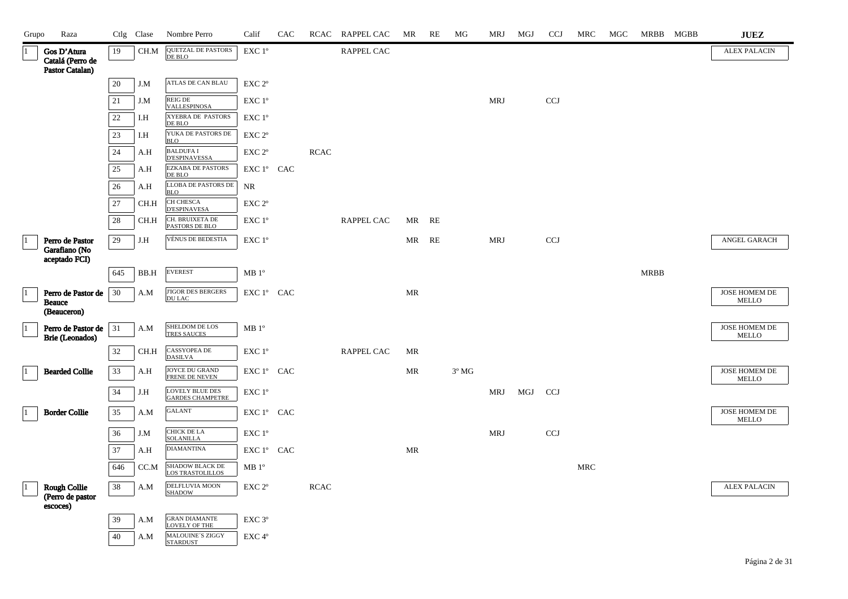| Grupo        | Raza                                                |        | Ctlg Clase    | Nombre Perro                                                | Calif                                        | CAC |             | RCAC RAPPEL CAC   | MR                                | RE | MG             | MRJ        | MGJ | <b>CCJ</b> | MRC        | MGC | MRBB MGBB   | $\mathbf{J}\mathbf{U}\mathbf{E}\mathbf{Z}$ |
|--------------|-----------------------------------------------------|--------|---------------|-------------------------------------------------------------|----------------------------------------------|-----|-------------|-------------------|-----------------------------------|----|----------------|------------|-----|------------|------------|-----|-------------|--------------------------------------------|
| 11           | Gos D'Atura<br>Catalá (Perro de<br>Pastor Catalan)  | 19     | CH.M          | <b>QUETZAL DE PASTORS</b><br>DE BLO                         | EXC 1°                                       |     |             | RAPPEL CAC        |                                   |    |                |            |     |            |            |     |             | <b>ALEX PALACIN</b>                        |
|              |                                                     | 20     | J.M           | <b>ATLAS DE CAN BLAU</b>                                    | $\ensuremath{\mathrm{EXC}}$ $2^\mathrm{o}$   |     |             |                   |                                   |    |                |            |     |            |            |     |             |                                            |
|              |                                                     | $21\,$ | J.M           | REIG DE<br><b>VALLESPINOSA</b>                              | EXC 1°                                       |     |             |                   |                                   |    |                | <b>MRJ</b> |     | <b>CCJ</b> |            |     |             |                                            |
|              |                                                     | $22\,$ | I.H           | XYEBRA DE PASTORS<br>DE BLO                                 | EXC 1°                                       |     |             |                   |                                   |    |                |            |     |            |            |     |             |                                            |
|              |                                                     | $23\,$ | I.H           | YUKA DE PASTORS DE<br><b>BLO</b>                            | $\ensuremath{\mathrm{EXC}}$ $2^\mathrm{o}$   |     |             |                   |                                   |    |                |            |     |            |            |     |             |                                            |
|              |                                                     | 24     | A.H           | <b>BALDUFA I</b><br><b>D'ESPINAVESSA</b>                    | $\ensuremath{\mathrm{EXC}}$ $2^{\mathrm{o}}$ |     | <b>RCAC</b> |                   |                                   |    |                |            |     |            |            |     |             |                                            |
|              |                                                     | $25\,$ | A.H           | <b>EZKABA DE PASTORS</b><br>DE BLO                          | EXC 1° CAC                                   |     |             |                   |                                   |    |                |            |     |            |            |     |             |                                            |
|              |                                                     | 26     | A.H           | LLOBA DE PASTORS DE<br><b>BLO</b>                           | NR                                           |     |             |                   |                                   |    |                |            |     |            |            |     |             |                                            |
|              |                                                     | 27     | CH.H          | CH CHESCA<br>D'ESPINAVESA                                   | EXC <sub>2°</sub>                            |     |             |                   |                                   |    |                |            |     |            |            |     |             |                                            |
|              |                                                     | 28     | CH.H          | CH. BRUIXETA DE<br>PASTORS DE BLO                           | EXC 1°                                       |     |             | <b>RAPPEL CAC</b> | MR                                | RE |                |            |     |            |            |     |             |                                            |
| $\vert$ 1    | Perro de Pastor<br>Garafiano (No                    | 29     | J.H           | VÉNUS DE BEDESTIA                                           | EXC 1°                                       |     |             |                   | MR                                | RE |                | <b>MRJ</b> |     | <b>CCJ</b> |            |     |             | ANGEL GARACH                               |
|              | aceptado FCI)                                       |        |               | <b>EVEREST</b>                                              |                                              |     |             |                   |                                   |    |                |            |     |            |            |     |             |                                            |
|              |                                                     | 645    | $_{\rm BB.H}$ |                                                             | $\rm MB$ $1^{\rm o}$                         |     |             |                   |                                   |    |                |            |     |            |            |     | <b>MRBB</b> |                                            |
| $\vert$ 1    | Perro de Pastor de<br><b>Beauce</b><br>(Beauceron)  | 30     | A.M           | <b>J'IGOR DES BERGERS</b><br><b>DU LAC</b>                  | EXC 1° CAC                                   |     |             |                   | <b>MR</b>                         |    |                |            |     |            |            |     |             | JOSE HOMEM DE<br><b>MELLO</b>              |
| $\vert$ 1    | Perro de Pastor de                                  | $31\,$ | A.M           | SHELDOM DE LOS<br><b>TRES SAUCES</b>                        | $\rm MB$ $1^{\rm o}$                         |     |             |                   |                                   |    |                |            |     |            |            |     |             | JOSE HOMEM DE<br><b>MELLO</b>              |
|              | Brie (Leonados)                                     | 32     | CH.H          | <b>CASSYOPEA DE</b>                                         | EXC 1°                                       |     |             | <b>RAPPEL CAC</b> | MR                                |    |                |            |     |            |            |     |             |                                            |
| $\mathbf{1}$ | <b>Bearded Collie</b>                               | 33     | A.H           | <b>DASILVA</b><br>JOYCE DU GRAND                            | EXC 1° CAC                                   |     |             |                   | MR                                |    | $3^{\circ}$ MG |            |     |            |            |     |             | JOSE HOMEM DE                              |
|              |                                                     |        |               | FRENE DE NEVEN<br><b>LOVELY BLUE DES</b>                    |                                              |     |             |                   |                                   |    |                |            |     |            |            |     |             | MELLO                                      |
|              |                                                     | 34     | J.H           | <b>GARDES CHAMPETRE</b>                                     | $\ensuremath{\mathrm{EXC}}$ $1^\mathrm{o}$   |     |             |                   |                                   |    |                | MRJ        | MGJ | <b>CCJ</b> |            |     |             |                                            |
| $\vert$ 1    | <b>Border Collie</b>                                | 35     | A.M           | <b>GALANT</b>                                               | EXC 1º CAC                                   |     |             |                   |                                   |    |                |            |     |            |            |     |             | JOSE HOMEM DE<br>MELLO                     |
|              |                                                     | 36     | J.M           | CHICK DE LA<br><b>SOLANILLA</b>                             | EXC 1°                                       |     |             |                   |                                   |    |                | <b>MRJ</b> |     | <b>CCJ</b> |            |     |             |                                            |
|              |                                                     | 37     | A.H           | <b>DIAMANTINA</b>                                           | ${\rm EXC}$ $1^{\circ}$ $\;$ CAC             |     |             |                   | $\ensuremath{\mathsf{MR}}\xspace$ |    |                |            |     |            |            |     |             |                                            |
|              |                                                     | 646    | CC.M          | SHADOW BLACK DE<br><b>LOS TRASTOLILLOS</b>                  | MB1°                                         |     |             |                   |                                   |    |                |            |     |            | <b>MRC</b> |     |             |                                            |
| $\vert$ 1    | <b>Rough Collie</b><br>(Perro de pastor<br>escoces) | 38     | A.M           | DELFLUVIA MOON<br>SHADOW                                    | EXC 2 <sup>o</sup>                           |     | <b>RCAC</b> |                   |                                   |    |                |            |     |            |            |     |             | <b>ALEX PALACIN</b>                        |
|              |                                                     | 39     | A.M           | <b>GRAN DIAMANTE</b>                                        | EXC <sub>3°</sub>                            |     |             |                   |                                   |    |                |            |     |            |            |     |             |                                            |
|              |                                                     | 40     | A.M           | <b>LOVELY OF THE</b><br>MALOUINE'S ZIGGY<br><b>STARDUST</b> | EXC 4°                                       |     |             |                   |                                   |    |                |            |     |            |            |     |             |                                            |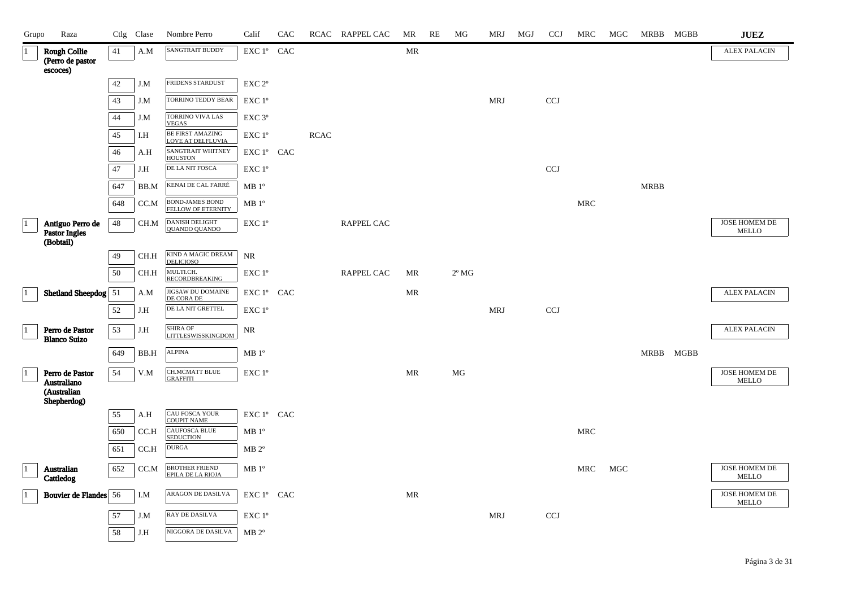| Grupo     | Raza                                                |        | Ctlg Clase | Nombre Perro                                         | Calif                                      | CAC |             | RCAC RAPPEL CAC   | MR                                | RE | MG             | MRJ        | MGJ | <b>CCJ</b> | MRC                  | MGC | MRBB MGBB   | $\mathbf{J}\mathbf{U}\mathbf{E}\mathbf{Z}$ |
|-----------|-----------------------------------------------------|--------|------------|------------------------------------------------------|--------------------------------------------|-----|-------------|-------------------|-----------------------------------|----|----------------|------------|-----|------------|----------------------|-----|-------------|--------------------------------------------|
|           | <b>Rough Collie</b><br>(Perro de pastor<br>escoces) | 41     | A.M        | <b>SANGTRAIT BUDDY</b>                               | EXC 1° CAC                                 |     |             |                   | $\ensuremath{\mathsf{MR}}\xspace$ |    |                |            |     |            |                      |     |             | <b>ALEX PALACIN</b>                        |
|           |                                                     | 42     | J.M        | <b>FRIDENS STARDUST</b>                              | EXC <sub>2°</sub>                          |     |             |                   |                                   |    |                |            |     |            |                      |     |             |                                            |
|           |                                                     | 43     | J.M        | TORRINO TEDDY BEAR                                   | EXC 1°                                     |     |             |                   |                                   |    |                | <b>MRJ</b> |     | <b>CCJ</b> |                      |     |             |                                            |
|           |                                                     | 44     | J.M        | TORRINO VIVA LAS<br><b>VEGAS</b>                     | EXC 3°                                     |     |             |                   |                                   |    |                |            |     |            |                      |     |             |                                            |
|           |                                                     | 45     | I.H        | BE FIRST AMAZING<br>LOVE AT DELFLUVIA                | EXC 1°                                     |     | <b>RCAC</b> |                   |                                   |    |                |            |     |            |                      |     |             |                                            |
|           |                                                     | 46     | A.H        | <b>SANGTRAIT WHITNEY</b><br><b>HOUSTON</b>           | EXC 1° CAC                                 |     |             |                   |                                   |    |                |            |     |            |                      |     |             |                                            |
|           |                                                     | 47     | J.H        | DE LA NIT FOSCA                                      | EXC 1°                                     |     |             |                   |                                   |    |                |            |     | <b>CCJ</b> |                      |     |             |                                            |
|           |                                                     | 647    | BB.M       | KENAI DE CAL FARRÉ                                   | $MB1^{\circ}$                              |     |             |                   |                                   |    |                |            |     |            |                      |     | <b>MRBB</b> |                                            |
|           |                                                     | 648    | CC.M       | <b>BOND-JAMES BOND<br/>FELLOW OF ETERNITY</b>        | $MB1^{\circ}$                              |     |             |                   |                                   |    |                |            |     |            | $\operatorname{MRC}$ |     |             |                                            |
|           | Antiguo Perro de<br>Pastor Ingles                   | $48\,$ | CH.M       | DANISH DELIGHT<br><b>QUANDO QUANDO</b>               | $\ensuremath{\text{EXC}}$ $1^{\mathrm{o}}$ |     |             | RAPPEL CAC        |                                   |    |                |            |     |            |                      |     |             | JOSE HOMEM DE<br><b>MELLO</b>              |
|           | (Bobtail)                                           | 49     | $\rm CH.H$ | KIND A MAGIC DREAM                                   | $\rm NR$                                   |     |             |                   |                                   |    |                |            |     |            |                      |     |             |                                            |
|           |                                                     | 50     | CH.H       | <b>DELICIOSO</b><br>MULTI.CH.                        | EXC 1°                                     |     |             | <b>RAPPEL CAC</b> | MR                                |    | $2^{\circ}$ MG |            |     |            |                      |     |             |                                            |
|           | Shetland Sheepdog 51                                |        | A.M        | <b>RECORDBREAKING</b>                                | EXC 1º CAC                                 |     |             |                   | MR                                |    |                |            |     |            |                      |     |             | <b>ALEX PALACIN</b>                        |
|           |                                                     | 52     | J.H        | JIGSAW DU DOMAINE<br>DE CORA DE<br>DE LA NIT GRETTEL | EXC 1°                                     |     |             |                   |                                   |    |                | <b>MRJ</b> |     | CCJ        |                      |     |             |                                            |
|           |                                                     |        |            | <b>SHIRA OF</b>                                      |                                            |     |             |                   |                                   |    |                |            |     |            |                      |     |             | <b>ALEX PALACIN</b>                        |
|           | Perro de Pastor<br><b>Blanco Suizo</b>              | 53     | J.H        | <b>LITTLESWISSKINGDOM</b>                            | $\rm NR$                                   |     |             |                   |                                   |    |                |            |     |            |                      |     |             |                                            |
|           |                                                     | 649    | BB.H       | <b>ALPINA</b>                                        | MB1°                                       |     |             |                   |                                   |    |                |            |     |            |                      |     | MRBB MGBB   |                                            |
| $\vert$ 1 | Perro de Pastor<br>Australiano                      | 54     | V.M        | <b>CH.MCMATT BLUE</b><br><b>GRAFFITI</b>             | EXC 1°                                     |     |             |                   | <b>MR</b>                         |    | MG             |            |     |            |                      |     |             | JOSE HOMEM DE<br><b>MELLO</b>              |
|           | (Australian<br>Shepherdog)                          |        |            |                                                      |                                            |     |             |                   |                                   |    |                |            |     |            |                      |     |             |                                            |
|           |                                                     | 55     | A.H        | CAU FOSCA YOUR<br><b>COUPIT NAME</b>                 | EXC 1º CAC                                 |     |             |                   |                                   |    |                |            |     |            |                      |     |             |                                            |
|           |                                                     | 650    | CC.H       | CAUFOSCA BLUE<br><b>SEDUCTION</b>                    | MB 1 <sup>o</sup>                          |     |             |                   |                                   |    |                |            |     |            | <b>MRC</b>           |     |             |                                            |
|           |                                                     | 651    | CC.H       | <b>DURGA</b>                                         | $MB 2^{\circ}$                             |     |             |                   |                                   |    |                |            |     |            |                      |     |             |                                            |
|           | Australian<br>Cattledog                             | 652    | CC.M       | BROTHER FRIEND<br>EPILA DE LA RIOJA                  | $MB1^{\circ}$                              |     |             |                   |                                   |    |                |            |     |            | <b>MRC</b>           | MGC |             | JOSE HOMEM DE<br><b>MELLO</b>              |
|           | <b>Bouvier de Flandes</b> 56                        |        | I.M        | ARAGON DE DASILVA                                    | EXC 1º CAC                                 |     |             |                   | MR                                |    |                |            |     |            |                      |     |             | JOSE HOMEM DE<br><b>MELLO</b>              |
|           |                                                     | 57     | J.M        | RAY DE DASILVA                                       | EXC 1°                                     |     |             |                   |                                   |    |                | <b>MRJ</b> |     | <b>CCJ</b> |                      |     |             |                                            |
|           |                                                     | 58     | J.H        | NIGGORA DE DASILVA                                   | $MB 2^{\circ}$                             |     |             |                   |                                   |    |                |            |     |            |                      |     |             |                                            |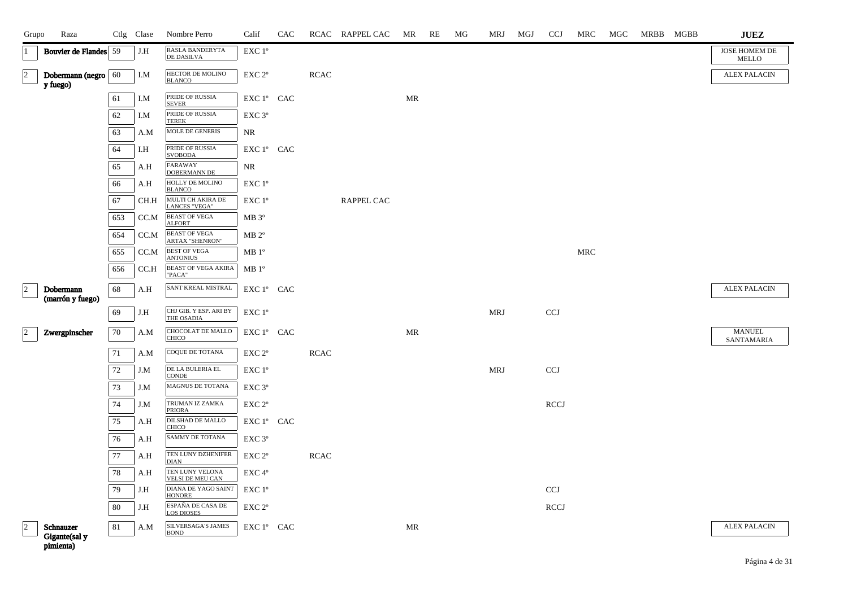| Grupo                | Raza                                    |     | Ctlg Clase | Nombre Perro                                   | Calif                | CAC |             | RCAC RAPPEL CAC | MR | RE | MG | MRJ        | MGJ | <b>CCJ</b>  | MRC        | MGC | MRBB MGBB | <b>JUEZ</b>                   |
|----------------------|-----------------------------------------|-----|------------|------------------------------------------------|----------------------|-----|-------------|-----------------|----|----|----|------------|-----|-------------|------------|-----|-----------|-------------------------------|
| $\vert$ 1            | <b>Bouvier de Flandes</b> 59            |     | J.H        | RASLA BANDERYTA<br><b>DE DASILVA</b>           | EXC 1°               |     |             |                 |    |    |    |            |     |             |            |     |           | JOSE HOMEM DE<br><b>MELLO</b> |
| $\vert$ <sub>2</sub> | Dobermann (negro $60$<br>y fuego)       |     | I.M        | HECTOR DE MOLINO<br><b>BLANCO</b>              | EXC <sub>2°</sub>    |     | <b>RCAC</b> |                 |    |    |    |            |     |             |            |     |           | <b>ALEX PALACIN</b>           |
|                      |                                         | 61  | I.M        | PRIDE OF RUSSIA<br><b>SEVER</b>                | EXC 1º CAC           |     |             |                 | MR |    |    |            |     |             |            |     |           |                               |
|                      |                                         | 62  | I.M        | PRIDE OF RUSSIA<br><b>TEREK</b>                | EXC 3°               |     |             |                 |    |    |    |            |     |             |            |     |           |                               |
|                      |                                         | 63  | A.M        | MOLE DE GENERIS                                | NR                   |     |             |                 |    |    |    |            |     |             |            |     |           |                               |
|                      |                                         | 64  | I.H        | PRIDE OF RUSSIA<br><b>SVOBODA</b>              | EXC 1º CAC           |     |             |                 |    |    |    |            |     |             |            |     |           |                               |
|                      |                                         | 65  | A.H        | <b>FARAWAY</b><br>DOBERMANN DE                 | NR                   |     |             |                 |    |    |    |            |     |             |            |     |           |                               |
|                      |                                         | 66  | A.H        | HOLLY DE MOLINO<br><b>BLANCO</b>               | EXC 1 <sup>o</sup>   |     |             |                 |    |    |    |            |     |             |            |     |           |                               |
|                      |                                         | 67  | CH.H       | MULTI CH AKIRA DE<br><b>LANCES "VEGA"</b>      | EXC 1°               |     |             | RAPPEL CAC      |    |    |    |            |     |             |            |     |           |                               |
|                      |                                         | 653 | CC.M       | <b>BEAST OF VEGA</b><br><b>ALFORT</b>          | $MB 3^{\circ}$       |     |             |                 |    |    |    |            |     |             |            |     |           |                               |
|                      |                                         | 654 | CC.M       | <b>BEAST OF VEGA</b><br><b>ARTAX "SHENRON"</b> | $\rm MB$ $2^{\rm o}$ |     |             |                 |    |    |    |            |     |             |            |     |           |                               |
|                      |                                         | 655 | CC.M       | <b>BEST OF VEGA</b><br><b>ANTONIUS</b>         | $MB1^{\circ}$        |     |             |                 |    |    |    |            |     |             | <b>MRC</b> |     |           |                               |
|                      |                                         | 656 | CC.H       | <b>BEAST OF VEGA AKIRA</b><br>"PACA"           | MB1°                 |     |             |                 |    |    |    |            |     |             |            |     |           |                               |
| $\vert$ 2            | Dobermann                               | 68  | A.H        | SANT KREAL MISTRAL                             | EXC 1º CAC           |     |             |                 |    |    |    |            |     |             |            |     |           | <b>ALEX PALACIN</b>           |
|                      | (marrón y fuego)                        | 69  | J.H        | CHJ GIB. Y ESP. ARI BY                         | EXC 1°               |     |             |                 |    |    |    | <b>MRJ</b> |     | <b>CCJ</b>  |            |     |           |                               |
|                      |                                         |     |            | THE OSADIA<br>CHOCOLAT DE MALLO                |                      |     |             |                 |    |    |    |            |     |             |            |     |           | <b>MANUEL</b>                 |
| $\vert$ <sub>2</sub> | Zwergpinscher                           | 70  | A.M        | CHICO                                          | EXC 1º CAC           |     |             |                 | MR |    |    |            |     |             |            |     |           | SANTAMARIA                    |
|                      |                                         | 71  | A.M        | COQUE DE TOTANA                                | EXC 2°               |     | <b>RCAC</b> |                 |    |    |    |            |     |             |            |     |           |                               |
|                      |                                         | 72  | J.M        | $\operatorname{DELA}$ BULERIA EL<br>CONDE      | EXC 1°               |     |             |                 |    |    |    | MRJ        |     | <b>CCJ</b>  |            |     |           |                               |
|                      |                                         | 73  | J.M        | MAGNUS DE TOTANA                               | EXC 3°               |     |             |                 |    |    |    |            |     |             |            |     |           |                               |
|                      |                                         | 74  | J.M        | TRUMAN IZ ZAMKA<br><b>PRIORA</b>               | EXC 2°               |     |             |                 |    |    |    |            |     | <b>RCCJ</b> |            |     |           |                               |
|                      |                                         | 75  | A.H        | <b>DILSHAD DE MALLO</b><br><b>CHICO</b>        | EXC 1º CAC           |     |             |                 |    |    |    |            |     |             |            |     |           |                               |
|                      |                                         | 76  | A.H        | SAMMY DE TOTANA                                | EXC 3°               |     |             |                 |    |    |    |            |     |             |            |     |           |                               |
|                      |                                         | 77  | A.H        | TEN LUNY DZHENIFER<br><b>DIAN</b>              | EXC 2°               |     | <b>RCAC</b> |                 |    |    |    |            |     |             |            |     |           |                               |
|                      |                                         | 78  | A.H        | TEN LUNY VELONA<br>VELSI DE MEU CAN            | EXC 4°               |     |             |                 |    |    |    |            |     |             |            |     |           |                               |
|                      |                                         | 79  | J.H        | DIANA DE YAGO SAINT<br><b>HONORE</b>           | EXC 1°               |     |             |                 |    |    |    |            |     | CCJ         |            |     |           |                               |
|                      |                                         | 80  | J.H        | ESPAÑA DE CASA DE<br><b>LOS DIOSES</b>         | EXC 2°               |     |             |                 |    |    |    |            |     | <b>RCCJ</b> |            |     |           |                               |
| $\overline{2}$       | Schnauzer<br>Gigante(sal y<br>pimienta) | 81  | A.M        | <b>SILVERSAGA'S JAMES</b><br><b>BOND</b>       | EXC 1º CAC           |     |             |                 | MR |    |    |            |     |             |            |     |           | <b>ALEX PALACIN</b>           |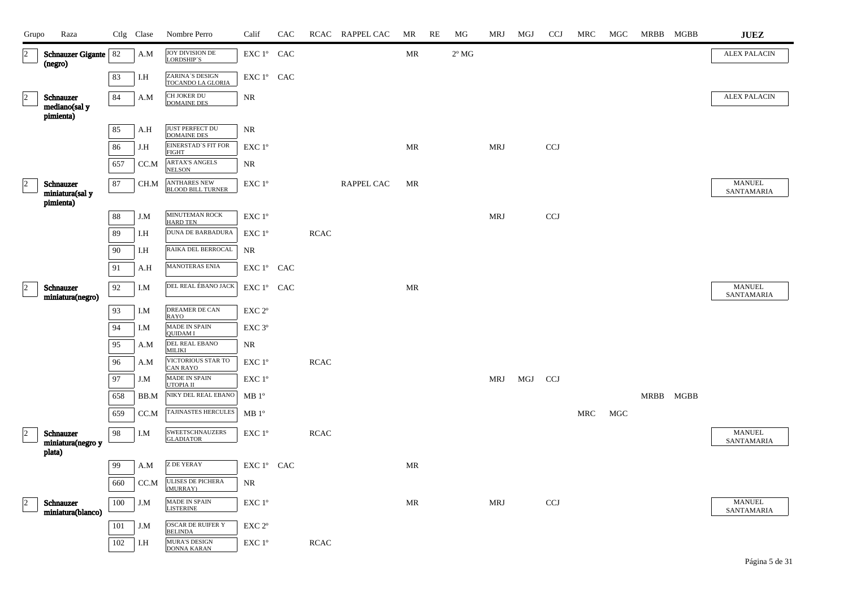| Grupo          | Raza                                      |     | Ctlg Clase | Nombre Perro                                    | Calif              | CAC |             | RCAC RAPPEL CAC | MR        | RE | MG             | MRJ        | MGJ | <b>CCJ</b> | MRC | MGC | MRBB MGBB | <b>JUEZ</b>                 |
|----------------|-------------------------------------------|-----|------------|-------------------------------------------------|--------------------|-----|-------------|-----------------|-----------|----|----------------|------------|-----|------------|-----|-----|-----------|-----------------------------|
| $\overline{2}$ | Schnauzer Gigante   82<br>(negro)         |     | A.M        | JOY DIVISION DE<br>LORDSHIP'S                   | EXC 1º CAC         |     |             |                 | MR        |    | $2^{\circ}$ MG |            |     |            |     |     |           | <b>ALEX PALACIN</b>         |
|                |                                           | 83  | I.H        | ZARINA'S DESIGN<br>TOCANDO LA GLORIA            | EXC 1º CAC         |     |             |                 |           |    |                |            |     |            |     |     |           |                             |
| $\overline{2}$ | Schnauzer<br>mediano(sal y<br>pimienta)   | 84  | A.M        | CH JOKER DU<br><b>DOMAINE DES</b>               | <b>NR</b>          |     |             |                 |           |    |                |            |     |            |     |     |           | <b>ALEX PALACIN</b>         |
|                |                                           | 85  | A.H        | JUST PERFECT DU<br><b>DOMAINE DES</b>           | NR                 |     |             |                 |           |    |                |            |     |            |     |     |           |                             |
|                |                                           | 86  | J.H        | <b>EINERSTAD'S FIT FOR</b><br><b>FIGHT</b>      | EXC 1°             |     |             |                 | <b>MR</b> |    |                | <b>MRJ</b> |     | <b>CCJ</b> |     |     |           |                             |
|                |                                           | 657 | CC.M       | <b>ARTAX'S ANGELS</b><br><b>NELSON</b>          | <b>NR</b>          |     |             |                 |           |    |                |            |     |            |     |     |           |                             |
| $\overline{2}$ | Schnauzer<br>miniatura(sal y<br>pimienta) | 87  | CH.M       | <b>ANTHARES NEW</b><br><b>BLOOD BILL TURNER</b> | EXC 1°             |     |             | RAPPEL CAC      | MR        |    |                |            |     |            |     |     |           | <b>MANUEL</b><br>SANTAMARIA |
|                |                                           | 88  | J.M        | MINUTEMAN ROCK<br><b>HARD TEN</b>               | EXC 1°             |     |             |                 |           |    |                | <b>MRJ</b> |     | <b>CCJ</b> |     |     |           |                             |
|                |                                           | 89  | I.H        | DUNA DE BARBADURA                               | EXC 1°             |     | <b>RCAC</b> |                 |           |    |                |            |     |            |     |     |           |                             |
|                |                                           | 90  | I.H        | RAIKA DEL BERROCAL                              | NR                 |     |             |                 |           |    |                |            |     |            |     |     |           |                             |
|                |                                           | 91  | A.H        | MANOTERAS ENIA                                  | EXC 1° CAC         |     |             |                 |           |    |                |            |     |            |     |     |           |                             |
| $\overline{2}$ | Schnauzer<br>miniatura(negro)             | 92  | I.M        | DEL REAL ÉBANO JACK                             | EXC 1° CAC         |     |             |                 | MR        |    |                |            |     |            |     |     |           | <b>MANUEL</b><br>SANTAMARIA |
|                |                                           | 93  | I.M        | DREAMER DE CAN<br>RAYO                          | EXC <sub>2°</sub>  |     |             |                 |           |    |                |            |     |            |     |     |           |                             |
|                |                                           | 94  | I.M        | <b>MADE IN SPAIN</b><br><b>OUIDAM I</b>         | EXC 3°             |     |             |                 |           |    |                |            |     |            |     |     |           |                             |
|                |                                           | 95  | A.M        | DEL REAL EBANO<br><b>MILIKI</b>                 | <b>NR</b>          |     |             |                 |           |    |                |            |     |            |     |     |           |                             |
|                |                                           | 96  | A.M        | VICTORIOUS STAR TO<br><b>CAN RAYO</b>           | EXC 1 <sup>o</sup> |     | <b>RCAC</b> |                 |           |    |                |            |     |            |     |     |           |                             |
|                |                                           | 97  | J.M        | <b>MADE IN SPAIN</b><br>UTOPIA II               | EXC 1°             |     |             |                 |           |    |                | <b>MRJ</b> | MGJ | <b>CCJ</b> |     |     |           |                             |
|                |                                           | 658 | BB.M       | NIKY DEL REAL EBANO                             | $MB1^{\circ}$      |     |             |                 |           |    |                |            |     |            |     |     | MRBB MGBB |                             |
|                |                                           | 659 | CC.M       | TAJINASTES HERCULES                             | $MB1^{\circ}$      |     |             |                 |           |    |                |            |     |            | MRC | MGC |           |                             |
| $\overline{2}$ | Schnauzer<br>miniatura(negro y<br>plata)  | 98  | I.M        | <b>SWEETSCHNAUZERS</b><br><b>GLADIATOR</b>      | EXC 1°             |     | <b>RCAC</b> |                 |           |    |                |            |     |            |     |     |           | <b>MANUEL</b><br>SANTAMARIA |
|                |                                           | 99  | A.M        | <b>Z DE YERAY</b>                               | EXC 1º CAC         |     |             |                 | MR        |    |                |            |     |            |     |     |           |                             |
|                |                                           | 660 | CC.M       | <b>ULISES DE PICHERA</b><br>(MURRAY)            | NR                 |     |             |                 |           |    |                |            |     |            |     |     |           |                             |
| $\overline{2}$ | Schnauzer                                 | 100 | J.M        | MADE IN SPAIN<br><b>LISTERINE</b>               | EXC 1°             |     |             |                 | <b>MR</b> |    |                | <b>MRJ</b> |     | <b>CCJ</b> |     |     |           | <b>MANUEL</b><br>SANTAMARIA |
|                | miniatura(blanco)                         | 101 | J.M        | <b>OSCAR DE RUIFER Y</b><br><b>BELINDA</b>      | EXC <sub>2°</sub>  |     |             |                 |           |    |                |            |     |            |     |     |           |                             |
|                |                                           | 102 | I.H        | <b>MURA'S DESIGN</b><br>DONNA KARAN             | EXC 1 <sup>°</sup> |     | <b>RCAC</b> |                 |           |    |                |            |     |            |     |     |           |                             |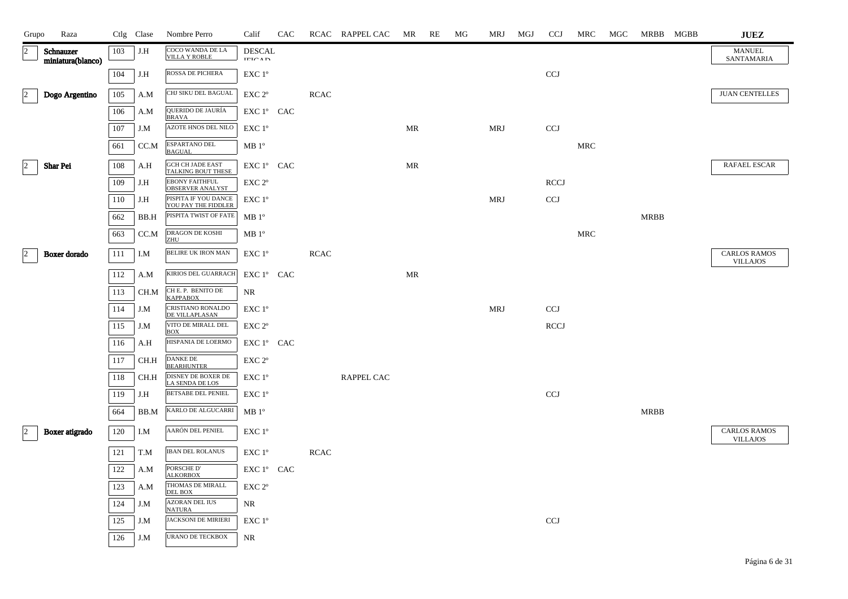| COCO WANDA DE LA<br>$ 2\rangle$<br>103<br>J.H<br><b>DESCAL</b><br>MANUEL<br>Schnauzer<br><b>VILLA Y ROBLE</b><br>SANTAMARIA<br><b>IEICAD</b><br>miniatura(blanco)<br>ROSSA DE PICHERA<br>104<br><b>CCJ</b><br>J.H<br>EXC 1°<br>CHJ SIKU DEL BAGUAL<br>$\overline{c}$<br><b>JUAN CENTELLES</b><br>Dogo Argentino<br>105<br>EXC 2 <sup>o</sup><br><b>RCAC</b><br>A.M<br>QUERIDO DE JAURÍA<br>106<br>EXC 1° CAC<br>A.M<br><b>BRAVA</b><br>AZOTE HNOS DEL NILO<br>107<br><b>MRJ</b><br><b>CCJ</b><br>EXC 1°<br>MR<br>J.M<br>ESPARTANO DEL<br>CC.M<br>$\operatorname{MRC}$<br>661<br>$MB1^{\circ}$<br><b>BAGUAL</b><br><b>GCH CH JADE EAST</b><br>$\vert$ 2<br>RAFAEL ESCAR<br>108<br>EXC 1° CAC<br><b>Shar Pei</b><br>A.H<br>MR<br><b>TALKING BOUT THESE</b><br><b>EBONY FAITHFUL</b><br>109<br><b>RCCJ</b><br>J.H<br>EXC 2 <sup>o</sup><br><b>OBSERVER ANALYST</b><br>PISPITA IF YOU DANCE<br><b>MRJ</b><br>110<br><b>CCJ</b><br>J.H<br>EXC 1°<br>YOU PAY THE FIDDLER<br>PISPITA TWIST OF FATE<br>$MB1^{\circ}$<br><b>MRBB</b><br>662<br>BB.H<br>DRAGON DE KOSHI<br>CC.M<br><b>MRC</b><br>663<br>$MB1^{\circ}$<br>ZHU<br><b>BELIRE UK IRON MAN</b><br>$\vert$ 2<br><b>CARLOS RAMOS</b><br>111<br>EXC 1°<br>Boxer dorado<br>I.M<br><b>RCAC</b><br><b>VILLAJOS</b><br>KIRIOS DEL GUARRACH<br>EXC 1° CAC<br>112<br>MR<br>A.M<br>CH E. P. BENITO DE<br>113<br>CH.M<br>NR<br><b>KAPPABOX</b><br>CRISTIANO RONALDO<br><b>MRJ</b><br><b>CCJ</b><br>114<br>J.M<br>EXC 1°<br>DE VILLAPLASAN<br>VITO DE MIRALL DEL<br><b>RCCJ</b><br>115<br>J.M<br>EXC 2 <sup>o</sup><br><b>BOX</b><br>HISPANIA DE LOERMO<br>116<br>A.H<br>EXC 1° CAC<br><b>DANKE DE</b><br>117<br>CH.H<br>EXC 2 <sup>o</sup><br><b>BEARHUNTER</b><br><b>DISNEY DE BOXER DE</b><br>118<br>CH.H<br>EXC 1°<br><b>RAPPEL CAC</b><br><b>LA SENDA DE LOS</b> | <b>JUEZ</b> |
|------------------------------------------------------------------------------------------------------------------------------------------------------------------------------------------------------------------------------------------------------------------------------------------------------------------------------------------------------------------------------------------------------------------------------------------------------------------------------------------------------------------------------------------------------------------------------------------------------------------------------------------------------------------------------------------------------------------------------------------------------------------------------------------------------------------------------------------------------------------------------------------------------------------------------------------------------------------------------------------------------------------------------------------------------------------------------------------------------------------------------------------------------------------------------------------------------------------------------------------------------------------------------------------------------------------------------------------------------------------------------------------------------------------------------------------------------------------------------------------------------------------------------------------------------------------------------------------------------------------------------------------------------------------------------------------------------------------------------------------------------------------------------------------------------------|-------------|
|                                                                                                                                                                                                                                                                                                                                                                                                                                                                                                                                                                                                                                                                                                                                                                                                                                                                                                                                                                                                                                                                                                                                                                                                                                                                                                                                                                                                                                                                                                                                                                                                                                                                                                                                                                                                            |             |
|                                                                                                                                                                                                                                                                                                                                                                                                                                                                                                                                                                                                                                                                                                                                                                                                                                                                                                                                                                                                                                                                                                                                                                                                                                                                                                                                                                                                                                                                                                                                                                                                                                                                                                                                                                                                            |             |
|                                                                                                                                                                                                                                                                                                                                                                                                                                                                                                                                                                                                                                                                                                                                                                                                                                                                                                                                                                                                                                                                                                                                                                                                                                                                                                                                                                                                                                                                                                                                                                                                                                                                                                                                                                                                            |             |
|                                                                                                                                                                                                                                                                                                                                                                                                                                                                                                                                                                                                                                                                                                                                                                                                                                                                                                                                                                                                                                                                                                                                                                                                                                                                                                                                                                                                                                                                                                                                                                                                                                                                                                                                                                                                            |             |
|                                                                                                                                                                                                                                                                                                                                                                                                                                                                                                                                                                                                                                                                                                                                                                                                                                                                                                                                                                                                                                                                                                                                                                                                                                                                                                                                                                                                                                                                                                                                                                                                                                                                                                                                                                                                            |             |
|                                                                                                                                                                                                                                                                                                                                                                                                                                                                                                                                                                                                                                                                                                                                                                                                                                                                                                                                                                                                                                                                                                                                                                                                                                                                                                                                                                                                                                                                                                                                                                                                                                                                                                                                                                                                            |             |
|                                                                                                                                                                                                                                                                                                                                                                                                                                                                                                                                                                                                                                                                                                                                                                                                                                                                                                                                                                                                                                                                                                                                                                                                                                                                                                                                                                                                                                                                                                                                                                                                                                                                                                                                                                                                            |             |
|                                                                                                                                                                                                                                                                                                                                                                                                                                                                                                                                                                                                                                                                                                                                                                                                                                                                                                                                                                                                                                                                                                                                                                                                                                                                                                                                                                                                                                                                                                                                                                                                                                                                                                                                                                                                            |             |
|                                                                                                                                                                                                                                                                                                                                                                                                                                                                                                                                                                                                                                                                                                                                                                                                                                                                                                                                                                                                                                                                                                                                                                                                                                                                                                                                                                                                                                                                                                                                                                                                                                                                                                                                                                                                            |             |
|                                                                                                                                                                                                                                                                                                                                                                                                                                                                                                                                                                                                                                                                                                                                                                                                                                                                                                                                                                                                                                                                                                                                                                                                                                                                                                                                                                                                                                                                                                                                                                                                                                                                                                                                                                                                            |             |
|                                                                                                                                                                                                                                                                                                                                                                                                                                                                                                                                                                                                                                                                                                                                                                                                                                                                                                                                                                                                                                                                                                                                                                                                                                                                                                                                                                                                                                                                                                                                                                                                                                                                                                                                                                                                            |             |
|                                                                                                                                                                                                                                                                                                                                                                                                                                                                                                                                                                                                                                                                                                                                                                                                                                                                                                                                                                                                                                                                                                                                                                                                                                                                                                                                                                                                                                                                                                                                                                                                                                                                                                                                                                                                            |             |
|                                                                                                                                                                                                                                                                                                                                                                                                                                                                                                                                                                                                                                                                                                                                                                                                                                                                                                                                                                                                                                                                                                                                                                                                                                                                                                                                                                                                                                                                                                                                                                                                                                                                                                                                                                                                            |             |
|                                                                                                                                                                                                                                                                                                                                                                                                                                                                                                                                                                                                                                                                                                                                                                                                                                                                                                                                                                                                                                                                                                                                                                                                                                                                                                                                                                                                                                                                                                                                                                                                                                                                                                                                                                                                            |             |
|                                                                                                                                                                                                                                                                                                                                                                                                                                                                                                                                                                                                                                                                                                                                                                                                                                                                                                                                                                                                                                                                                                                                                                                                                                                                                                                                                                                                                                                                                                                                                                                                                                                                                                                                                                                                            |             |
|                                                                                                                                                                                                                                                                                                                                                                                                                                                                                                                                                                                                                                                                                                                                                                                                                                                                                                                                                                                                                                                                                                                                                                                                                                                                                                                                                                                                                                                                                                                                                                                                                                                                                                                                                                                                            |             |
|                                                                                                                                                                                                                                                                                                                                                                                                                                                                                                                                                                                                                                                                                                                                                                                                                                                                                                                                                                                                                                                                                                                                                                                                                                                                                                                                                                                                                                                                                                                                                                                                                                                                                                                                                                                                            |             |
|                                                                                                                                                                                                                                                                                                                                                                                                                                                                                                                                                                                                                                                                                                                                                                                                                                                                                                                                                                                                                                                                                                                                                                                                                                                                                                                                                                                                                                                                                                                                                                                                                                                                                                                                                                                                            |             |
|                                                                                                                                                                                                                                                                                                                                                                                                                                                                                                                                                                                                                                                                                                                                                                                                                                                                                                                                                                                                                                                                                                                                                                                                                                                                                                                                                                                                                                                                                                                                                                                                                                                                                                                                                                                                            |             |
| <b>BETSABE DEL PENIEL</b><br><b>CCJ</b><br>119<br>J.H<br>EXC 1°                                                                                                                                                                                                                                                                                                                                                                                                                                                                                                                                                                                                                                                                                                                                                                                                                                                                                                                                                                                                                                                                                                                                                                                                                                                                                                                                                                                                                                                                                                                                                                                                                                                                                                                                            |             |
| KARLO DE ALGUCARRI<br>$MB1^{\circ}$<br><b>MRBB</b><br>664<br>BB.M                                                                                                                                                                                                                                                                                                                                                                                                                                                                                                                                                                                                                                                                                                                                                                                                                                                                                                                                                                                                                                                                                                                                                                                                                                                                                                                                                                                                                                                                                                                                                                                                                                                                                                                                          |             |
| AARÓN DEL PENIEL<br>$\vert$ <sub>2</sub><br><b>CARLOS RAMOS</b><br>Boxer atigrado<br>120<br>I.M<br>EXC 1°<br><b>VILLAJOS</b>                                                                                                                                                                                                                                                                                                                                                                                                                                                                                                                                                                                                                                                                                                                                                                                                                                                                                                                                                                                                                                                                                                                                                                                                                                                                                                                                                                                                                                                                                                                                                                                                                                                                               |             |
| <b>IBAN DEL ROLANUS</b><br>121<br>EXC 1°<br><b>RCAC</b><br>T.M                                                                                                                                                                                                                                                                                                                                                                                                                                                                                                                                                                                                                                                                                                                                                                                                                                                                                                                                                                                                                                                                                                                                                                                                                                                                                                                                                                                                                                                                                                                                                                                                                                                                                                                                             |             |
| PORSCHE D'<br>122<br>EXC 1° CAC<br>A.M<br><b>ALKORBOX</b>                                                                                                                                                                                                                                                                                                                                                                                                                                                                                                                                                                                                                                                                                                                                                                                                                                                                                                                                                                                                                                                                                                                                                                                                                                                                                                                                                                                                                                                                                                                                                                                                                                                                                                                                                  |             |
| THOMAS DE MIRALL<br>123<br>A.M<br>EXC 2 <sup>o</sup><br><b>DEL BOX</b>                                                                                                                                                                                                                                                                                                                                                                                                                                                                                                                                                                                                                                                                                                                                                                                                                                                                                                                                                                                                                                                                                                                                                                                                                                                                                                                                                                                                                                                                                                                                                                                                                                                                                                                                     |             |
| <b>AZORAN DEL IUS</b><br>124<br>J.M<br>NR<br><b>NATURA</b>                                                                                                                                                                                                                                                                                                                                                                                                                                                                                                                                                                                                                                                                                                                                                                                                                                                                                                                                                                                                                                                                                                                                                                                                                                                                                                                                                                                                                                                                                                                                                                                                                                                                                                                                                 |             |
| <b>JACKSONI DE MIRIERI</b><br><b>CCJ</b><br>125<br>J.M<br>EXC 1°                                                                                                                                                                                                                                                                                                                                                                                                                                                                                                                                                                                                                                                                                                                                                                                                                                                                                                                                                                                                                                                                                                                                                                                                                                                                                                                                                                                                                                                                                                                                                                                                                                                                                                                                           |             |
| URANO DE TECKBOX<br>126<br>NR<br>J.M                                                                                                                                                                                                                                                                                                                                                                                                                                                                                                                                                                                                                                                                                                                                                                                                                                                                                                                                                                                                                                                                                                                                                                                                                                                                                                                                                                                                                                                                                                                                                                                                                                                                                                                                                                       |             |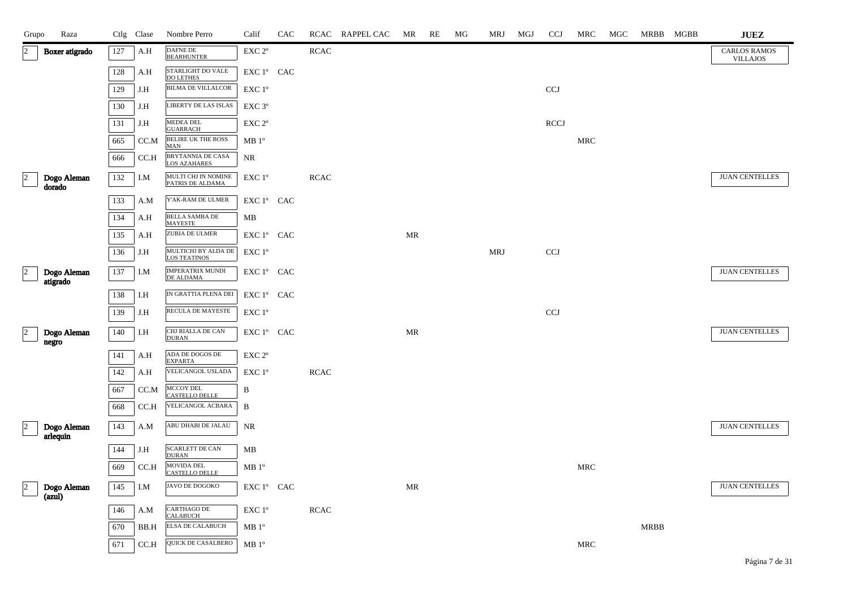| Grupo                | Raza                    |     | Ctlg Clase | Nombre Perro                               | Calif                                        | CAC |             | RCAC RAPPEL CAC | MR | RE | MG | MRJ        | MGJ | <b>CCJ</b>  | MRC        | MGC | MRBB MGBB   | ${\bf JUEZ}$                           |
|----------------------|-------------------------|-----|------------|--------------------------------------------|----------------------------------------------|-----|-------------|-----------------|----|----|----|------------|-----|-------------|------------|-----|-------------|----------------------------------------|
| $\overline{2}$       | Boxer atigrado          | 127 | A.H        | <b>DAFNE DE</b><br><b>BEARHUNTER</b>       | $\ensuremath{\mathrm{EXC}}$ $2^\mathrm{o}$   |     | <b>RCAC</b> |                 |    |    |    |            |     |             |            |     |             | <b>CARLOS RAMOS</b><br><b>VILLAJOS</b> |
|                      |                         | 128 | A.H        | STARLIGHT DO VALE<br><b>DO LETHES</b>      | EXC 1° CAC                                   |     |             |                 |    |    |    |            |     |             |            |     |             |                                        |
|                      |                         | 129 | J.H        | <b>BILMA DE VILLALCOR</b>                  | EXC 1°                                       |     |             |                 |    |    |    |            |     | <b>CCJ</b>  |            |     |             |                                        |
|                      |                         | 130 | J.H        | LIBERTY DE LAS ISLAS                       | EXC 3°                                       |     |             |                 |    |    |    |            |     |             |            |     |             |                                        |
|                      |                         | 131 | J.H        | <b>MEDEA DEL</b><br><b>GUARRACH</b>        | EXC 2°                                       |     |             |                 |    |    |    |            |     | <b>RCCJ</b> |            |     |             |                                        |
|                      |                         | 665 | CC.M       | BELIRE UK THE BOSS<br><b>MAN</b>           | MB1°                                         |     |             |                 |    |    |    |            |     |             | <b>MRC</b> |     |             |                                        |
|                      |                         | 666 | CC.H       | BRYTANNIA DE CASA<br>LOS AZAHARES          | NR                                           |     |             |                 |    |    |    |            |     |             |            |     |             |                                        |
| $\vert$ 2            | Dogo Aleman<br>dorado   | 132 | I.M        | MULTI CHJ IN NOMINE<br>PATRIS DE ALDAMA    | EXC 1°                                       |     | <b>RCAC</b> |                 |    |    |    |            |     |             |            |     |             | <b>JUAN CENTELLES</b>                  |
|                      |                         | 133 | A.M        | Y'AK-RAM DE ULMER                          | EXC 1° CAC                                   |     |             |                 |    |    |    |            |     |             |            |     |             |                                        |
|                      |                         | 134 | A.H        | <b>BELLA SAMBA DE</b><br><b>MAYESTE</b>    | MB                                           |     |             |                 |    |    |    |            |     |             |            |     |             |                                        |
|                      |                         | 135 | A.H        | ZUBIA DE ULMER                             | $\ensuremath{\mathrm{EXC}}$ 1° $\,$ CAC $\,$ |     |             |                 | MR |    |    |            |     |             |            |     |             |                                        |
|                      |                         | 136 | J.H        | MULTICHJ BY ALDA DE<br><b>LOS TEATINOS</b> | EXC 1°                                       |     |             |                 |    |    |    | <b>MRJ</b> |     | <b>CCJ</b>  |            |     |             |                                        |
| $\vert$ 2            | Dogo Aleman<br>atigrado | 137 | I.M        | IMPERATRIX MUNDI<br>DE ALDAMA              | EXC 1° CAC                                   |     |             |                 |    |    |    |            |     |             |            |     |             | <b>JUAN CENTELLES</b>                  |
|                      |                         | 138 | I.H        | IN GRATTIA PLENA DEI                       | EXC 1° CAC                                   |     |             |                 |    |    |    |            |     |             |            |     |             |                                        |
|                      |                         | 139 | J.H        | RECULA DE MAYESTE                          | EXC 1°                                       |     |             |                 |    |    |    |            |     | <b>CCJ</b>  |            |     |             |                                        |
| $\vert$ <sub>2</sub> | Dogo Aleman<br>negro    | 140 | I.H        | CHJ RIALLA DE CAN<br><b>DURAN</b>          | EXC 1º CAC                                   |     |             |                 | MR |    |    |            |     |             |            |     |             | <b>JUAN CENTELLES</b>                  |
|                      |                         | 141 | A.H        | ADA DE DOGOS DE<br><b>EXPARTA</b>          | EXC <sub>2°</sub>                            |     |             |                 |    |    |    |            |     |             |            |     |             |                                        |
|                      |                         | 142 | A.H        | VELICANGOL USLADA                          | EXC 1°                                       |     | <b>RCAC</b> |                 |    |    |    |            |     |             |            |     |             |                                        |
|                      |                         | 667 | CC.M       | MCCOY DEL<br><b>CASTELLO DELLE</b>         | B                                            |     |             |                 |    |    |    |            |     |             |            |     |             |                                        |
|                      |                         | 668 | CC.H       | VELICANGOL ACBARA                          | B                                            |     |             |                 |    |    |    |            |     |             |            |     |             |                                        |
| $\overline{2}$       | Dogo Aleman<br>arlequin | 143 | A.M        | ABU DHABI DE JALAU                         | NR                                           |     |             |                 |    |    |    |            |     |             |            |     |             | <b>JUAN CENTELLES</b>                  |
|                      |                         | 144 | J.H        | <b>SCARLETT DE CAN</b><br><b>DURAN</b>     | MB                                           |     |             |                 |    |    |    |            |     |             |            |     |             |                                        |
|                      |                         | 669 | CC.H       | MOVIDA DEL<br><b>CASTELLO DELLE</b>        | MB 1 <sup>o</sup>                            |     |             |                 |    |    |    |            |     |             | <b>MRC</b> |     |             |                                        |
| $\vert$ 2            | Dogo Aleman<br>(azul)   | 145 | I.M        | JAVO DE DOGOKO                             | EXC 1º CAC                                   |     |             |                 | MR |    |    |            |     |             |            |     |             | <b>JUAN CENTELLES</b>                  |
|                      |                         | 146 | A.M        | CARTHAGO DE<br><b>CALABUCH</b>             | $\ensuremath{\mathrm{EXC}}$ $1^\mathrm{o}$   |     | <b>RCAC</b> |                 |    |    |    |            |     |             |            |     |             |                                        |
|                      |                         | 670 | BB.H       | <b>ELSA DE CALABUCH</b>                    | $MB1^{\circ}$                                |     |             |                 |    |    |    |            |     |             |            |     | <b>MRBB</b> |                                        |
|                      |                         | 671 | CC.H       | QUICK DE CASALBERO                         | MB 1 <sup>o</sup>                            |     |             |                 |    |    |    |            |     |             | MRC        |     |             |                                        |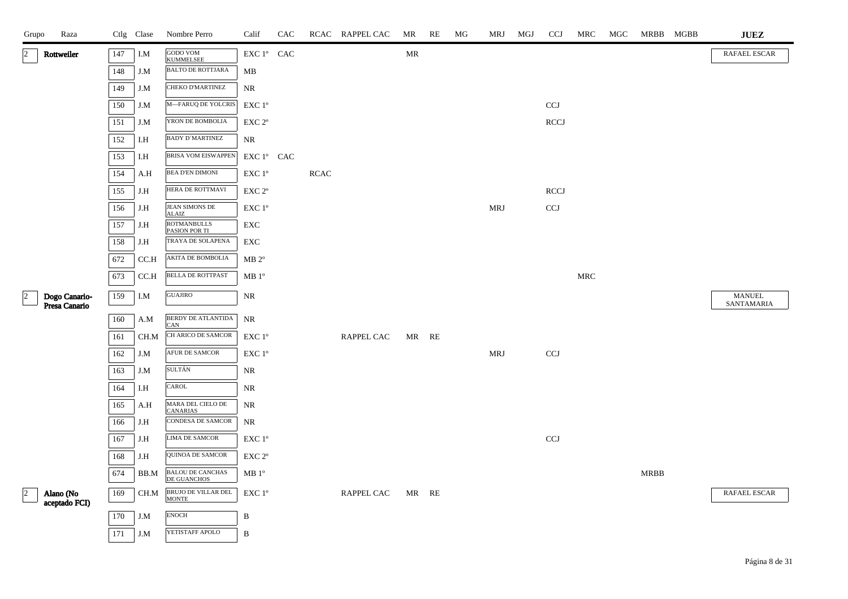| Grupo                | Raza                           |         | Ctlg Clase | Nombre Perro                                  | Calif                            | CAC |             | RCAC RAPPEL CAC | MR    | RE | MG | MRJ        | MGJ | <b>CCJ</b>                | MRC                  | MGC | MRBB MGBB | <b>JUEZ</b>                 |
|----------------------|--------------------------------|---------|------------|-----------------------------------------------|----------------------------------|-----|-------------|-----------------|-------|----|----|------------|-----|---------------------------|----------------------|-----|-----------|-----------------------------|
| $\vert$ 2            | Rottweiler                     | 147     | I.M        | <b>GODO VOM<br/>KUMMELSEE</b>                 | ${\rm EXC}$ $1^{\circ}$ $\;$ CAC |     |             |                 | MR    |    |    |            |     |                           |                      |     |           | RAFAEL ESCAR                |
|                      |                                | 148     | J.M        | <b>BALTO DE ROTTJARA</b>                      | MB                               |     |             |                 |       |    |    |            |     |                           |                      |     |           |                             |
|                      |                                | 149     | J.M        | CHEKO D'MARTINEZ                              | $\rm NR$                         |     |             |                 |       |    |    |            |     |                           |                      |     |           |                             |
|                      |                                | 150     | J.M        | M-FARUQ DE YOLCRIS                            | $EXC1^{\circ}$                   |     |             |                 |       |    |    |            |     | <b>CCJ</b>                |                      |     |           |                             |
|                      |                                | 151     | J.M        | YRON DE BOMBOLIA                              | EXC 2 <sup>o</sup>               |     |             |                 |       |    |    |            |     | <b>RCCJ</b>               |                      |     |           |                             |
|                      |                                | 152     | I.H        | <b>BADY D'MARTINEZ</b>                        | NR.                              |     |             |                 |       |    |    |            |     |                           |                      |     |           |                             |
|                      |                                | 153     | I.H        | BRISA VOM EISWAPPEN                           | EXC 1° CAC                       |     |             |                 |       |    |    |            |     |                           |                      |     |           |                             |
|                      |                                | 154     | A.H        | BEA D'EN DIMONI                               | $EXC1^{\circ}$                   |     | <b>RCAC</b> |                 |       |    |    |            |     |                           |                      |     |           |                             |
|                      |                                | 155     | J.H        | HERA DE ROTTMAVI                              | EXC 2°                           |     |             |                 |       |    |    |            |     | RCCJ                      |                      |     |           |                             |
|                      |                                | 156     | J.H        | JEAN SIMONS DE<br><b>ALAIZ</b>                | $EXC1^{\circ}$                   |     |             |                 |       |    |    | <b>MRJ</b> |     | $\ensuremath{\text{CCJ}}$ |                      |     |           |                             |
|                      |                                | 157     | J.H        | <b>ROTMANBULLS</b><br>PASION POR TI           | ${\rm EXC}$                      |     |             |                 |       |    |    |            |     |                           |                      |     |           |                             |
|                      |                                | 158     | J.H        | TRAYA DE SOLAPENA                             | EXC                              |     |             |                 |       |    |    |            |     |                           |                      |     |           |                             |
|                      |                                | 672     | CC.H       | AKITA DE BOMBOLIA                             | $MB 2^{\circ}$                   |     |             |                 |       |    |    |            |     |                           |                      |     |           |                             |
|                      |                                | 673     | CCA        | <b>BELLA DE ROTTPAST</b>                      | MB 1 <sup>o</sup>                |     |             |                 |       |    |    |            |     |                           | $\operatorname{MRC}$ |     |           |                             |
| $\vert$ <sup>2</sup> | Dogo Canario-<br>Presa Canario | 159     | I.M        | <b>GUAJIRO</b>                                | NR                               |     |             |                 |       |    |    |            |     |                           |                      |     |           | <b>MANUEL</b><br>SANTAMARIA |
|                      |                                | $160\,$ | A.M        | BERDY DE ATLANTIDA                            | <b>NR</b>                        |     |             |                 |       |    |    |            |     |                           |                      |     |           |                             |
|                      |                                | 161     | CH.M       | CAN<br>CH ARICO DE SAMCOR                     | $EXC1^{\circ}$                   |     |             | RAPPEL CAC      | MR RE |    |    |            |     |                           |                      |     |           |                             |
|                      |                                | 162     | J.M        | AFUR DE SAMCOR                                | EXC 1°                           |     |             |                 |       |    |    | <b>MRJ</b> |     | $\ensuremath{\text{CCJ}}$ |                      |     |           |                             |
|                      |                                | 163     | J.M        | <b>SULTÁN</b>                                 | NR                               |     |             |                 |       |    |    |            |     |                           |                      |     |           |                             |
|                      |                                | 164     | I.H        | CAROL                                         | NR                               |     |             |                 |       |    |    |            |     |                           |                      |     |           |                             |
|                      |                                | 165     | A.H        | MARA DEL CIELO DE                             | NR                               |     |             |                 |       |    |    |            |     |                           |                      |     |           |                             |
|                      |                                | 166     | J.H        | <b>CANARIAS</b><br>CONDESA DE SAMCOR          | <b>NR</b>                        |     |             |                 |       |    |    |            |     |                           |                      |     |           |                             |
|                      |                                | 167     | J.H        | LIMA DE SAMCOR                                | EXC 1°                           |     |             |                 |       |    |    |            |     | <b>CCJ</b>                |                      |     |           |                             |
|                      |                                | 168     | J.H        | QUINOA DE SAMCOR                              | EXC 2 <sup>o</sup>               |     |             |                 |       |    |    |            |     |                           |                      |     |           |                             |
|                      |                                | 674     | BB.M       | <b>BALOU DE CANCHAS</b><br><b>DE GUANCHOS</b> | $MB1^{\circ}$                    |     |             |                 |       |    |    |            |     |                           |                      |     | MRBB      |                             |
| $\overline{a}$       | Alano (No                      | 169     | CH.M       | BRUJO DE VILLAR DEL                           | EXC 1°                           |     |             | RAPPEL CAC      | MR RE |    |    |            |     |                           |                      |     |           | <b>RAFAEL ESCAR</b>         |
|                      | aceptado FCI)                  |         |            | <b>MONTE</b><br><b>ENOCH</b>                  |                                  |     |             |                 |       |    |    |            |     |                           |                      |     |           |                             |
|                      |                                | 170     | J.M        |                                               | B                                |     |             |                 |       |    |    |            |     |                           |                      |     |           |                             |
|                      |                                | 171     | J.M        | YETISTAFF APOLO                               | B                                |     |             |                 |       |    |    |            |     |                           |                      |     |           |                             |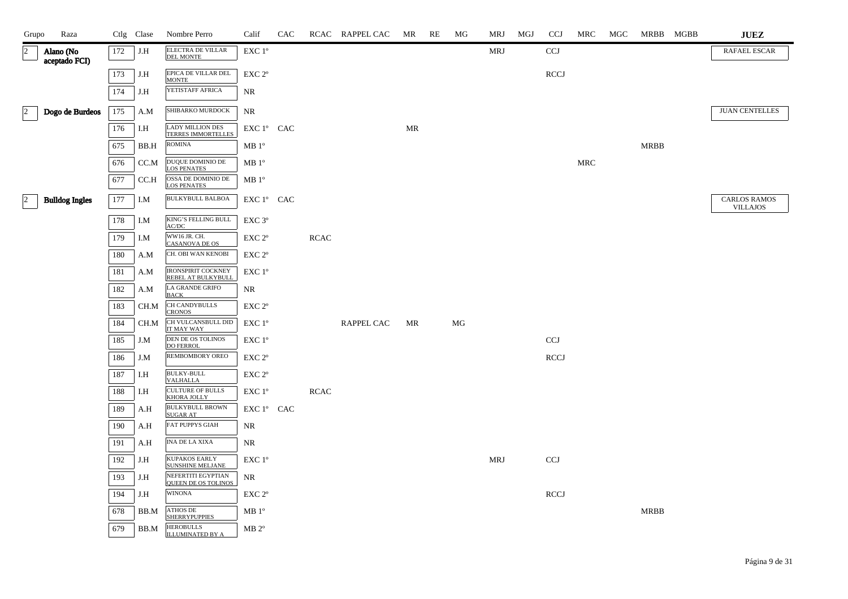| Grupo           | Raza                       |     | Ctlg Clase | Nombre Perro                                     | Calif              | CAC |             | RCAC RAPPEL CAC | MR | RE | MG | MRJ        | MGJ | <b>CCJ</b>  | MRC        | MGC | MRBB MGBB   | <b>JUEZ</b>                            |
|-----------------|----------------------------|-----|------------|--------------------------------------------------|--------------------|-----|-------------|-----------------|----|----|----|------------|-----|-------------|------------|-----|-------------|----------------------------------------|
| $\overline{c}$  | Alano (No<br>aceptado FCI) | 172 | J.H        | ELECTRA DE VILLAR<br><b>DEL MONTE</b>            | EXC 1 <sup>o</sup> |     |             |                 |    |    |    | MRJ        |     | <b>CCJ</b>  |            |     |             | RAFAEL ESCAR                           |
|                 |                            | 173 | J.H        | EPICA DE VILLAR DEL<br><b>MONTE</b>              | EXC 2°             |     |             |                 |    |    |    |            |     | <b>RCCJ</b> |            |     |             |                                        |
|                 |                            | 174 | J.H        | YETISTAFF AFRICA                                 | NR.                |     |             |                 |    |    |    |            |     |             |            |     |             |                                        |
| $\vert 2 \vert$ | Dogo de Burdeos            | 175 | A.M        | SHIBARKO MURDOCK                                 | NR                 |     |             |                 |    |    |    |            |     |             |            |     |             | <b>JUAN CENTELLES</b>                  |
|                 |                            | 176 | I.H        | <b>LADY MILLION DES</b><br>TERRES IMMORTELLES    | EXC 1° CAC         |     |             |                 | MR |    |    |            |     |             |            |     |             |                                        |
|                 |                            | 675 | BB.H       | <b>ROMINA</b>                                    | MB 1 <sup>o</sup>  |     |             |                 |    |    |    |            |     |             |            |     | <b>MRBB</b> |                                        |
|                 |                            | 676 | CC.M       | DUQUE DOMINIO DE<br><b>LOS PENATES</b>           | MB 1 <sup>o</sup>  |     |             |                 |    |    |    |            |     |             | <b>MRC</b> |     |             |                                        |
|                 |                            | 677 | CC.H       | OSSA DE DOMINIO DE<br><b>LOS PENATES</b>         | $MB1^{\circ}$      |     |             |                 |    |    |    |            |     |             |            |     |             |                                        |
| $\vert$ 2       | <b>Bulldog Ingles</b>      | 177 | I.M        | <b>BULKYBULL BALBOA</b>                          | EXC 1° CAC         |     |             |                 |    |    |    |            |     |             |            |     |             | <b>CARLOS RAMOS</b><br><b>VILLAJOS</b> |
|                 |                            | 178 | I.M        | KING'S FELLING BULL<br>AC/DC                     | EXC 3 <sup>o</sup> |     |             |                 |    |    |    |            |     |             |            |     |             |                                        |
|                 |                            | 179 | I.M        | WW16 JR. CH.<br><b>CASANOVA DE OS</b>            | EXC 2 <sup>o</sup> |     | <b>RCAC</b> |                 |    |    |    |            |     |             |            |     |             |                                        |
|                 |                            | 180 | A.M        | CH. OBI WAN KENOBI                               | EXC 2 <sup>o</sup> |     |             |                 |    |    |    |            |     |             |            |     |             |                                        |
|                 |                            | 181 | A.M        | IRONSPIRIT COCKNEY<br>REBEL AT BULKYBULL         | EXC 1°             |     |             |                 |    |    |    |            |     |             |            |     |             |                                        |
|                 |                            | 182 | A.M        | <b>LA GRANDE GRIFO</b><br><b>BACK</b>            | NR                 |     |             |                 |    |    |    |            |     |             |            |     |             |                                        |
|                 |                            | 183 | CH.M       | CH CANDYBULLS<br>CRONOS                          | EXC 2 <sup>o</sup> |     |             |                 |    |    |    |            |     |             |            |     |             |                                        |
|                 |                            | 184 | CH.M       | CH VULCANSBULL DID<br>IT MAY WAY                 | $EXC1^{\circ}$     |     |             | RAPPEL CAC      | MR |    | MG |            |     |             |            |     |             |                                        |
|                 |                            | 185 | J.M        | DEN DE OS TOLINOS<br><b>DO FERROL</b>            | EXC 1 <sup>°</sup> |     |             |                 |    |    |    |            |     | CCJ         |            |     |             |                                        |
|                 |                            | 186 | J.M        | <b>REMBOMBORY OREO</b>                           | EXC 2°             |     |             |                 |    |    |    |            |     | <b>RCCJ</b> |            |     |             |                                        |
|                 |                            | 187 | I.H        | <b>BULKY-BULL</b><br><b>VALHALLA</b>             | EXC 2°             |     |             |                 |    |    |    |            |     |             |            |     |             |                                        |
|                 |                            | 188 | I.H        | <b>CULTURE OF BULLS</b><br>KHORA JOLLY           | EXC 1 <sup>°</sup> |     | <b>RCAC</b> |                 |    |    |    |            |     |             |            |     |             |                                        |
|                 |                            | 189 | A.H        | <b>BULKYBULL BROWN</b><br><b>SUGAR AT</b>        | EXC 1° CAC         |     |             |                 |    |    |    |            |     |             |            |     |             |                                        |
|                 |                            | 190 | A.H        | <b>FAT PUPPYS GIAH</b>                           | NR                 |     |             |                 |    |    |    |            |     |             |            |     |             |                                        |
|                 |                            | 191 | A.H        | INA DE LA XIXA                                   | NR                 |     |             |                 |    |    |    |            |     |             |            |     |             |                                        |
|                 |                            | 192 | J.H        | <b>KUPAKOS EARLY</b><br><b>SUNSHINE MELJANE</b>  | $EXC1^{\circ}$     |     |             |                 |    |    |    | <b>MRJ</b> |     | CCJ         |            |     |             |                                        |
|                 |                            | 193 | J.H        | NEFERTITI EGYPTIAN<br><b>OUEEN DE OS TOLINOS</b> | NR                 |     |             |                 |    |    |    |            |     |             |            |     |             |                                        |
|                 |                            | 194 | J.H        | <b>WINONA</b>                                    | EXC 2 <sup>o</sup> |     |             |                 |    |    |    |            |     | <b>RCCJ</b> |            |     |             |                                        |
|                 |                            | 678 | BB.M       | <b>ATHOS DE</b><br><b>SHERRYPUPPIES</b>          | $MB1^{\circ}$      |     |             |                 |    |    |    |            |     |             |            |     | <b>MRBB</b> |                                        |
|                 |                            | 679 | BB.M       | <b>HEROBULLS</b><br><b>ILLUMINATED BY A</b>      | $MB 2^{\circ}$     |     |             |                 |    |    |    |            |     |             |            |     |             |                                        |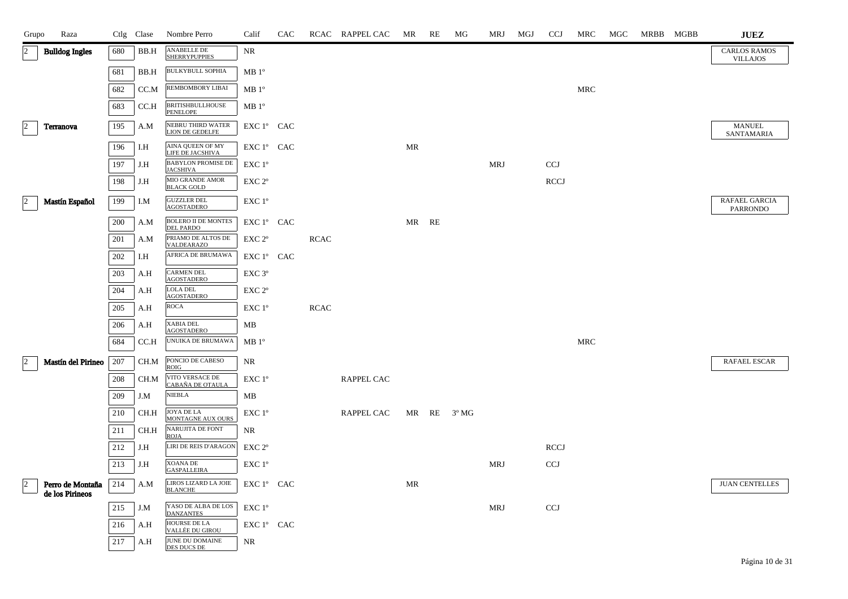| Grupo          | Raza                                |     | Ctlg Clase | Nombre Perro                                 | Calif              | CAC |             | RCAC RAPPEL CAC | MR | RE    | МG          | MRJ        | MGJ | <b>CCJ</b>  | MRC | MGC | MRBB MGBB | <b>JUEZ</b>                            |
|----------------|-------------------------------------|-----|------------|----------------------------------------------|--------------------|-----|-------------|-----------------|----|-------|-------------|------------|-----|-------------|-----|-----|-----------|----------------------------------------|
| $\overline{2}$ | <b>Bulldog Ingles</b>               | 680 | BB.H       | <b>ANABELLE DE</b><br><b>SHERRYPUPPIES</b>   | NR                 |     |             |                 |    |       |             |            |     |             |     |     |           | <b>CARLOS RAMOS</b><br><b>VILLAJOS</b> |
|                |                                     | 681 | BB.H       | <b>BULKYBULL SOPHIA</b>                      | MB 1 <sup>o</sup>  |     |             |                 |    |       |             |            |     |             |     |     |           |                                        |
|                |                                     | 682 | CC.M       | REMBOMBORY LIBAI                             | MB1°               |     |             |                 |    |       |             |            |     |             | MRC |     |           |                                        |
|                |                                     | 683 | CCA        | <b>BRITISHBULLHOUSE</b><br>PENELOPE          | MB 1 <sup>o</sup>  |     |             |                 |    |       |             |            |     |             |     |     |           |                                        |
| $\overline{2}$ | Terranova                           | 195 | A.M        | NEBRU THIRD WATER<br><b>LION DE GEDELFE</b>  | EXC 1º CAC         |     |             |                 |    |       |             |            |     |             |     |     |           | MANUEL<br>SANTAMARIA                   |
|                |                                     | 196 | I.H        | <b>AINA QUEEN OF MY</b><br>LIFE DE JACSHIVA  | EXC 1° CAC         |     |             |                 | MR |       |             |            |     |             |     |     |           |                                        |
|                |                                     | 197 | J.H        | <b>BABYLON PROMISE DE</b><br><b>JACSHIVA</b> | EXC 1°             |     |             |                 |    |       |             | <b>MRJ</b> |     | <b>CCJ</b>  |     |     |           |                                        |
|                |                                     | 198 | J.H        | MIO GRANDE AMOR<br><b>BLACK GOLD</b>         | EXC 2 <sup>o</sup> |     |             |                 |    |       |             |            |     | <b>RCCJ</b> |     |     |           |                                        |
| $ 2\rangle$    | Mastín Español                      | 199 | I.M        | <b>GUZZLER DEL</b><br><b>AGOSTADERO</b>      | EXC 1°             |     |             |                 |    |       |             |            |     |             |     |     |           | RAFAEL GARCIA<br>PARRONDO              |
|                |                                     | 200 | A.M        | <b>BOLERO II DE MONTES</b><br>DEL PARDO      | EXC 1° CAC         |     |             |                 |    | MR RE |             |            |     |             |     |     |           |                                        |
|                |                                     | 201 | A.M        | PRIAMO DE ALTOS DE<br>VALDEARAZO             | EXC <sub>2°</sub>  |     | <b>RCAC</b> |                 |    |       |             |            |     |             |     |     |           |                                        |
|                |                                     | 202 | I.H        | AFRICA DE BRUMAWA                            | EXC 1º CAC         |     |             |                 |    |       |             |            |     |             |     |     |           |                                        |
|                |                                     | 203 | A.H        | <b>CARMEN DEL</b><br><b>AGOSTADERO</b>       | EXC 3°             |     |             |                 |    |       |             |            |     |             |     |     |           |                                        |
|                |                                     | 204 | A.H        | LOLA DEL<br><b>AGOSTADERO</b>                | EXC 2 <sup>o</sup> |     |             |                 |    |       |             |            |     |             |     |     |           |                                        |
|                |                                     | 205 | A.H        | ROCA                                         | EXC 1°             |     | <b>RCAC</b> |                 |    |       |             |            |     |             |     |     |           |                                        |
|                |                                     | 206 | A.H        | <b>XABIA DEL</b><br><b>AGOSTADERO</b>        | МB                 |     |             |                 |    |       |             |            |     |             |     |     |           |                                        |
|                |                                     | 684 | CC.H       | UNUIKA DE BRUMAWA                            | $MB1^{\circ}$      |     |             |                 |    |       |             |            |     |             | MRC |     |           |                                        |
| $ 2\rangle$    | Mastín del Pirineo                  | 207 | CH.M       | PONCIO DE CABESO<br><b>ROIG</b>              | NR                 |     |             |                 |    |       |             |            |     |             |     |     |           | RAFAEL ESCAR                           |
|                |                                     | 208 | CH.M       | VITO VERSACE DE<br>CABAÑA DE OTAULA          | EXC 1°             |     |             | RAPPEL CAC      |    |       |             |            |     |             |     |     |           |                                        |
|                |                                     | 209 | J.M        | <b>NIEBLA</b>                                | МB                 |     |             |                 |    |       |             |            |     |             |     |     |           |                                        |
|                |                                     | 210 | CH.H       | JOYA DE LA<br>MONTAGNE AUX OURS              | EXC 1°             |     |             | RAPPEL CAC      |    |       | MR RE 3º MG |            |     |             |     |     |           |                                        |
|                |                                     | 211 | CH.H       | NARUJITA DE FONT<br><b>ROJA</b>              | NR.                |     |             |                 |    |       |             |            |     |             |     |     |           |                                        |
|                |                                     | 212 | J.H        | LIRI DE REIS D'ARAGON                        | EXC <sub>2°</sub>  |     |             |                 |    |       |             |            |     | <b>RCCJ</b> |     |     |           |                                        |
|                |                                     | 213 | J.H        | XOANA DE<br><b>GASPALLEIRA</b>               | EXC 1°             |     |             |                 |    |       |             | <b>MRJ</b> |     | CCJ         |     |     |           |                                        |
| $ 2\rangle$    | Perro de Montaña<br>de los Pirineos | 214 | A.M        | LIROS LIZARD LA JOIE<br><b>BLANCHE</b>       | EXC 1º CAC         |     |             |                 | MR |       |             |            |     |             |     |     |           | <b>JUAN CENTELLES</b>                  |
|                |                                     | 215 | J.M        | YASO DE ALBA DE LOS<br><b>DANZANTES</b>      | $EXC1^{\circ}$     |     |             |                 |    |       |             | MRJ        |     | <b>CCJ</b>  |     |     |           |                                        |
|                |                                     | 216 | A.H        | HOURSE DE LA<br>VALLÉE DU GIROU              | EXC 1° CAC         |     |             |                 |    |       |             |            |     |             |     |     |           |                                        |
|                |                                     | 217 | A.H        | JUNE DU DOMAINE<br>DES DUCS DE               | NR.                |     |             |                 |    |       |             |            |     |             |     |     |           |                                        |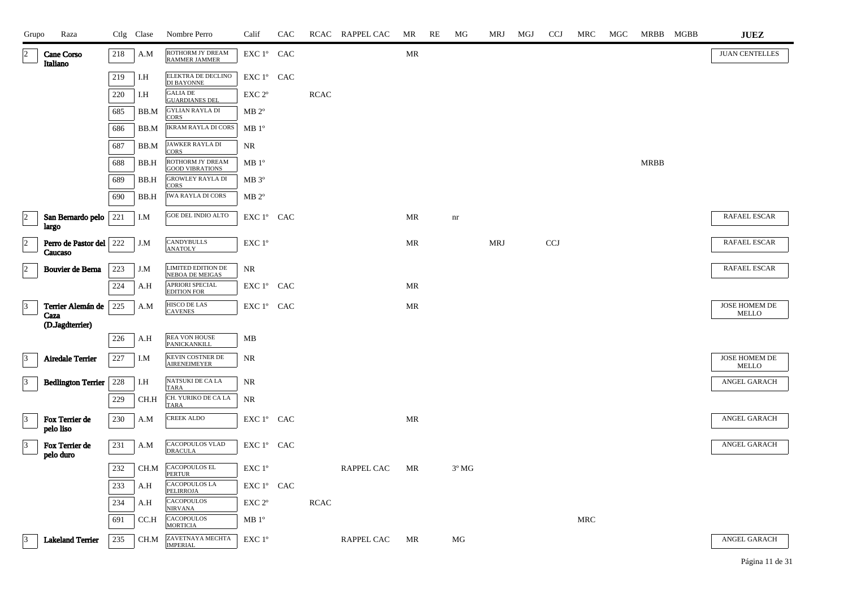| Grupo           | Raza                               |         | Ctlg Clase | Nombre Perro                                | Calif                                | CAC |             | RCAC RAPPEL CAC   | MR                                | RE | МG             | MRJ        | MGJ | <b>CCJ</b> | MRC        | MGC | MRBB        | MGBB | <b>JUEZ</b>                   |
|-----------------|------------------------------------|---------|------------|---------------------------------------------|--------------------------------------|-----|-------------|-------------------|-----------------------------------|----|----------------|------------|-----|------------|------------|-----|-------------|------|-------------------------------|
| $\overline{2}$  | Cane Corso<br>Italiano             | $218\,$ | A.M        | ROTHORM JY DREAM<br>RAMMER JAMMER           | EXC 1° CAC                           |     |             |                   | $\ensuremath{\mathsf{MR}}\xspace$ |    |                |            |     |            |            |     |             |      | <b>JUAN CENTELLES</b>         |
|                 |                                    | 219     | I.H        | ELEKTRA DE DECLINO<br>DI BAYONNE            | EXC 1° CAC                           |     |             |                   |                                   |    |                |            |     |            |            |     |             |      |                               |
|                 |                                    | 220     | I.H        | <b>GALIA DE</b><br><b>GUARDIANES DEL</b>    | EXC 2°                               |     | <b>RCAC</b> |                   |                                   |    |                |            |     |            |            |     |             |      |                               |
|                 |                                    | 685     | BB.M       | <b>GYLIAN RAYLA DI</b><br><b>CORS</b>       | $MB 2^{\circ}$                       |     |             |                   |                                   |    |                |            |     |            |            |     |             |      |                               |
|                 |                                    | 686     | BB.M       | <b>IKRAM RAYLA DI CORS</b>                  | MB1°                                 |     |             |                   |                                   |    |                |            |     |            |            |     |             |      |                               |
|                 |                                    | 687     | BB.M       | JAWKER RAYLA DI<br><b>CORS</b>              | NR                                   |     |             |                   |                                   |    |                |            |     |            |            |     |             |      |                               |
|                 |                                    | 688     | BB.H       | ROTHORM JY DREAM<br><b>GOOD VIBRATIONS</b>  | $MB1^{\circ}$                        |     |             |                   |                                   |    |                |            |     |            |            |     | <b>MRBB</b> |      |                               |
|                 |                                    | 689     | BB.H       | <b>GROWLEY RAYLA DI</b><br>CORS             | MB 3°                                |     |             |                   |                                   |    |                |            |     |            |            |     |             |      |                               |
|                 |                                    | 690     | BB.H       | <b>IWA RAYLA DI CORS</b>                    | $MB 2^{\circ}$                       |     |             |                   |                                   |    |                |            |     |            |            |     |             |      |                               |
| $\overline{a}$  | San Bernardo pelo   221<br>largo   |         | I.M        | <b>GOE DEL INDIO ALTO</b>                   | EXC 1° CAC                           |     |             |                   | MR                                |    | nr             |            |     |            |            |     |             |      | RAFAEL ESCAR                  |
| $\overline{2}$  | Perro de Pastor del 222<br>Caucaso |         | J.M        | <b>CANDYBULLS</b><br><b>ANATOLY</b>         | EXC 1°                               |     |             |                   | MR                                |    |                | <b>MRJ</b> |     | <b>CCJ</b> |            |     |             |      | RAFAEL ESCAR                  |
| $\vert$ 2       | Bouvier de Berna                   | 223     | J.M        | LIMITED EDITION DE<br>NEBOA DE MEIGAS       | <b>NR</b>                            |     |             |                   |                                   |    |                |            |     |            |            |     |             |      | RAFAEL ESCAR                  |
|                 |                                    | 224     | A.H        | APRIORI SPECIAL<br><b>EDITION FOR</b>       | ${\rm EXC}\ 1^{\circ}$ $\hbox{ CAC}$ |     |             |                   | MR                                |    |                |            |     |            |            |     |             |      |                               |
| $\overline{3}$  | Terrier Alemán de                  | 225     | A.M        | <b>HISCO DE LAS</b><br><b>CAVENES</b>       | EXC 1º CAC                           |     |             |                   | MR                                |    |                |            |     |            |            |     |             |      | JOSE HOMEM DE<br><b>MELLO</b> |
|                 | Caza<br>(D.Jagdterrier)            |         |            |                                             |                                      |     |             |                   |                                   |    |                |            |     |            |            |     |             |      |                               |
|                 |                                    | 226     | A.H        | <b>REA VON HOUSE</b><br><b>PANICKANKILL</b> | MB                                   |     |             |                   |                                   |    |                |            |     |            |            |     |             |      |                               |
| $\vert$ 3       | <b>Airedale Terrier</b>            | 227     | I.M        | KEVIN COSTNER DE<br><b>AIRENEIMEYER</b>     | $\rm NR$                             |     |             |                   |                                   |    |                |            |     |            |            |     |             |      | JOSE HOMEM DE<br>MELLO        |
| 3               | <b>Bedlington Terrier</b>          | 228     | I.H        | NATSUKI DE CA LA<br><b>TARA</b>             | $\rm NR$                             |     |             |                   |                                   |    |                |            |     |            |            |     |             |      | ANGEL GARACH                  |
|                 |                                    | 229     | CH.H       | CH. YURIKO DE CA LA<br><b>TARA</b>          | <b>NR</b>                            |     |             |                   |                                   |    |                |            |     |            |            |     |             |      |                               |
| $\vert 3 \vert$ | Fox Terrier de<br>pelo liso        | 230     | A.M        | <b>CREEK ALDO</b>                           | EXC 1º CAC                           |     |             |                   | MR                                |    |                |            |     |            |            |     |             |      | ANGEL GARACH                  |
| $\vert$ 3       | Fox Terrier de<br>pelo duro        | 231     | A.M        | CACOPOULOS VLAD<br><b>DRACULA</b>           | EXC 1° CAC                           |     |             |                   |                                   |    |                |            |     |            |            |     |             |      | ANGEL GARACH                  |
|                 |                                    | 232     | CH.M       | <b>CACOPOULOS EL</b><br><b>PERTUR</b>       | EXC 1°                               |     |             | <b>RAPPEL CAC</b> | <b>MR</b>                         |    | $3^{\circ}$ MG |            |     |            |            |     |             |      |                               |
|                 |                                    | 233     | A.H        | <b>CACOPOULOS LA</b><br>PELIRROJA           | EXC 1° CAC                           |     |             |                   |                                   |    |                |            |     |            |            |     |             |      |                               |
|                 |                                    | 234     | A.H        | CACOPOULOS<br><b>NIRVANA</b>                | EXC 2°                               |     | <b>RCAC</b> |                   |                                   |    |                |            |     |            |            |     |             |      |                               |
|                 |                                    | 691     | CC.H       | <b>CACOPOULOS</b><br><b>MORTICIA</b>        | $MB1^{\circ}$                        |     |             |                   |                                   |    |                |            |     |            | <b>MRC</b> |     |             |      |                               |
| 13              | <b>Lakeland Terrier</b>            | 235     | CH.M       | ZAVETNAYA MECHTA<br><b>IMPERIAL</b>         | EXC $1^\circ$                        |     |             | RAPPEL CAC        | MR                                |    | MG             |            |     |            |            |     |             |      | ANGEL GARACH                  |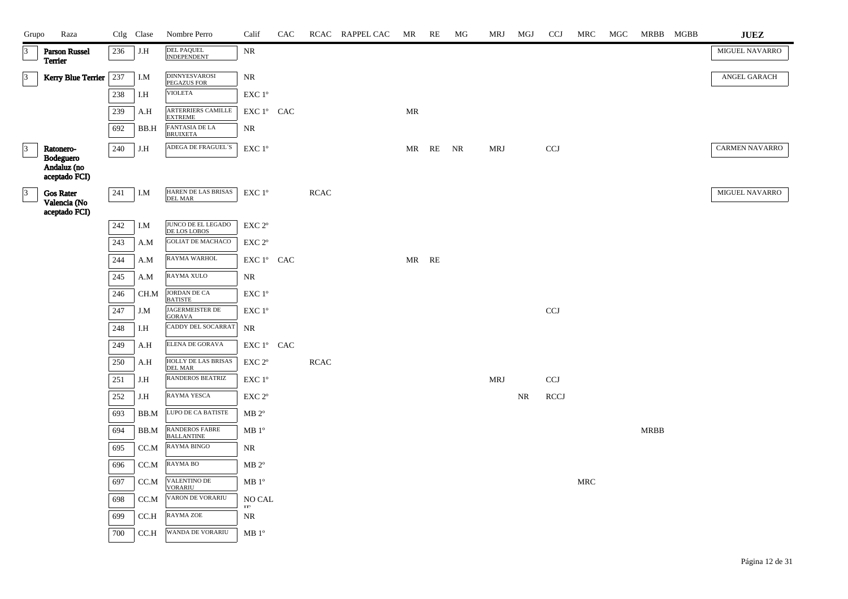| Grupo           | Raza                                              |     | Ctlg Clase | Nombre Perro                               | Calif                                        | CAC |             | RCAC RAPPEL CAC | MR    | RE | МG | MRJ        | MGJ       | <b>CCJ</b>                | MRC                  | MGC | MRBB MGBB | ${\bf JUEZ}$          |
|-----------------|---------------------------------------------------|-----|------------|--------------------------------------------|----------------------------------------------|-----|-------------|-----------------|-------|----|----|------------|-----------|---------------------------|----------------------|-----|-----------|-----------------------|
| $\vert$ 3       | <b>Parson Russel</b><br>Terrier                   | 236 | J.H        | DEL PAQUEL<br>INDEPENDENT                  | NR                                           |     |             |                 |       |    |    |            |           |                           |                      |     |           | MIGUEL NAVARRO        |
| $\vert$ 3       | Kerry Blue Terrier                                | 237 | I.M        | <b>DINNYESVAROSI</b><br>PEGAZUS FOR        | $\rm NR$                                     |     |             |                 |       |    |    |            |           |                           |                      |     |           | ANGEL GARACH          |
|                 |                                                   | 238 | I.H        | <b>VIOLETA</b>                             | EXC 1°                                       |     |             |                 |       |    |    |            |           |                           |                      |     |           |                       |
|                 |                                                   | 239 | A.H        | ARTERRIERS CAMILLE<br><b>EXTREME</b>       | EXC 1° CAC                                   |     |             |                 | MR    |    |    |            |           |                           |                      |     |           |                       |
|                 |                                                   | 692 | BB.H       | <b>FANTASIA DE LA</b><br><b>BRUIXETA</b>   | NR                                           |     |             |                 |       |    |    |            |           |                           |                      |     |           |                       |
| $\vert$ 3       | Ratonero-                                         | 240 | J.H        | ADEGA DE FRAGUEL'S                         | EXC 1°                                       |     |             |                 | MR    | RE | NR | <b>MRJ</b> |           | <b>CCJ</b>                |                      |     |           | <b>CARMEN NAVARRO</b> |
|                 | Bodeguero<br>Andaluz (no<br>aceptado FCI)         |     |            |                                            |                                              |     |             |                 |       |    |    |            |           |                           |                      |     |           |                       |
| $\vert 3 \vert$ | <b>Gos Rater</b><br>Valencia (No<br>aceptado FCI) | 241 | I.M        | HAREN DE LAS BRISAS<br><b>DEL MAR</b>      | EXC 1°                                       |     | <b>RCAC</b> |                 |       |    |    |            |           |                           |                      |     |           | <b>MIGUEL NAVARRO</b> |
|                 |                                                   | 242 | I.M        | JUNCO DE EL LEGADO<br>DE LOS LOBOS         | EXC 2°                                       |     |             |                 |       |    |    |            |           |                           |                      |     |           |                       |
|                 |                                                   | 243 | A.M        | <b>GOLIAT DE MACHACO</b>                   | EXC 2 <sup>o</sup>                           |     |             |                 |       |    |    |            |           |                           |                      |     |           |                       |
|                 |                                                   | 244 | A.M        | RAYMA WARHOL                               | EXC 1° CAC                                   |     |             |                 | MR RE |    |    |            |           |                           |                      |     |           |                       |
|                 |                                                   | 245 | A.M        | RAYMA XULO                                 | NR                                           |     |             |                 |       |    |    |            |           |                           |                      |     |           |                       |
|                 |                                                   | 246 | CH.M       | JORDAN DE CA<br><b>BATISTE</b>             | EXC 1°                                       |     |             |                 |       |    |    |            |           |                           |                      |     |           |                       |
|                 |                                                   | 247 | J.M        | JAGERMEISTER DE<br><b>GORAVA</b>           | EXC 1°                                       |     |             |                 |       |    |    |            |           | $\ensuremath{\text{CCJ}}$ |                      |     |           |                       |
|                 |                                                   | 248 | I.H        | CADDY DEL SOCARRAT                         | NR                                           |     |             |                 |       |    |    |            |           |                           |                      |     |           |                       |
|                 |                                                   | 249 | A.H        | ELENA DE GORAVA                            | ${\rm EXC}\ 1^{\circ}$ $\hbox{ CAC}$         |     |             |                 |       |    |    |            |           |                           |                      |     |           |                       |
|                 |                                                   | 250 | A.H        | HOLLY DE LAS BRISAS<br>DEL MAR             | $\ensuremath{\mathrm{EXC}}$ $2^{\mathrm{o}}$ |     | <b>RCAC</b> |                 |       |    |    |            |           |                           |                      |     |           |                       |
|                 |                                                   | 251 | J.H        | <b>RANDEROS BEATRIZ</b>                    | EXC 1°                                       |     |             |                 |       |    |    | <b>MRJ</b> |           | CCJ                       |                      |     |           |                       |
|                 |                                                   | 252 | J.H        | RAYMA YESCA                                | EXC 2°                                       |     |             |                 |       |    |    |            | <b>NR</b> | <b>RCCJ</b>               |                      |     |           |                       |
|                 |                                                   | 693 | BB.M       | LUPO DE CA BATISTE                         | $MB 2^{\circ}$                               |     |             |                 |       |    |    |            |           |                           |                      |     |           |                       |
|                 |                                                   | 694 | BB.M       | <b>RANDEROS FABRE</b><br><b>BALLANTINE</b> | MB 1 <sup>o</sup>                            |     |             |                 |       |    |    |            |           |                           |                      |     | MRBB      |                       |
|                 |                                                   | 695 | CC.M       | <b>RAYMA BINGO</b>                         | NR                                           |     |             |                 |       |    |    |            |           |                           |                      |     |           |                       |
|                 |                                                   | 696 | CC.M       | RAYMA BO                                   | $MB 2^{\circ}$                               |     |             |                 |       |    |    |            |           |                           |                      |     |           |                       |
|                 |                                                   | 697 | CC.M       | VALENTINO DE<br><b>VORARIU</b>             | $MB 1^{\circ}$                               |     |             |                 |       |    |    |            |           |                           | $\operatorname{MRC}$ |     |           |                       |
|                 |                                                   | 698 | $CC.M$     | VARON DE VORARIU                           | NO CAL<br>$\mathbf{TP}$                      |     |             |                 |       |    |    |            |           |                           |                      |     |           |                       |
|                 |                                                   | 699 | CC.H       | <b>RAYMA ZOE</b>                           | NR                                           |     |             |                 |       |    |    |            |           |                           |                      |     |           |                       |
|                 |                                                   | 700 | CCA        | WANDA DE VORARIU                           | $MB1^{\circ}$                                |     |             |                 |       |    |    |            |           |                           |                      |     |           |                       |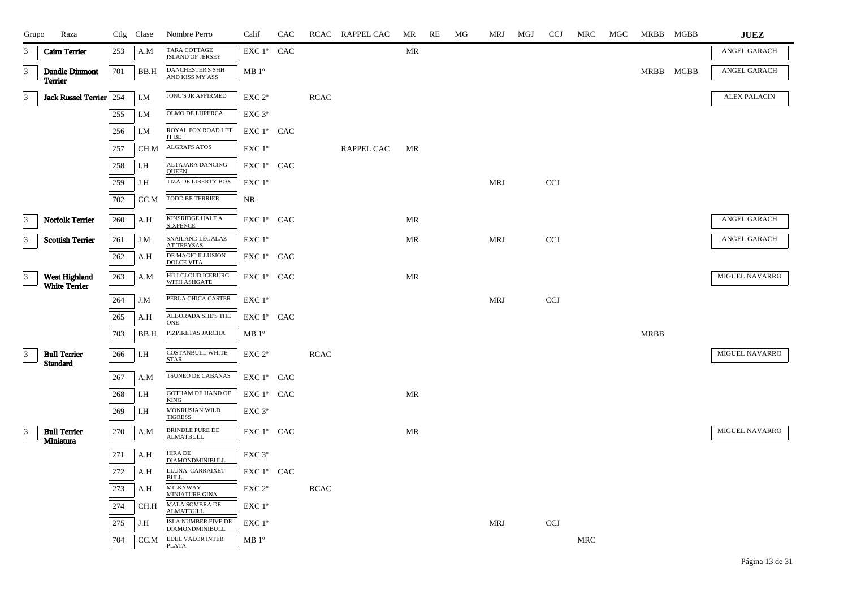| Grupo           | Raza                                   |     | Ctlg Clase | Nombre Perro                               | Calif              | CAC |             | RCAC RAPPEL CAC   | MR                                | RE | MG | MRJ        | MGJ | <b>CCJ</b> | MRC | MGC | MRBB MGBB   |           | ${\bf JUEZ}$        |
|-----------------|----------------------------------------|-----|------------|--------------------------------------------|--------------------|-----|-------------|-------------------|-----------------------------------|----|----|------------|-----|------------|-----|-----|-------------|-----------|---------------------|
| 3               | <b>Cairn Terrier</b>                   | 253 | A.M        | TARA COTTAGE<br><b>ISLAND OF JERSEY</b>    | EXC 1° CAC         |     |             |                   | <b>MR</b>                         |    |    |            |     |            |     |     |             |           | ANGEL GARACH        |
| $ 3\rangle$     | Dandie Dinmont<br>Terrier              | 701 | BB.H       | <b>DANCHESTER'S SHH</b><br>AND KISS MY ASS | MB1°               |     |             |                   |                                   |    |    |            |     |            |     |     |             | MRBB MGBB | ANGEL GARACH        |
| $\vert 3 \vert$ | Jack Russel Terrier 254                |     | I.M        | JONU'S JR AFFIRMED                         | EXC 2 <sup>o</sup> |     | <b>RCAC</b> |                   |                                   |    |    |            |     |            |     |     |             |           | <b>ALEX PALACIN</b> |
|                 |                                        | 255 | I.M        | OLMO DE LUPERCA                            | $EXC$ $3^{\circ}$  |     |             |                   |                                   |    |    |            |     |            |     |     |             |           |                     |
|                 |                                        | 256 | I.M        | ROYAL FOX ROAD LET<br>IT BE                | EXC 1° CAC         |     |             |                   |                                   |    |    |            |     |            |     |     |             |           |                     |
|                 |                                        | 257 | CH.M       | <b>ALGRAFS ATOS</b>                        | EXC 1°             |     |             | <b>RAPPEL CAC</b> | MR                                |    |    |            |     |            |     |     |             |           |                     |
|                 |                                        | 258 | I.H        | ALTAJARA DANCING<br><b>QUEEN</b>           | EXC 1° CAC         |     |             |                   |                                   |    |    |            |     |            |     |     |             |           |                     |
|                 |                                        | 259 | J.H        | TIZA DE LIBERTY BOX                        | EXC 1°             |     |             |                   |                                   |    |    | <b>MRJ</b> |     | <b>CCJ</b> |     |     |             |           |                     |
|                 |                                        | 702 | CC.M       | TODD BE TERRIER                            | NR                 |     |             |                   |                                   |    |    |            |     |            |     |     |             |           |                     |
| 3               | Norfolk Terrier                        | 260 | A.H        | KINSRIDGE HALF A<br><b>SIXPENCE</b>        | EXC 1° CAC         |     |             |                   | MR                                |    |    |            |     |            |     |     |             |           | ANGEL GARACH        |
| 3               | <b>Scottish Terrier</b>                | 261 | J.M        | SNAILAND LEGALAZ<br><b>AT TREYSAS</b>      | EXC 1°             |     |             |                   | MR                                |    |    | <b>MRJ</b> |     | <b>CCJ</b> |     |     |             |           | ANGEL GARACH        |
|                 |                                        | 262 | A.H        | DE MAGIC ILLUSION<br><b>DOLCE VITA</b>     | EXC 1° CAC         |     |             |                   |                                   |    |    |            |     |            |     |     |             |           |                     |
| $\vert$ 3       | West Highland<br>White Terrier         | 263 | A.M        | HILLCLOUD ICEBURG<br>WITH ASHGATE          | EXC 1º CAC         |     |             |                   | <b>MR</b>                         |    |    |            |     |            |     |     |             |           | MIGUEL NAVARRO      |
|                 |                                        | 264 | J.M        | PERLA CHICA CASTER                         | EXC 1°             |     |             |                   |                                   |    |    | <b>MRJ</b> |     | <b>CCJ</b> |     |     |             |           |                     |
|                 |                                        | 265 | A.H        | ALBORADA SHE'S THE<br><b>ONE</b>           | EXC 1° CAC         |     |             |                   |                                   |    |    |            |     |            |     |     |             |           |                     |
|                 |                                        | 703 | BB.H       | PIZPIRETAS JARCHA                          | MB 1 <sup>o</sup>  |     |             |                   |                                   |    |    |            |     |            |     |     | <b>MRBB</b> |           |                     |
| $\vert 3 \vert$ | <b>Bull Terrier</b><br><b>Standard</b> | 266 | I.H        | <b>COSTANBULL WHITE</b><br><b>STAR</b>     | EXC 2 <sup>o</sup> |     | <b>RCAC</b> |                   |                                   |    |    |            |     |            |     |     |             |           | MIGUEL NAVARRO      |
|                 |                                        | 267 | A.M        | TSUNEO DE CABANAS                          | EXC 1° CAC         |     |             |                   |                                   |    |    |            |     |            |     |     |             |           |                     |
|                 |                                        | 268 | I.H        | <b>GOTHAM DE HAND OF</b><br><b>KING</b>    | EXC 1º CAC         |     |             |                   | $\ensuremath{\mathsf{MR}}\xspace$ |    |    |            |     |            |     |     |             |           |                     |
|                 |                                        | 269 | I.H        | MONRUSIAN WILD<br><b>TIGRESS</b>           | EXC 3°             |     |             |                   |                                   |    |    |            |     |            |     |     |             |           |                     |
| 3               | <b>Bull Terrier</b><br>Miniatura       | 270 | A.M        | <b>BRINDLE PURE DE</b><br><b>ALMATBULL</b> | EXC 1º CAC         |     |             |                   | MR                                |    |    |            |     |            |     |     |             |           | MIGUEL NAVARRO      |
|                 |                                        | 271 | A.H        | <b>HIRA DE</b><br>DIAMONDMINIBULL          | $EXC$ $3^{\circ}$  |     |             |                   |                                   |    |    |            |     |            |     |     |             |           |                     |
|                 |                                        | 272 | A.H        | LLUNA CARRAIXET<br><b>BULL</b>             | EXC 1° CAC         |     |             |                   |                                   |    |    |            |     |            |     |     |             |           |                     |
|                 |                                        | 273 | A.H        | <b>MILKYWAY</b><br><b>MINIATURE GINA</b>   | EXC 2 <sup>o</sup> |     | <b>RCAC</b> |                   |                                   |    |    |            |     |            |     |     |             |           |                     |
|                 |                                        | 274 | CH.H       | MALA SOMBRA DE<br><b>ALMATBULL</b>         | EXC 1°             |     |             |                   |                                   |    |    |            |     |            |     |     |             |           |                     |
|                 |                                        | 275 | J.H        | ISLA NUMBER FIVE DE<br>DIAMONDMINIBULL     | EXC 1°             |     |             |                   |                                   |    |    | <b>MRJ</b> |     | <b>CCJ</b> |     |     |             |           |                     |
|                 |                                        | 704 | CC.M       | EDEL VALOR INTER<br><b>PLATA</b>           | MB 1 <sup>o</sup>  |     |             |                   |                                   |    |    |            |     |            | MRC |     |             |           |                     |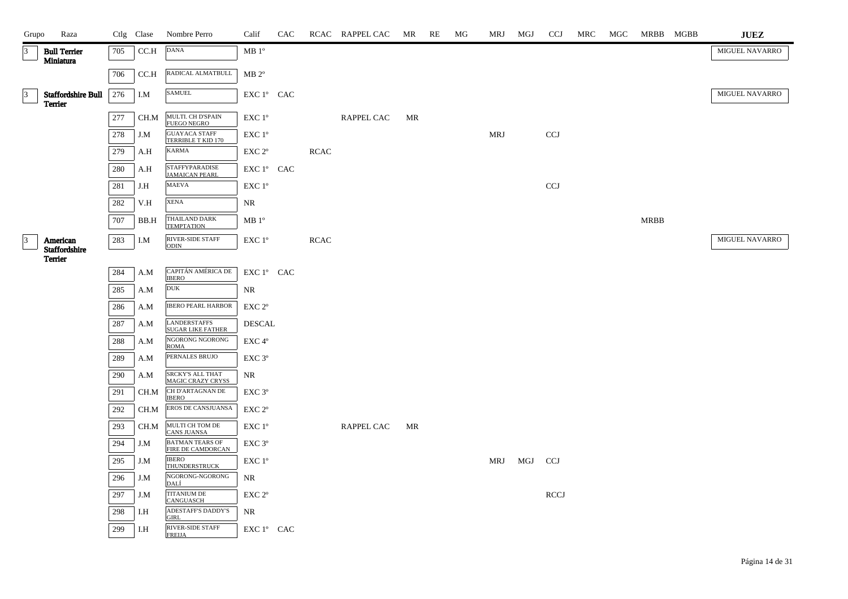| Grupo     | Raza                                        |         |              | Ctlg Clase Nombre Perro                             | Calif                                        | CAC |             | RCAC RAPPEL CAC MR |    | RE | MG | MRJ MGJ    |     | <b>CCJ</b>  | MRC | MGC MRBB MGBB | <b>JUEZ</b>    |
|-----------|---------------------------------------------|---------|--------------|-----------------------------------------------------|----------------------------------------------|-----|-------------|--------------------|----|----|----|------------|-----|-------------|-----|---------------|----------------|
|           | <b>Bull Terrier</b><br>Miniatura            | 705     | CC.H         | <b>DANA</b>                                         | $MB1^{\circ}$                                |     |             |                    |    |    |    |            |     |             |     |               | MIGUEL NAVARRO |
|           |                                             | 706     | CC.H         | RADICAL ALMATBULL                                   | $MB 2^{\circ}$                               |     |             |                    |    |    |    |            |     |             |     |               |                |
| 13        | <b>Staffordshire Bull</b><br><b>Terrier</b> | 276     | I.M          | <b>SAMUEL</b>                                       | EXC 1° CAC                                   |     |             |                    |    |    |    |            |     |             |     |               | MIGUEL NAVARRO |
|           |                                             | 277     | CH.M         | MULTI. CH D'SPAIN<br>FUEGO NEGRO                    | EXC 1°                                       |     |             | <b>RAPPEL CAC</b>  | MR |    |    |            |     |             |     |               |                |
|           |                                             | 278     | $_{\rm J.M}$ | <b>GUAYACA STAFF</b><br>TERRIBLE T KID 170          | EXC 1°                                       |     |             |                    |    |    |    | <b>MRJ</b> |     | CCJ         |     |               |                |
|           |                                             | 279     | A.H          | <b>KARMA</b>                                        | $\ensuremath{\mathrm{EXC}}$ $2^{\mathrm{o}}$ |     | <b>RCAC</b> |                    |    |    |    |            |     |             |     |               |                |
|           |                                             | $280\,$ | A.H          | <b>STAFFYPARADISE</b><br><b>JAMAICAN PEARL</b>      | EXC 1° CAC                                   |     |             |                    |    |    |    |            |     |             |     |               |                |
|           |                                             | 281     | J.H          | <b>MAEVA</b>                                        | $\ensuremath{\mathrm{EXC}}$ $1^{\mathrm{o}}$ |     |             |                    |    |    |    |            |     | CCJ         |     |               |                |
|           |                                             | 282     | V.H          | <b>XENA</b>                                         | NR                                           |     |             |                    |    |    |    |            |     |             |     |               |                |
|           |                                             | 707     | BB.H         | THAILAND DARK<br><b>TEMPTATION</b>                  | $MB1^{\circ}$                                |     |             |                    |    |    |    |            |     |             |     | <b>MRBB</b>   |                |
| $\vert$ 3 | American<br><b>Staffordshire</b>            | 283     | I.M          | <b>RIVER-SIDE STAFF</b><br><b>ODIN</b>              | EXC 1°                                       |     | <b>RCAC</b> |                    |    |    |    |            |     |             |     |               | MIGUEL NAVARRO |
|           | <b>Terrier</b>                              | 284     | A.M          | CAPITÁN AMÉRICA DE                                  | EXC 1° CAC                                   |     |             |                    |    |    |    |            |     |             |     |               |                |
|           |                                             | $285\,$ | A.M          | <b>IBERO</b><br><b>DUK</b>                          | NR                                           |     |             |                    |    |    |    |            |     |             |     |               |                |
|           |                                             | 286     | A.M          | <b>IBERO PEARL HARBOR</b>                           | EXC 2 <sup>o</sup>                           |     |             |                    |    |    |    |            |     |             |     |               |                |
|           |                                             | 287     | A.M          | <b>LANDERSTAFFS</b>                                 | <b>DESCAL</b>                                |     |             |                    |    |    |    |            |     |             |     |               |                |
|           |                                             | 288     | A.M          | <b>SUGAR LIKE FATHER</b><br>NGORONG NGORONG         | EXC 4°                                       |     |             |                    |    |    |    |            |     |             |     |               |                |
|           |                                             | 289     | A.M          | <b>ROMA</b><br>PERNALES BRUJO                       | EXC 3°                                       |     |             |                    |    |    |    |            |     |             |     |               |                |
|           |                                             | 290     | A.M          | <b>SRCKY'S ALL THAT</b><br><b>MAGIC CRAZY CRYSS</b> | NR                                           |     |             |                    |    |    |    |            |     |             |     |               |                |
|           |                                             | 291     | CH.M         | CH D'ARTAGNAN DE<br><b>IBERO</b>                    | EXC 3 <sup>o</sup>                           |     |             |                    |    |    |    |            |     |             |     |               |                |
|           |                                             | 292     | CH.M         | EROS DE CANSJUANSA                                  | EXC 2 <sup>o</sup>                           |     |             |                    |    |    |    |            |     |             |     |               |                |
|           |                                             | 293     | CH.M         | MULTI CH TOM DE<br><b>CANS JUANSA</b>               | EXC 1°                                       |     |             | RAPPEL CAC         | MR |    |    |            |     |             |     |               |                |
|           |                                             | 294     | J.M          | <b>BATMAN TEARS OF</b><br>FIRE DE CAMDORCAN         | EXC 3 <sup>o</sup>                           |     |             |                    |    |    |    |            |     |             |     |               |                |
|           |                                             | 295     | J.M          | <b>IBERO</b><br><b>THUNDERSTRUCK</b>                | EXC 1°                                       |     |             |                    |    |    |    | MRJ        | MGJ | <b>CCJ</b>  |     |               |                |
|           |                                             | 296     | J.M          | NGORONG-NGORONG<br>DALÍ                             | NR                                           |     |             |                    |    |    |    |            |     |             |     |               |                |
|           |                                             | 297     | J.M          | <b>TITANIUM DE</b><br>CANGUASCH                     | EXC 2 <sup>o</sup>                           |     |             |                    |    |    |    |            |     | <b>RCCJ</b> |     |               |                |
|           |                                             | 298     | I.H          | ADESTAFF'S DADDY'S<br><b>GIRL</b>                   | NR                                           |     |             |                    |    |    |    |            |     |             |     |               |                |
|           |                                             | 299     | I.H          | <b>RIVER-SIDE STAFF</b><br><b>FREIJA</b>            | EXC 1° CAC                                   |     |             |                    |    |    |    |            |     |             |     |               |                |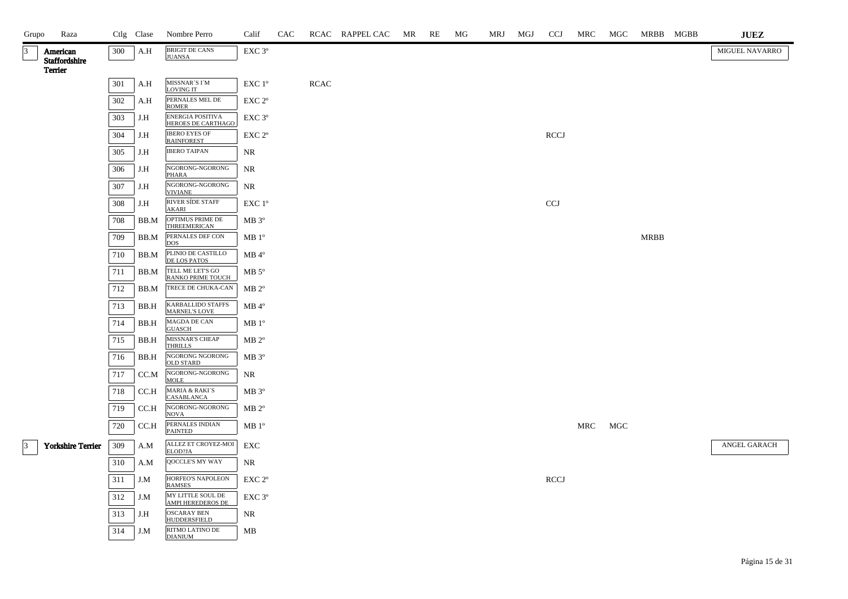| Grupo       | Raza                      |         | Ctlg Clase | Nombre Perro                                     | Calif             | CAC |             | RCAC RAPPEL CAC | MR | RE | MG | MRJ | MGJ | <b>CCJ</b>  | MRC | MGC | MRBB MGBB   | $\mathbf{J}\mathbf{U}\mathbf{E}\mathbf{Z}$ |
|-------------|---------------------------|---------|------------|--------------------------------------------------|-------------------|-----|-------------|-----------------|----|----|----|-----|-----|-------------|-----|-----|-------------|--------------------------------------------|
| 3           | American<br>Staffordshire | 300     | A.H        | <b>BRIGIT DE CANS</b><br><b>JUANSA</b>           | EXC 3°            |     |             |                 |    |    |    |     |     |             |     |     |             | MIGUEL NAVARRO                             |
|             | Terrier                   |         |            |                                                  |                   |     |             |                 |    |    |    |     |     |             |     |     |             |                                            |
|             |                           | $301\,$ | A.H        | MISSNAR'S I'M<br>LOVING IT                       | EXC 1°            |     | <b>RCAC</b> |                 |    |    |    |     |     |             |     |     |             |                                            |
|             |                           | 302     | A.H        | PERNALES MEL DE<br><b>ROMER</b>                  | EXC 2°            |     |             |                 |    |    |    |     |     |             |     |     |             |                                            |
|             |                           | 303     | J.H        | <b>ENERGIA POSITIVA</b><br>HEROES DE CARTHAGO    | EXC 3°            |     |             |                 |    |    |    |     |     |             |     |     |             |                                            |
|             |                           | 304     | J.H        | <b>IBERO EYES OF</b><br><b>RAINFOREST</b>        | EXC 2°            |     |             |                 |    |    |    |     |     | <b>RCCJ</b> |     |     |             |                                            |
|             |                           | 305     | J.H        | <b>IBERO TAIPAN</b>                              | <b>NR</b>         |     |             |                 |    |    |    |     |     |             |     |     |             |                                            |
|             |                           | 306     | J.H        | NGORONG-NGORONG<br><b>PHARA</b>                  | <b>NR</b>         |     |             |                 |    |    |    |     |     |             |     |     |             |                                            |
|             |                           | 307     | J.H        | NGORONG-NGORONG<br>VIVIANE                       | <b>NR</b>         |     |             |                 |    |    |    |     |     |             |     |     |             |                                            |
|             |                           | 308     | J.H        | RIVER SÍDE STAFF<br><b>AKARI</b>                 | EXC 1°            |     |             |                 |    |    |    |     |     | CCJ         |     |     |             |                                            |
|             |                           | 708     | BB.M       | OPTIMUS PRIME DE<br>THREEMERICAN                 | MB 3°             |     |             |                 |    |    |    |     |     |             |     |     |             |                                            |
|             |                           | 709     | BB.M       | PERNALES DEF CON<br><b>DOS</b>                   | MB 1 <sup>o</sup> |     |             |                 |    |    |    |     |     |             |     |     | <b>MRBB</b> |                                            |
|             |                           | 710     | BB.M       | PLINIO DE CASTILLO<br><b>DE LOS PATOS</b>        | $MB 4^{\circ}$    |     |             |                 |    |    |    |     |     |             |     |     |             |                                            |
|             |                           | 711     | BB.M       | TELL ME LET'S GO<br>RANKO PRIME TOUCH            | $MB 5^{\circ}$    |     |             |                 |    |    |    |     |     |             |     |     |             |                                            |
|             |                           | 712     | BB.M       | TRECE DE CHUKA-CAN                               | $MB 2^{\circ}$    |     |             |                 |    |    |    |     |     |             |     |     |             |                                            |
|             |                           | 713     | BB.H       | <b>KARBALLIDO STAFFS</b><br><b>MARNEL'S LOVE</b> | $MB 4^{\circ}$    |     |             |                 |    |    |    |     |     |             |     |     |             |                                            |
|             |                           | 714     | BB.H       | MAGDA DE CAN<br>GUASCH                           | MB 1 <sup>o</sup> |     |             |                 |    |    |    |     |     |             |     |     |             |                                            |
|             |                           | 715     | BB.H       | MISSNAR'S CHEAP<br><b>THRILLS</b>                | $MB 2^{\circ}$    |     |             |                 |    |    |    |     |     |             |     |     |             |                                            |
|             |                           | 716     | BB.H       | NGORONG NGORONG<br><b>OLD STARD</b>              | $MB 3^{\circ}$    |     |             |                 |    |    |    |     |     |             |     |     |             |                                            |
|             |                           | 717     | CC.M       | NGORONG-NGORONG<br><b>MOLE</b>                   | NR                |     |             |                 |    |    |    |     |     |             |     |     |             |                                            |
|             |                           | 718     | CC.H       | <b>MARIA &amp; RAKI'S</b><br>CASABLANCA          | MB 3°             |     |             |                 |    |    |    |     |     |             |     |     |             |                                            |
|             |                           | 719     | CC.H       | NGORONG-NGORONG<br><b>NOVA</b>                   | $MB 2^{\circ}$    |     |             |                 |    |    |    |     |     |             |     |     |             |                                            |
|             |                           | 720     | CC.H       | PERNALES INDIAN<br>PAINTED                       | $MB1^{\circ}$     |     |             |                 |    |    |    |     |     |             | MRC | MGC |             |                                            |
| $ 3\rangle$ | <b>Yorkshire Terrier</b>  | 309     | A.M        | ALLEZ ET CROYEZ-MOI<br>ELOD?JA                   | ${\rm EXC}$       |     |             |                 |    |    |    |     |     |             |     |     |             | ANGEL GARACH                               |
|             |                           | 310     | A.M        | QOCCLE'S MY WAY                                  | NR                |     |             |                 |    |    |    |     |     |             |     |     |             |                                            |
|             |                           | 311     | J.M        | HORFEO'S NAPOLEON<br><b>RAMSES</b>               | EXC <sub>2°</sub> |     |             |                 |    |    |    |     |     | <b>RCCJ</b> |     |     |             |                                            |
|             |                           | 312     | J.M        | MY LITTLE SOUL DE<br>AMPI HEREDEROS DE           | EXC 3°            |     |             |                 |    |    |    |     |     |             |     |     |             |                                            |
|             |                           | 313     | J.H        | <b>OSCARAY BEN</b><br><b>HUDDERSFIELD</b>        | NR                |     |             |                 |    |    |    |     |     |             |     |     |             |                                            |
|             |                           | 314     | J.M        | RITMO LATINO DE<br><b>DIANIUM</b>                | MB                |     |             |                 |    |    |    |     |     |             |     |     |             |                                            |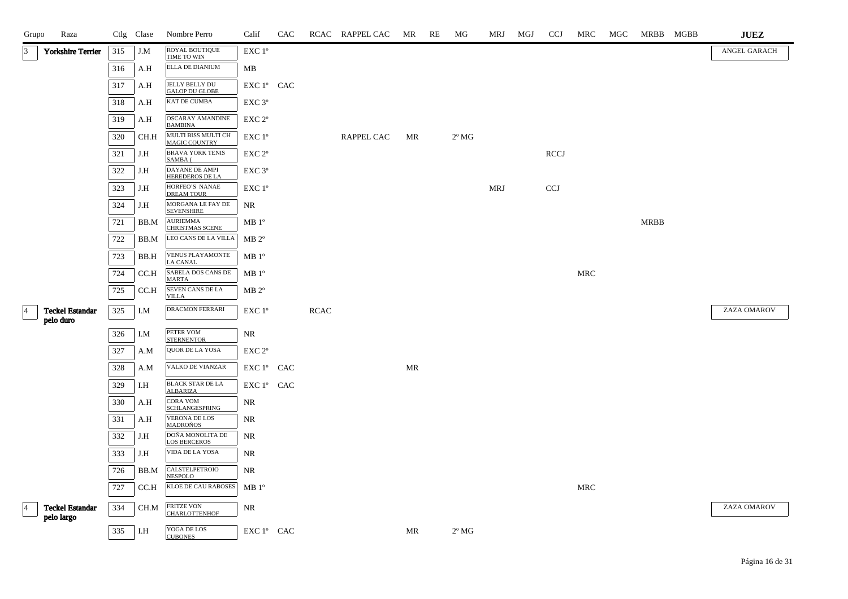| Grupo          | Raza                     |     | Ctlg Clase | Nombre Perro                                  | Calif              | CAC |             | RCAC RAPPEL CAC | MR | RE | MG             | MRJ        | MGJ | <b>CCJ</b>  | MRC        | MGC | MRBB MGBB   | <b>JUEZ</b>  |
|----------------|--------------------------|-----|------------|-----------------------------------------------|--------------------|-----|-------------|-----------------|----|----|----------------|------------|-----|-------------|------------|-----|-------------|--------------|
| $\vert$ 3      | <b>Yorkshire Terrier</b> | 315 | J.M        | ROYAL BOUTIQUE<br>TIME TO WIN                 | EXC 1°             |     |             |                 |    |    |                |            |     |             |            |     |             | ANGEL GARACH |
|                |                          | 316 | A.H        | ELLA DE DIANIUM                               | MB                 |     |             |                 |    |    |                |            |     |             |            |     |             |              |
|                |                          | 317 | A.H        | JELLY BELLY DU<br><b>GALOP DU GLOBE</b>       | EXC 1° CAC         |     |             |                 |    |    |                |            |     |             |            |     |             |              |
|                |                          | 318 | A.H        | KAT DE CUMBA                                  | EXC 3°             |     |             |                 |    |    |                |            |     |             |            |     |             |              |
|                |                          | 319 | A.H        | <b>OSCARAY AMANDINE</b><br><b>BAMBINA</b>     | EXC 2 <sup>o</sup> |     |             |                 |    |    |                |            |     |             |            |     |             |              |
|                |                          | 320 | CH.H       | MULTI BISS MULTI CH<br><b>MAGIC COUNTRY</b>   | EXC 1°             |     |             | RAPPEL CAC      | MR |    | $2^{\circ}$ MG |            |     |             |            |     |             |              |
|                |                          | 321 | J.H        | <b>BRAVA YORK TENIS</b><br>SAMBA (            | EXC 2 <sup>o</sup> |     |             |                 |    |    |                |            |     | <b>RCCJ</b> |            |     |             |              |
|                |                          | 322 | J.H        | DAYANE DE AMPI<br>HEREDEROS DE LA             | EXC 3°             |     |             |                 |    |    |                |            |     |             |            |     |             |              |
|                |                          | 323 | J.H        | HORFEO'S NANAE<br><b>DREAM TOUR</b>           | EXC 1°             |     |             |                 |    |    |                | <b>MRJ</b> |     | <b>CCJ</b>  |            |     |             |              |
|                |                          | 324 | J.H        | MORGANA LE FAY DE<br><b>SEVENSHIRE</b>        | NR                 |     |             |                 |    |    |                |            |     |             |            |     |             |              |
|                |                          | 721 | BB.M       | AURIEMMA<br>CHRISTMAS SCENE                   | $MB1^{\circ}$      |     |             |                 |    |    |                |            |     |             |            |     | <b>MRBB</b> |              |
|                |                          | 722 | BB.M       | LEO CANS DE LA VILLA                          | $MB 2^{\circ}$     |     |             |                 |    |    |                |            |     |             |            |     |             |              |
|                |                          | 723 | BB.H       | VENUS PLAYAMONTE<br><b>LA CANAL</b>           | MB 1 <sup>o</sup>  |     |             |                 |    |    |                |            |     |             |            |     |             |              |
|                |                          | 724 | CC.H       | SABELA DOS CANS DE<br><b>MARTA</b>            | MB 1 <sup>o</sup>  |     |             |                 |    |    |                |            |     |             | <b>MRC</b> |     |             |              |
|                |                          | 725 | CC.H       | SEVEN CANS DE LA<br><b>VILLA</b>              | $MB 2^{\circ}$     |     |             |                 |    |    |                |            |     |             |            |     |             |              |
| $\overline{4}$ | <b>Teckel Estandar</b>   | 325 | I.M        | <b>DRACMON FERRARI</b>                        | EXC 1°             |     | <b>RCAC</b> |                 |    |    |                |            |     |             |            |     |             | ZAZA OMAROV  |
|                | pelo duro                | 326 | I.M        | PETER VOM                                     | NR                 |     |             |                 |    |    |                |            |     |             |            |     |             |              |
|                |                          | 327 | A.M        | <b>STERNENTOR</b><br><b>QUOR DE LA YOSA</b>   | EXC 2 <sup>o</sup> |     |             |                 |    |    |                |            |     |             |            |     |             |              |
|                |                          | 328 | A.M        | <b>VALKO DE VIANZAR</b>                       | EXC 1° CAC         |     |             |                 | MR |    |                |            |     |             |            |     |             |              |
|                |                          | 329 | I.H        | <b>BLACK STAR DE LA</b>                       | EXC 1° CAC         |     |             |                 |    |    |                |            |     |             |            |     |             |              |
|                |                          | 330 | A.H        | <b>ALBARIZA</b><br><b>CORA VOM</b>            | NR                 |     |             |                 |    |    |                |            |     |             |            |     |             |              |
|                |                          | 331 | A.H        | <b>SCHLANGESPRING</b><br><b>VERONA DE LOS</b> | NR                 |     |             |                 |    |    |                |            |     |             |            |     |             |              |
|                |                          | 332 | J.H        | <b>MADROÑOS</b><br>DOÑA MONOLITA DE           | <b>NR</b>          |     |             |                 |    |    |                |            |     |             |            |     |             |              |
|                |                          | 333 | J.H        | <b>LOS BERCEROS</b><br><b>VIDA DE LA YOSA</b> | NR                 |     |             |                 |    |    |                |            |     |             |            |     |             |              |
|                |                          | 726 | BB.M       | CALSTELPETROIO                                | NR                 |     |             |                 |    |    |                |            |     |             |            |     |             |              |
|                |                          | 727 | CC.H       | NESPOLO<br>KLOE DE CAU RABOSES                | MB 1 <sup>o</sup>  |     |             |                 |    |    |                |            |     |             | <b>MRC</b> |     |             |              |
| $\overline{4}$ | <b>Teckel Estandar</b>   | 334 | CH.M       |                                               | NR                 |     |             |                 |    |    |                |            |     |             |            |     |             | ZAZA OMAROV  |
|                | pelo largo               |     |            | FRITZE VON<br>CHARLOTTENHOF                   |                    |     |             |                 |    |    |                |            |     |             |            |     |             |              |
|                |                          | 335 | I.H        | YOGA DE LOS<br><b>CUROMES</b>                 | EXC 1° CAC         |     |             |                 | MR |    | $2^{\circ}$ MG |            |     |             |            |     |             |              |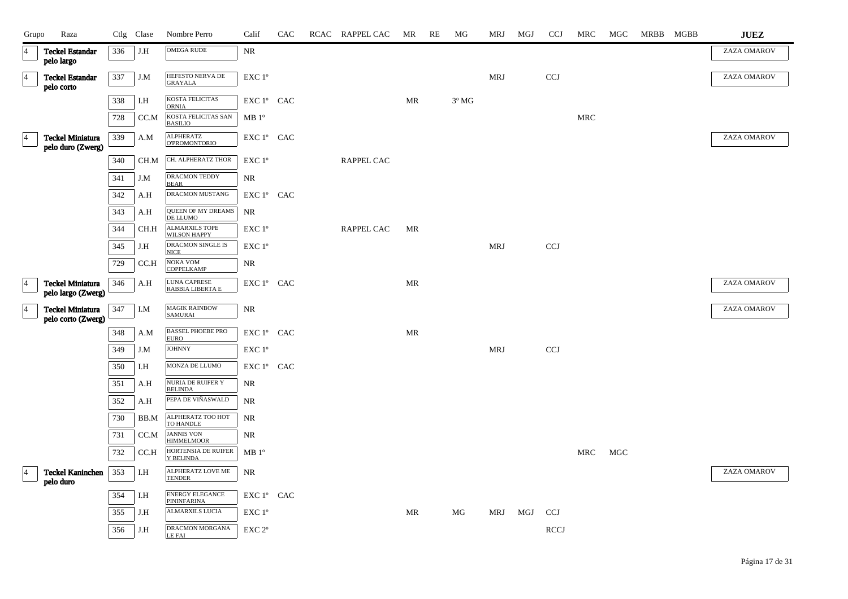| Grupo           | Raza                                          |     | Ctlg Clase                  | Nombre Perro                                          | Calif          | CAC | RCAC RAPPEL CAC | MR        | RE | МG             | MRJ        | MGJ | <b>CCJ</b>   | <b>MRC</b> | MGC | MRBB MGBB | <b>JUEZ</b> |
|-----------------|-----------------------------------------------|-----|-----------------------------|-------------------------------------------------------|----------------|-----|-----------------|-----------|----|----------------|------------|-----|--------------|------------|-----|-----------|-------------|
| 14              | <b>Teckel Estandar</b><br>pelo largo          | 336 | J.H                         | <b>OMEGA RUDE</b>                                     | NR             |     |                 |           |    |                |            |     |              |            |     |           | ZAZA OMAROV |
| $\vert 4 \vert$ | <b>Teckel Estandar</b><br>pelo corto          | 337 | J.M                         | HEFESTO NERVA DE<br><b>GRAYALA</b>                    | EXC 1°         |     |                 |           |    |                | <b>MRJ</b> |     | <b>CCJ</b>   |            |     |           | ZAZA OMAROV |
|                 |                                               | 338 | I.H                         | KOSTA FELICITAS                                       | EXC 1º CAC     |     |                 | MR        |    | $3^{\circ}$ MG |            |     |              |            |     |           |             |
|                 |                                               | 728 | CC.M                        | <b>ORNIA</b><br>KOSTA FELICITAS SAN<br><b>BASILIO</b> | $MB1^{\circ}$  |     |                 |           |    |                |            |     |              | <b>MRC</b> |     |           |             |
| $\overline{4}$  | <b>Teckel Miniatura</b><br>pelo duro (Zwerg)  | 339 | A.M                         | <b>ALPHERATZ</b><br><b>O'PROMONTORIO</b>              | EXC 1º CAC     |     |                 |           |    |                |            |     |              |            |     |           | ZAZA OMAROV |
|                 |                                               | 340 | CH.M                        | CH. ALPHERATZ THOR                                    | EXC 1°         |     | RAPPEL CAC      |           |    |                |            |     |              |            |     |           |             |
|                 |                                               | 341 | J.M                         | DRACMON TEDDY<br><b>BEAR</b>                          | <b>NR</b>      |     |                 |           |    |                |            |     |              |            |     |           |             |
|                 |                                               | 342 | A.H                         | DRACMON MUSTANG                                       | EXC 1º CAC     |     |                 |           |    |                |            |     |              |            |     |           |             |
|                 |                                               | 343 | A.H                         | QUEEN OF MY DREAMS<br>DE LLUMO                        | $\rm NR$       |     |                 |           |    |                |            |     |              |            |     |           |             |
|                 |                                               | 344 | CH.H                        | <b>ALMARXILS TOPE</b><br><b>WILSON HAPPY</b>          | EXC 1°         |     | RAPPEL CAC      | MR        |    |                |            |     |              |            |     |           |             |
|                 |                                               | 345 | J.H                         | DRACMON SINGLE IS<br>NICE                             | $EXC1^{\circ}$ |     |                 |           |    |                | MRJ        |     | CCJ          |            |     |           |             |
|                 |                                               | 729 | CC.H                        | NOKA VOM<br><b>COPPELKAMP</b>                         | <b>NR</b>      |     |                 |           |    |                |            |     |              |            |     |           |             |
| $\overline{4}$  | <b>Teckel Miniatura</b><br>pelo largo (Zwerg) | 346 | A.H                         | LUNA CAPRESE<br>RABBIA LIBERTA E                      | EXC 1º CAC     |     |                 | MR        |    |                |            |     |              |            |     |           | ZAZA OMAROV |
| $\overline{4}$  | <b>Teckel Miniatura</b><br>pelo corto (Zwerg) | 347 | I.M                         | <b>MAGIK RAINBOW</b><br><b>SAMURAI</b>                | NR             |     |                 |           |    |                |            |     |              |            |     |           | ZAZA OMAROV |
|                 |                                               | 348 | A.M                         | <b>BASSEL PHOEBE PRO</b><br><b>EURO</b>               | EXC 1º CAC     |     |                 | MR        |    |                |            |     |              |            |     |           |             |
|                 |                                               | 349 | J.M                         | <b>JOHNNY</b>                                         | EXC 1°         |     |                 |           |    |                | <b>MRJ</b> |     | $_{\rm CCJ}$ |            |     |           |             |
|                 |                                               | 350 | $\mathop{\rm I.H}\nolimits$ | MONZA DE LLUMO                                        | EXC 1º CAC     |     |                 |           |    |                |            |     |              |            |     |           |             |
|                 |                                               | 351 | A.H                         | <b>NURIA DE RUIFER Y</b><br><b>BELINDA</b>            | NR             |     |                 |           |    |                |            |     |              |            |     |           |             |
|                 |                                               | 352 | A.H                         | PEPA DE VIÑASWALD                                     | NR             |     |                 |           |    |                |            |     |              |            |     |           |             |
|                 |                                               | 730 | BB.M                        | ALPHERATZ TOO HOT<br>TO HANDLE                        | NR             |     |                 |           |    |                |            |     |              |            |     |           |             |
|                 |                                               | 731 | CC.M                        | <b>JANNIS VON</b><br><b>HIMMELMOOR</b>                | NR             |     |                 |           |    |                |            |     |              |            |     |           |             |
|                 |                                               | 732 | CC.H                        | HORTENSIA DE RUIFER<br>Y BELINDA                      | $MB1^{\circ}$  |     |                 |           |    |                |            |     |              | MRC        | MGC |           |             |
|                 | <b>Teckel Kaninchen</b><br>pelo duro          | 353 | I.H                         | ALPHERATZ LOVE ME<br>TENDER                           | NR             |     |                 |           |    |                |            |     |              |            |     |           | ZAZA OMAROV |
|                 |                                               | 354 | I.H                         | ENERGY ELEGANCE<br>PININFARINA                        | EXC 1º CAC     |     |                 |           |    |                |            |     |              |            |     |           |             |
|                 |                                               | 355 | J.H                         | <b>ALMARXILS LUCIA</b>                                | EXC 1°         |     |                 | <b>MR</b> |    | MG             | MRJ        | MGJ | <b>CCJ</b>   |            |     |           |             |
|                 |                                               | 356 | J.H                         | DRACMON MORGANA<br>LE FAI                             | EXC 2°         |     |                 |           |    |                |            |     | <b>RCCJ</b>  |            |     |           |             |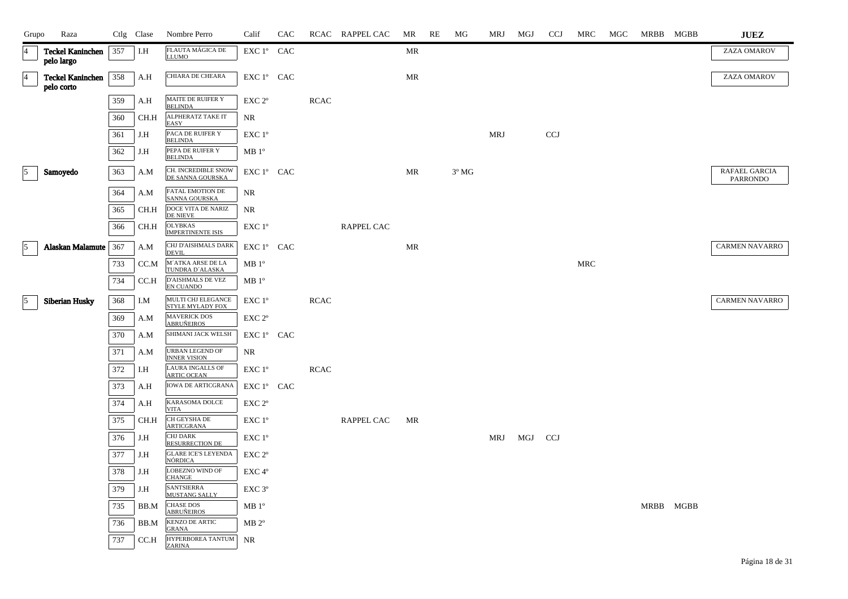| Grupo           | Raza                                        |     | Ctlg Clase | Nombre Perro                                 | Calif              | CAC |             | RCAC RAPPEL CAC   | MR | RE | МG             | MRJ        | MGJ | <b>CCJ</b> | MRC        | MGC | MRBB MGBB | <b>JUEZ</b>                      |
|-----------------|---------------------------------------------|-----|------------|----------------------------------------------|--------------------|-----|-------------|-------------------|----|----|----------------|------------|-----|------------|------------|-----|-----------|----------------------------------|
| 4               | <b>Teckel Kaninchen</b><br>pelo largo       | 357 | I.H        | FLAUTA MÁGICA DE<br><b>LLUMO</b>             | EXC 1° CAC         |     |             |                   | MR |    |                |            |     |            |            |     |           | ZAZA OMAROV                      |
| $\overline{4}$  | <b>Teckel Kaninchen</b>   358<br>pelo corto |     | A.H        | <b>CHIARA DE CHEARA</b>                      | EXC 1° CAC         |     |             |                   | MR |    |                |            |     |            |            |     |           | ZAZA OMAROV                      |
|                 |                                             | 359 | A.H        | MAITE DE RUIFER Y<br><b>BELINDA</b>          | EXC 2 <sup>o</sup> |     | <b>RCAC</b> |                   |    |    |                |            |     |            |            |     |           |                                  |
|                 |                                             | 360 | CH.H       | ALPHERATZ TAKE IT<br><b>EASY</b>             | NR                 |     |             |                   |    |    |                |            |     |            |            |     |           |                                  |
|                 |                                             | 361 | J.H        | PACA DE RUIFER Y<br><b>BELINDA</b>           | EXC 1 <sup>o</sup> |     |             |                   |    |    |                | <b>MRJ</b> |     | <b>CCJ</b> |            |     |           |                                  |
|                 |                                             | 362 | J.H        | PEPA DE RUIFER Y<br><b>BELINDA</b>           | $MB1^{\circ}$      |     |             |                   |    |    |                |            |     |            |            |     |           |                                  |
| $\vert$ 5       | Samoyedo                                    | 363 | A.M        | CH. INCREDIBLE SNOW<br>DE SANNA GOURSKA      | EXC 1° CAC         |     |             |                   | MR |    | $3^{\circ}$ MG |            |     |            |            |     |           | RAFAEL GARCIA<br><b>PARRONDO</b> |
|                 |                                             | 364 | A.M        | FATAL EMOTION DE<br>SANNA GOURSKA            | NR                 |     |             |                   |    |    |                |            |     |            |            |     |           |                                  |
|                 |                                             | 365 | CH.H       | DOCE VITA DE NARIZ<br><b>DE NIEVE</b>        | NR.                |     |             |                   |    |    |                |            |     |            |            |     |           |                                  |
|                 |                                             | 366 | CH.H       | <b>OLYBKAS</b><br><b>IMPERTINENTE ISIS</b>   | EXC 1°             |     |             | <b>RAPPEL CAC</b> |    |    |                |            |     |            |            |     |           |                                  |
| $\vert$ 5       | Alaskan Malamute   367                      |     | A.M        | CHJ D'AISHMALS DARK<br><b>DEVIL</b>          | EXC 1° CAC         |     |             |                   | MR |    |                |            |     |            |            |     |           | <b>CARMEN NAVARRO</b>            |
|                 |                                             | 733 | CC.M       | M'ATKA ARSE DE LA<br>TUNDRA D'ALASKA         | $MB1^{\circ}$      |     |             |                   |    |    |                |            |     |            | <b>MRC</b> |     |           |                                  |
|                 |                                             | 734 | CC.H       | D'AISHMALS DE VEZ<br>EN CUANDO               | MB 1 <sup>o</sup>  |     |             |                   |    |    |                |            |     |            |            |     |           |                                  |
| $\vert 5 \vert$ | <b>Siberian Husky</b>                       | 368 | I.M        | MULTI CHJ ELEGANCE<br>STYLE MYLADY FOX       | EXC 1°             |     | <b>RCAC</b> |                   |    |    |                |            |     |            |            |     |           | <b>CARMEN NAVARRO</b>            |
|                 |                                             | 369 | A.M        | <b>MAVERICK DOS</b><br><b>ABRUÑEIROS</b>     | EXC <sub>2°</sub>  |     |             |                   |    |    |                |            |     |            |            |     |           |                                  |
|                 |                                             | 370 | A.M        | SHIMANI JACK WELSH                           | EXC 1° CAC         |     |             |                   |    |    |                |            |     |            |            |     |           |                                  |
|                 |                                             | 371 | A.M        | URBAN LEGEND OF<br><b>INNER VISION</b>       | NR                 |     |             |                   |    |    |                |            |     |            |            |     |           |                                  |
|                 |                                             | 372 | I.H        | LAURA INGALLS OF<br><b>ARTIC OCEAN</b>       | EXC 1°             |     | <b>RCAC</b> |                   |    |    |                |            |     |            |            |     |           |                                  |
|                 |                                             | 373 | A.H        | <b>IOWA DE ARTICGRANA</b>                    | EXC 1° CAC         |     |             |                   |    |    |                |            |     |            |            |     |           |                                  |
|                 |                                             | 374 | A.H        | KARASOMA DOLCE<br><b>VITA</b>                | EXC <sub>2°</sub>  |     |             |                   |    |    |                |            |     |            |            |     |           |                                  |
|                 |                                             | 375 | CH.H       | CH GEYSHA DE<br><b>ARTICGRANA</b>            | EXC 1 <sup>o</sup> |     |             | RAPPEL CAC        | MR |    |                |            |     |            |            |     |           |                                  |
|                 |                                             | 376 | J.H        | <b>CHJ DARK</b><br>RESURRECTION DE           | EXC 1 <sup>°</sup> |     |             |                   |    |    |                | MRJ        | MGJ | CCJ        |            |     |           |                                  |
|                 |                                             | 377 | J.H        | <b>GLARE ICE'S LEYENDA</b><br><b>NÓRDICA</b> | EXC 2 <sup>o</sup> |     |             |                   |    |    |                |            |     |            |            |     |           |                                  |
|                 |                                             | 378 | J.H        | LOBEZNO WIND OF<br><b>CHANGE</b>             | EXC 4°             |     |             |                   |    |    |                |            |     |            |            |     |           |                                  |
|                 |                                             | 379 | J.H        | <b>SANTSIERRA</b><br><b>MUSTANG SALLY</b>    | EXC 3°             |     |             |                   |    |    |                |            |     |            |            |     |           |                                  |
|                 |                                             | 735 | BB.M       | <b>CHASE DOS</b><br><b>ABRUÑEIROS</b>        | MB 1 <sup>o</sup>  |     |             |                   |    |    |                |            |     |            |            |     | MRBB MGBB |                                  |
|                 |                                             | 736 | BB.M       | KENZO DE ARTIC<br><b>GRANA</b>               | $MB 2^{\circ}$     |     |             |                   |    |    |                |            |     |            |            |     |           |                                  |
|                 |                                             | 737 | CC.H       | HYPERBOREA TANTUM<br>ZARINA                  | <b>NR</b>          |     |             |                   |    |    |                |            |     |            |            |     |           |                                  |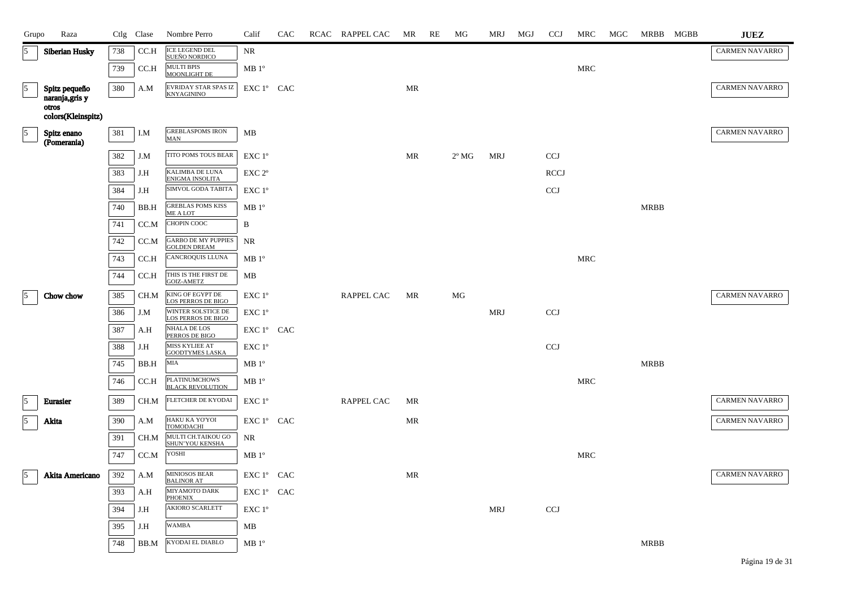| Grupo          | Raza                             |     | Ctlg Clase | Nombre Perro                                      | Calif                | CAC | RCAC RAPPEL CAC   | MR | RE | МG             | MRJ        | MGJ | <b>CCJ</b>  | MRC                  | MGC | MRBB MGBB   | <b>JUEZ</b>           |
|----------------|----------------------------------|-----|------------|---------------------------------------------------|----------------------|-----|-------------------|----|----|----------------|------------|-----|-------------|----------------------|-----|-------------|-----------------------|
| 5              | <b>Siberian Husky</b>            | 738 | CCA        | <b>ICE LEGEND DEL</b><br>SUEÑO NORDICO            | NR                   |     |                   |    |    |                |            |     |             |                      |     |             | <b>CARMEN NAVARRO</b> |
|                |                                  | 739 | CC.H       | MULTI BPIS<br>MOONLIGHT DE                        | $MB 1^{\circ}$       |     |                   |    |    |                |            |     |             | $\operatorname{MRC}$ |     |             |                       |
| $\overline{5}$ | Spitz pequeño<br>naranja, gris y | 380 | A.M        | <b>EVRIDAY STAR SPAS IZ</b><br><b>KNYAGININO</b>  | EXC 1° CAC           |     |                   | MR |    |                |            |     |             |                      |     |             | <b>CARMEN NAVARRO</b> |
|                | otros<br>colors(Kleinspitz)      |     |            |                                                   |                      |     |                   |    |    |                |            |     |             |                      |     |             |                       |
| $\vert$ 5      | Spitz enano<br>(Pomerania)       | 381 | I.M        | <b>GREBLASPOMS IRON</b><br>MAN                    | MB                   |     |                   |    |    |                |            |     |             |                      |     |             | <b>CARMEN NAVARRO</b> |
|                |                                  | 382 | J.M        | TITO POMS TOUS BEAR                               | EXC 1°               |     |                   | MR |    | $2^{\circ}$ MG | <b>MRJ</b> |     | <b>CCJ</b>  |                      |     |             |                       |
|                |                                  | 383 | J.H        | KALIMBA DE LUNA<br>ENIGMA INSOLITA                | EXC <sub>2°</sub>    |     |                   |    |    |                |            |     | <b>RCCJ</b> |                      |     |             |                       |
|                |                                  | 384 | J.H        | SIMVOL GODA TABITA                                | EXC 1°               |     |                   |    |    |                |            |     | <b>CCJ</b>  |                      |     |             |                       |
|                |                                  | 740 | BB.H       | <b>GREBLAS POMS KISS</b><br><b>ME A LOT</b>       | MB 1 <sup>o</sup>    |     |                   |    |    |                |            |     |             |                      |     | <b>MRBB</b> |                       |
|                |                                  | 741 | CC.M       | CHOPIN COOC                                       | B                    |     |                   |    |    |                |            |     |             |                      |     |             |                       |
|                |                                  | 742 | CC.M       | <b>GARBO DE MY PUPPIES</b><br><b>GOLDEN DREAM</b> | <b>NR</b>            |     |                   |    |    |                |            |     |             |                      |     |             |                       |
|                |                                  | 743 | CC.H       | <b>CANCROQUIS LLUNA</b>                           | MB 1 <sup>o</sup>    |     |                   |    |    |                |            |     |             | <b>MRC</b>           |     |             |                       |
|                |                                  | 744 | CCA        | THIS IS THE FIRST DE<br><b>GOIZ-AMETZ</b>         | MВ                   |     |                   |    |    |                |            |     |             |                      |     |             |                       |
| 15             | Chow chow                        | 385 | CH.M       | KING OF EGYPT DE<br>LOS PERROS DE BIGO            | EXC 1 <sup>o</sup>   |     | <b>RAPPEL CAC</b> | MR |    | MG             |            |     |             |                      |     |             | <b>CARMEN NAVARRO</b> |
|                |                                  | 386 | J.M        | WINTER SOLSTICE DE<br><b>LOS PERROS DE BIGO</b>   | $EXC1^{\circ}$       |     |                   |    |    |                | <b>MRJ</b> |     | <b>CCJ</b>  |                      |     |             |                       |
|                |                                  | 387 | A.H        | <b>NHALA DE LOS</b><br>PERROS DE BIGO             | EXC 1° CAC           |     |                   |    |    |                |            |     |             |                      |     |             |                       |
|                |                                  | 388 | J.H        | MISS KYLIEE AT<br><b>GOODTYMES LASKA</b>          | EXC 1°               |     |                   |    |    |                |            |     | <b>CCJ</b>  |                      |     |             |                       |
|                |                                  | 745 | BB.H       | MIA                                               | $MB1^{\circ}$        |     |                   |    |    |                |            |     |             |                      |     | <b>MRBB</b> |                       |
|                |                                  | 746 | CCA        | <b>PLATINUMCHOWS</b><br><b>BLACK REVOLUTION</b>   | MB 1 <sup>o</sup>    |     |                   |    |    |                |            |     |             | MRC                  |     |             |                       |
| 15             | <b>Eurasier</b>                  | 389 | CH.M       | FLETCHER DE KYODAI                                | EXC 1°               |     | RAPPEL CAC        | MR |    |                |            |     |             |                      |     |             | <b>CARMEN NAVARRO</b> |
| $\overline{5}$ | Akita                            | 390 | A.M        | HAKU KA YO'YOI<br>TOMODACHI                       | EXC 1° CAC           |     |                   | MR |    |                |            |     |             |                      |     |             | <b>CARMEN NAVARRO</b> |
|                |                                  | 391 | CH.M       | MULTI CH.TAIKOU GO<br>SHUN'YOU KENSHA             | <b>NR</b>            |     |                   |    |    |                |            |     |             |                      |     |             |                       |
|                |                                  | 747 | CC.M       | YOSHI                                             | $MB1^{\circ}$        |     |                   |    |    |                |            |     |             | <b>MRC</b>           |     |             |                       |
| 5              | Akita Americano                  | 392 | A.M        | <b>MINIOSOS BEAR</b><br><b>BALINOR AT</b>         | EXC 1° CAC           |     |                   | MR |    |                |            |     |             |                      |     |             | <b>CARMEN NAVARRO</b> |
|                |                                  | 393 | A.H        | <b>MIYAMOTO DARK</b><br>PHOENIX                   | EXC 1° CAC           |     |                   |    |    |                |            |     |             |                      |     |             |                       |
|                |                                  | 394 | J.H        | AKIORO SCARLETT                                   | EXC 1°               |     |                   |    |    |                | <b>MRJ</b> |     | <b>CCJ</b>  |                      |     |             |                       |
|                |                                  | 395 | J.H        | WAMBA                                             | MВ                   |     |                   |    |    |                |            |     |             |                      |     |             |                       |
|                |                                  | 748 | BB.M       | KYODAI EL DIABLO                                  | $\rm MB$ $1^{\rm o}$ |     |                   |    |    |                |            |     |             |                      |     | <b>MRBB</b> |                       |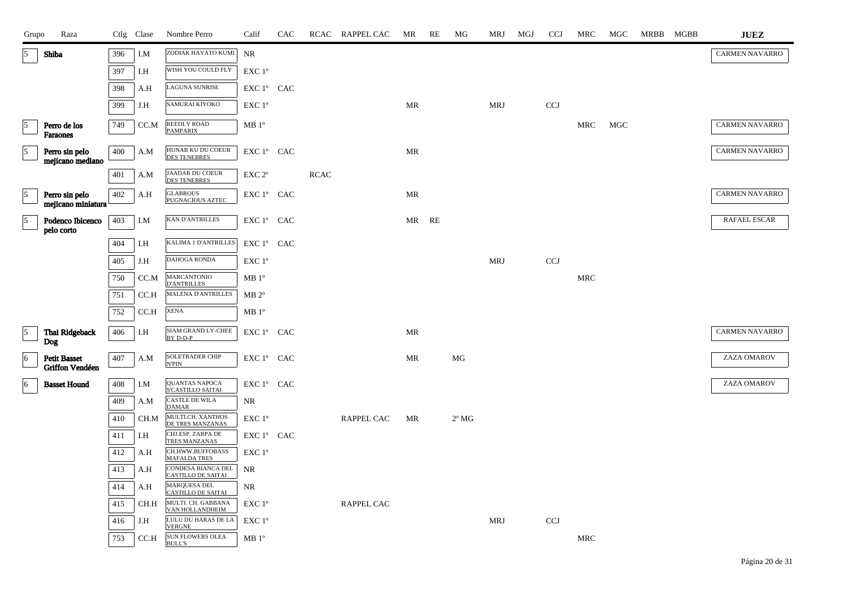| Grupo                      | Raza                                   |     | Ctlg Clase | Nombre Perro                                       | Calif              | CAC |             | RCAC RAPPEL CAC   | MR                                | RE | МG             | MRJ        | MGJ | <b>CCJ</b> | MRC | MGC | MRBB MGBB | <b>JUEZ</b>           |
|----------------------------|----------------------------------------|-----|------------|----------------------------------------------------|--------------------|-----|-------------|-------------------|-----------------------------------|----|----------------|------------|-----|------------|-----|-----|-----------|-----------------------|
| 5                          | <b>Shiba</b>                           | 396 | I.M        | ZODIAK HAYATO KUMI                                 | NR                 |     |             |                   |                                   |    |                |            |     |            |     |     |           | <b>CARMEN NAVARRO</b> |
|                            |                                        | 397 | I.H        | WISH YOU COULD FLY                                 | EXC 1°             |     |             |                   |                                   |    |                |            |     |            |     |     |           |                       |
|                            |                                        | 398 | A.H        | LAGUNA SUNRISE                                     | EXC 1º CAC         |     |             |                   |                                   |    |                |            |     |            |     |     |           |                       |
|                            |                                        | 399 | J.H        | SAMURAI KIYOKO                                     | EXC 1 <sup>o</sup> |     |             |                   | <b>MR</b>                         |    |                | <b>MRJ</b> |     | <b>CCJ</b> |     |     |           |                       |
| $\overline{\phantom{a}}^5$ | Perro de los<br>Faraones               | 749 | CC.M       | REEDLY ROAD<br><b>PAMPARIX</b>                     | MB 1 <sup>o</sup>  |     |             |                   |                                   |    |                |            |     |            | MRC | MGC |           | <b>CARMEN NAVARRO</b> |
| $\sqrt{5}$                 | Perro sin pelo<br>mejicano mediano     | 400 | A.M        | HUNAB KU DU COEUR<br><b>DES TENEBRES</b>           | EXC 1° CAC         |     |             |                   | $\ensuremath{\mathsf{MR}}\xspace$ |    |                |            |     |            |     |     |           | <b>CARMEN NAVARRO</b> |
|                            |                                        | 401 | A.M        | <b>JAADAR DU COEUR</b><br><b>DES TENEBRES</b>      | EXC <sub>2°</sub>  |     | <b>RCAC</b> |                   |                                   |    |                |            |     |            |     |     |           |                       |
| $\vert$ 5                  | Perro sin pelo<br>mejicano miniatura   | 402 | A.H        | <b>GLABROUS</b><br>PUGNACIOUS AZTEC                | EXC 1º CAC         |     |             |                   | MR                                |    |                |            |     |            |     |     |           | <b>CARMEN NAVARRO</b> |
| $\sqrt{5}$                 | Podenco Ibicenco<br>pelo corto         | 403 | I.M        | <b>KAN D'ANTRILLES</b>                             | EXC 1° CAC         |     |             |                   | MR                                | RE |                |            |     |            |     |     |           | RAFAEL ESCAR          |
|                            |                                        | 404 | I.H        | KALIMA 1 D'ANTRILLES                               | EXC 1° CAC         |     |             |                   |                                   |    |                |            |     |            |     |     |           |                       |
|                            |                                        | 405 | J.H        | DAHOGA RONDA                                       | EXC 1°             |     |             |                   |                                   |    |                | <b>MRJ</b> |     | <b>CCJ</b> |     |     |           |                       |
|                            |                                        | 750 | CC.M       | <b>MARCANTONIO</b><br><b>D'ANTRILLES</b>           | MB 1 <sup>o</sup>  |     |             |                   |                                   |    |                |            |     |            | MRC |     |           |                       |
|                            |                                        | 751 | CC.H       | MALENA D'ANTRILLES                                 | $MB 2^{\circ}$     |     |             |                   |                                   |    |                |            |     |            |     |     |           |                       |
|                            |                                        | 752 | CC.H       | <b>XENA</b>                                        | MB 1 <sup>o</sup>  |     |             |                   |                                   |    |                |            |     |            |     |     |           |                       |
| $\overline{\phantom{a}}$   | Thai Ridgeback<br>Dog                  | 406 | I.H        | SIAM GRAND LY-CHEE<br>BY D-D-P                     | EXC 1° CAC         |     |             |                   | <b>MR</b>                         |    |                |            |     |            |     |     |           | <b>CARMEN NAVARRO</b> |
| 6                          | <b>Petit Basset</b><br>Griffon Vendéen | 407 | A.M        | <b>SOLETRADER CHIP</b><br><b>N'PIN</b>             | EXC 1º CAC         |     |             |                   | MR                                |    | MG             |            |     |            |     |     |           | ZAZA OMAROV           |
| 6                          | <b>Basset Hound</b>                    | 408 | I.M        | <b>QUANTAS NAPOCA</b><br>S'CASTILLO SAITAI         | EXC 1° CAC         |     |             |                   |                                   |    |                |            |     |            |     |     |           | ZAZA OMAROV           |
|                            |                                        | 409 | A.M        | $\overline{\text{CASTLE DE WILA}}$<br><b>DAMAR</b> | <b>NR</b>          |     |             |                   |                                   |    |                |            |     |            |     |     |           |                       |
|                            |                                        | 410 | CH.M       | MULTI.CH. XANTHOS<br>DE TRES MANZANAS              | EXC 1 <sup>o</sup> |     |             | <b>RAPPEL CAC</b> | MR                                |    | $2^{\circ}$ MG |            |     |            |     |     |           |                       |
|                            |                                        | 411 | I.H        | CHJ.ESP. ZARPA DE<br>TRES MANZANAS                 | EXC 1° CAC         |     |             |                   |                                   |    |                |            |     |            |     |     |           |                       |
|                            |                                        | 412 | A.H        | CH.HWW.BUFFOBASS<br><b>MAFALDA TRES</b>            | EXC 1°             |     |             |                   |                                   |    |                |            |     |            |     |     |           |                       |
|                            |                                        | 413 | A.H        | CONDESA BIANCA DEL<br>CASTILLO DE SAITAI           | NR                 |     |             |                   |                                   |    |                |            |     |            |     |     |           |                       |
|                            |                                        | 414 | A.H        | MARQUESA DEL<br><b>CASTILLO DE SAITAI</b>          | NR                 |     |             |                   |                                   |    |                |            |     |            |     |     |           |                       |
|                            |                                        | 415 | CH.H       | MULTI. CH. GABBANA<br>VAN HOLLANDHEIM              | EXC 1°             |     |             | <b>RAPPEL CAC</b> |                                   |    |                |            |     |            |     |     |           |                       |
|                            |                                        | 416 | J.H        | LULU DU HARAS DE LA<br><b>VERGNE</b>               | $EXC1^{\circ}$     |     |             |                   |                                   |    |                | <b>MRJ</b> |     | <b>CCJ</b> |     |     |           |                       |
|                            |                                        | 753 | CC.H       | SUN FLOWERS OLEA<br><b>BULL'S</b>                  | MB 1 <sup>o</sup>  |     |             |                   |                                   |    |                |            |     |            | MRC |     |           |                       |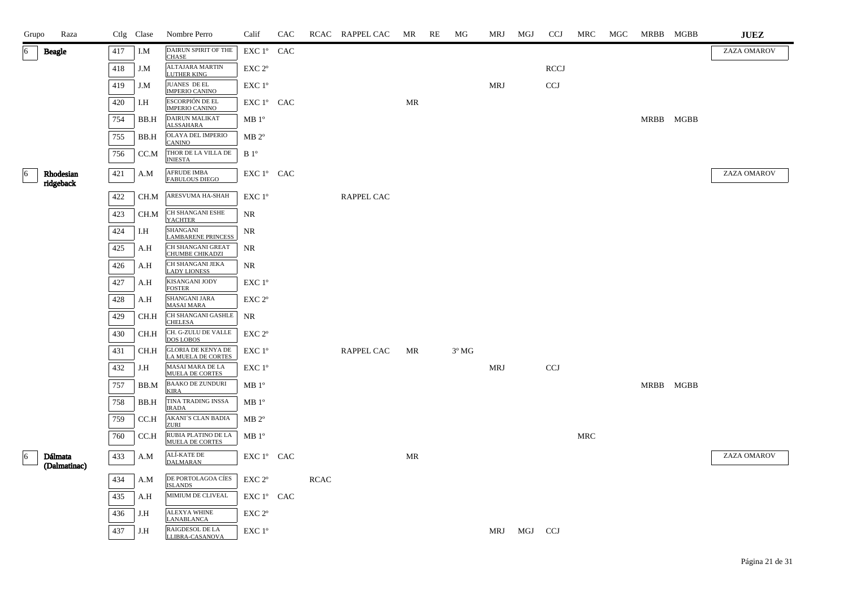| Grupo | Raza                    |         | Ctlg Clase | Nombre Perro                                 | Calif              | CAC |             | RCAC RAPPEL CAC   | MR | RE | MG             | MRJ        | MGJ | <b>CCJ</b>  | MRC        | MGC | MRBB MGBB | <b>JUEZ</b> |
|-------|-------------------------|---------|------------|----------------------------------------------|--------------------|-----|-------------|-------------------|----|----|----------------|------------|-----|-------------|------------|-----|-----------|-------------|
| 6     | <b>Beagle</b>           | 417     | I.M        | DAIRUN SPIRIT OF THE<br><b>CHASE</b>         | EXC 1° CAC         |     |             |                   |    |    |                |            |     |             |            |     |           | ZAZA OMAROV |
|       |                         | 418     | J.M        | ALTAJARA MARTIN<br>LUTHER KING               | EXC 2°             |     |             |                   |    |    |                |            |     | <b>RCCJ</b> |            |     |           |             |
|       |                         | 419     | J.M        | <b>JUANES DE EL</b><br><b>IMPERIO CANINO</b> | EXC 1°             |     |             |                   |    |    |                | <b>MRJ</b> |     | <b>CCJ</b>  |            |     |           |             |
|       |                         | 420     | I.H        | ESCORPIÓN DE EL<br>IMPERIO CANINO            | EXC 1° CAC         |     |             |                   | MR |    |                |            |     |             |            |     |           |             |
|       |                         | 754     | BB.H       | DAIRUN MALIKAT<br><b>ALSSAHARA</b>           | $MB1^{\circ}$      |     |             |                   |    |    |                |            |     |             |            |     | MRBB MGBB |             |
|       |                         | 755     | BB.H       | <b>OLAYA DEL IMPERIO</b><br><b>CANINO</b>    | $MB 2^{\circ}$     |     |             |                   |    |    |                |            |     |             |            |     |           |             |
|       |                         | 756     | CC.M       | THOR DE LA VILLA DE<br><b>INIESTA</b>        | B <sup>0</sup>     |     |             |                   |    |    |                |            |     |             |            |     |           |             |
| 6     | Rhodesian<br>ridgeback  | $421\,$ | A.M        | <b>AFRUDE IMBA</b><br><b>FABULOUS DIEGO</b>  | EXC 1° CAC         |     |             |                   |    |    |                |            |     |             |            |     |           | ZAZA OMAROV |
|       |                         | 422     | CH.M       | ARESVUMA HA-SHAH                             | EXC 1 <sup>o</sup> |     |             | <b>RAPPEL CAC</b> |    |    |                |            |     |             |            |     |           |             |
|       |                         | 423     | CH.M       | CH SHANGANI ESHE<br><b>YACHTER</b>           | NR                 |     |             |                   |    |    |                |            |     |             |            |     |           |             |
|       |                         | 424     | I.H        | SHANGANI<br><b>LAMBARENE PRINCESS</b>        | NR                 |     |             |                   |    |    |                |            |     |             |            |     |           |             |
|       |                         | 425     | A.H        | CH SHANGANI GREAT<br>CHUMBE CHIKADZI         | NR                 |     |             |                   |    |    |                |            |     |             |            |     |           |             |
|       |                         | 426     | A.H        | CH SHANGANI JEKA<br><b>LADY LIONESS</b>      | NR                 |     |             |                   |    |    |                |            |     |             |            |     |           |             |
|       |                         | 427     | A.H        | KISANGANI JODY<br><b>FOSTER</b>              | EXC 1 <sup>o</sup> |     |             |                   |    |    |                |            |     |             |            |     |           |             |
|       |                         | 428     | A.H        | SHANGANI JARA<br><b>MASAI MARA</b>           | EXC 2°             |     |             |                   |    |    |                |            |     |             |            |     |           |             |
|       |                         | 429     | CH.H       | CH SHANGANI GASHLE<br><b>CHELESA</b>         | NR                 |     |             |                   |    |    |                |            |     |             |            |     |           |             |
|       |                         | 430     | CH.H       | CH. G-ZULU DE VALLE<br><b>DOS LOBOS</b>      | EXC <sub>2°</sub>  |     |             |                   |    |    |                |            |     |             |            |     |           |             |
|       |                         | 431     | CH.H       | GLORIA DE KENYA DE<br>LA MUELA DE CORTES     | EXC 1 <sup>o</sup> |     |             | RAPPEL CAC        | MR |    | $3^{\circ}$ MG |            |     |             |            |     |           |             |
|       |                         | 432     | J.H        | MASAI MARA DE LA<br><b>MUELA DE CORTES</b>   | $EXC1^{\circ}$     |     |             |                   |    |    |                | <b>MRJ</b> |     | <b>CCJ</b>  |            |     |           |             |
|       |                         | 757     | BB.M       | <b>BAAKO DE ZUNDURI</b><br><b>KIRA</b>       | MB1°               |     |             |                   |    |    |                |            |     |             |            |     | MRBB MGBB |             |
|       |                         | 758     | BB.H       | TINA TRADING INSSA<br><b>IRADA</b>           | $MB1^{\circ}$      |     |             |                   |    |    |                |            |     |             |            |     |           |             |
|       |                         | 759     | CC.H       | <b>AKANI'S CLAN BADIA</b><br>ZURI            | $MB 2^{\circ}$     |     |             |                   |    |    |                |            |     |             |            |     |           |             |
|       |                         | 760     | CC.H       | RUBIA PLATINO DE LA<br>MUELA DE CORTES       | $MB1^{\circ}$      |     |             |                   |    |    |                |            |     |             | <b>MRC</b> |     |           |             |
| 6     | Dálmata<br>(Dalmatinac) | 433     | A.M        | ALÍ-KATE DE<br><b>DALMARAN</b>               | EXC 1° CAC         |     |             |                   | MR |    |                |            |     |             |            |     |           | ZAZA OMAROV |
|       |                         | 434     | A.M        | DE PORTOLAGOA CÍES<br><b>ISLANDS</b>         | EXC 2 <sup>o</sup> |     | <b>RCAC</b> |                   |    |    |                |            |     |             |            |     |           |             |
|       |                         | 435     | A.H        | MIMIUM DE CLIVEAL                            | EXC 1° CAC         |     |             |                   |    |    |                |            |     |             |            |     |           |             |
|       |                         | 436     | J.H        | ALEXYA WHINE<br><b>LANABLANCA</b>            | $EXC 2^{\circ}$    |     |             |                   |    |    |                |            |     |             |            |     |           |             |
|       |                         | 437     | J.H        | RAIGDESOL DE LA<br>LLIBRA-CASANOVA           | EXC 1 <sup>o</sup> |     |             |                   |    |    |                | MRJ        | MGJ | <b>CCJ</b>  |            |     |           |             |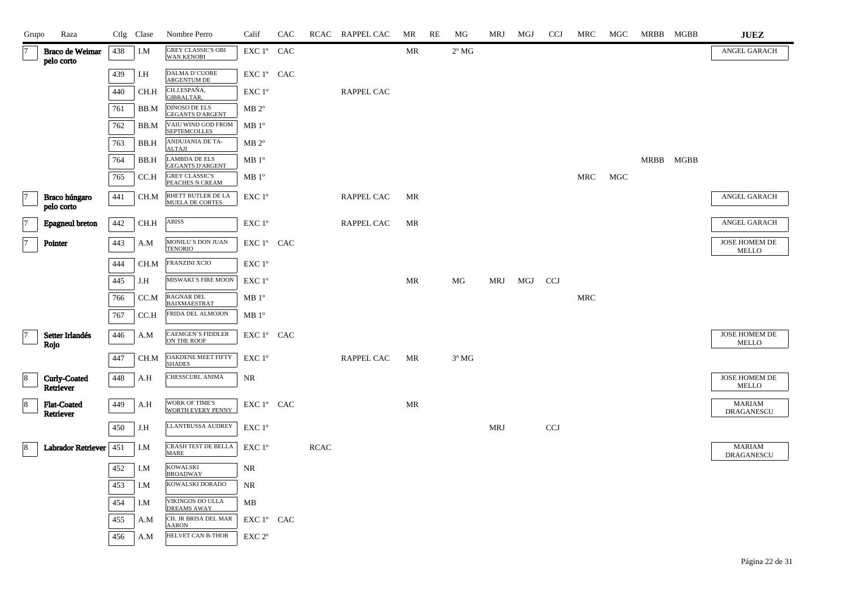| Grupo                 | Raza                            |     | Ctlg Clase | Nombre Perro                                    | Calif                                        | CAC |             | RCAC RAPPEL CAC   | MR        | RE | MG             | MRJ        | MGJ | <b>CCJ</b> | <b>MRC</b> | MGC | MRBB MGBB | <b>JUEZ</b>                        |
|-----------------------|---------------------------------|-----|------------|-------------------------------------------------|----------------------------------------------|-----|-------------|-------------------|-----------|----|----------------|------------|-----|------------|------------|-----|-----------|------------------------------------|
| 17                    | Braco de Weimar<br>pelo corto   | 438 | I.M        | GREY CLASSIC'S OBI<br><b>WAN KENOBI</b>         | EXC 1º CAC                                   |     |             |                   | <b>MR</b> |    | $2^{\circ}$ MG |            |     |            |            |     |           | ANGEL GARACH                       |
|                       |                                 | 439 | I.H        | DALMA D'CUORE<br><b>ARGENTUM DE</b>             | EXC 1° CAC                                   |     |             |                   |           |    |                |            |     |            |            |     |           |                                    |
|                       |                                 | 440 | CH.H       | CH.J.ESPAÑA,<br><b>GIBRALTAR,</b>               | EXC 1°                                       |     |             | RAPPEL CAC        |           |    |                |            |     |            |            |     |           |                                    |
|                       |                                 | 761 | BB.M       | DINOSO DE ELS<br><b>GEGANTS D'ARGENT</b>        | $MB 2^{\circ}$                               |     |             |                   |           |    |                |            |     |            |            |     |           |                                    |
|                       |                                 | 762 | BB.M       | VAIU WIND GOD FROM<br><b>SEPTEMCOLLES</b>       | $MB1^{\circ}$                                |     |             |                   |           |    |                |            |     |            |            |     |           |                                    |
|                       |                                 | 763 | BB.H       | ANDUJANIA DE TA-<br><b>ALTAJI</b>               | $MB 2^{\circ}$                               |     |             |                   |           |    |                |            |     |            |            |     |           |                                    |
|                       |                                 | 764 | BB.H       | <b>LAMBDA DE ELS</b><br><b>GEGANTS D'ARGENT</b> | $MB1^{\circ}$                                |     |             |                   |           |    |                |            |     |            |            |     | MRBB MGBB |                                    |
|                       |                                 | 765 | CC.H       | <b>GREY CLASSIC'S</b><br>PEACHES N CREAM        | $MB1^{\circ}$                                |     |             |                   |           |    |                |            |     |            | MRC        | MGC |           |                                    |
| $\overline{7}$        | Braco húngaro<br>pelo corto     | 441 | CH.M       | RHETT BUTLER DE LA<br>MUELA DE CORTES           | EXC 1°                                       |     |             | <b>RAPPEL CAC</b> | <b>MR</b> |    |                |            |     |            |            |     |           | ANGEL GARACH                       |
| $\overline{7}$        | <b>Epagneul</b> breton          | 442 | CH.H       | ABISS                                           | EXC 1°                                       |     |             | <b>RAPPEL CAC</b> | MR        |    |                |            |     |            |            |     |           | ANGEL GARACH                       |
| $\overline{7}$        | Pointer                         | 443 | A.M        | MONILU'S DON JUAN<br><b>TENORIO</b>             | EXC 1° CAC                                   |     |             |                   |           |    |                |            |     |            |            |     |           | JOSE HOMEM DE<br><b>MELLO</b>      |
|                       |                                 | 444 | CH.M       | FRANZINI XCIO                                   | EXC 1°                                       |     |             |                   |           |    |                |            |     |            |            |     |           |                                    |
|                       |                                 | 445 | J.H        | MISWAKI´S FIRE MOON                             | EXC 1°                                       |     |             |                   | MR        |    | MG             | MRJ        | MGJ | CCJ        |            |     |           |                                    |
|                       |                                 | 766 | CC.M       | RAGNAR DEL<br><b>BAIXMAESTRAT</b>               | $MB1^{\circ}$                                |     |             |                   |           |    |                |            |     |            | MRC        |     |           |                                    |
|                       |                                 | 767 | CC.H       | FRIDA DEL ALMOJON                               | MB1°                                         |     |             |                   |           |    |                |            |     |            |            |     |           |                                    |
| 7                     | Setter Irlandés<br>Rojo         | 446 | A.M        | CAEMGEN`S FIDDLER<br>ON THE ROOF                | EXC 1º CAC                                   |     |             |                   |           |    |                |            |     |            |            |     |           | JOSE HOMEM DE<br><b>MELLO</b>      |
|                       |                                 | 447 | CH.M       | OAKDENE MEET FIFTY<br><b>SHADES</b>             | EXC 1°                                       |     |             | <b>RAPPEL CAC</b> | MR        |    | $3^{\circ}$ MG |            |     |            |            |     |           |                                    |
| $\boldsymbol{8}$<br>∟ | Curly-Coated<br>Retriever       | 448 | A.H        | CHESSCURL ANIMA                                 | NR                                           |     |             |                   |           |    |                |            |     |            |            |     |           | JOSE HOMEM DE<br><b>MELLO</b>      |
| $\boldsymbol{8}$      | <b>Flat-Coated</b><br>Retriever | 449 | A.H        | WORK OF TIME'S<br>WORTH EVERY PENNY             | EXC 1º CAC                                   |     |             |                   | MR        |    |                |            |     |            |            |     |           | <b>MARIAM</b><br>DRAGANESCU        |
|                       |                                 | 450 | J.H        | LLANTRUSSA AUDREY                               | EXC 1°                                       |     |             |                   |           |    |                | <b>MRJ</b> |     | <b>CCJ</b> |            |     |           |                                    |
| 8                     | Labrador Retriever              | 451 | I.M        | CRASH TEST DE BELLA<br><b>MARE</b>              | EXC 1°                                       |     | <b>RCAC</b> |                   |           |    |                |            |     |            |            |     |           | <b>MARIAM</b><br><b>DRAGANESCU</b> |
|                       |                                 | 452 | I.M        | <b>KOWALSKI</b><br><b>BROADWAY</b>              | NR                                           |     |             |                   |           |    |                |            |     |            |            |     |           |                                    |
|                       |                                 | 453 | I.M        | KOWALSKI DORADO                                 | NR                                           |     |             |                   |           |    |                |            |     |            |            |     |           |                                    |
|                       |                                 | 454 | I.M        | VIKINGOS DO ULLA<br><b>DREAMS AWAY</b>          | MB                                           |     |             |                   |           |    |                |            |     |            |            |     |           |                                    |
|                       |                                 | 455 | A.M        | CH. JR BRISA DEL MAR<br><b>AARON</b>            | EXC 1° CAC                                   |     |             |                   |           |    |                |            |     |            |            |     |           |                                    |
|                       |                                 | 456 | A.M        | HELVET CAN B-THOR                               | $\ensuremath{\mathrm{EXC}}$ $2^{\mathrm{o}}$ |     |             |                   |           |    |                |            |     |            |            |     |           |                                    |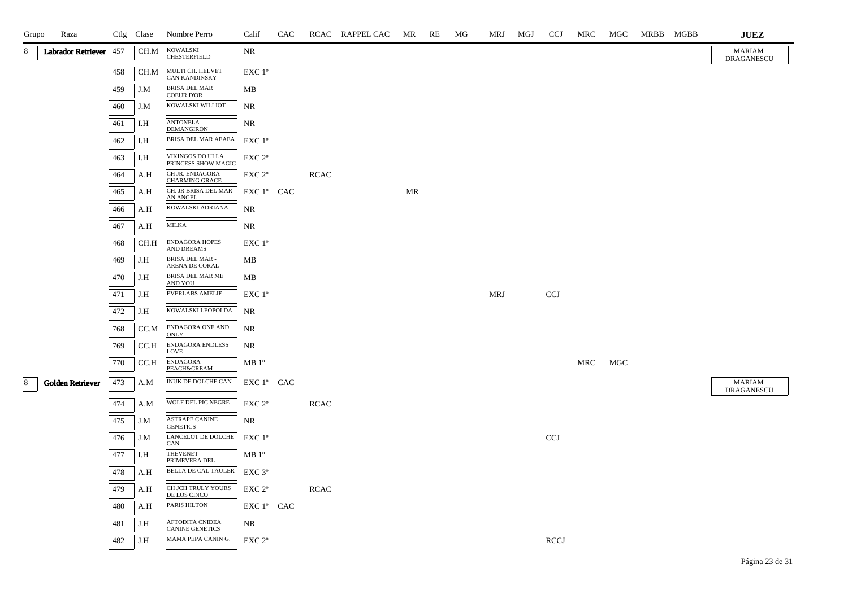| Grupo | Raza               |     | Ctlg Clase | Nombre Perro                                     | Calif                                                              | CAC |             | RCAC RAPPEL CAC | MR | RE | MG | MRJ        | MGJ | <b>CCJ</b>   | MRC | MGC               | MRBB MGBB | <b>JUEZ</b>                 |
|-------|--------------------|-----|------------|--------------------------------------------------|--------------------------------------------------------------------|-----|-------------|-----------------|----|----|----|------------|-----|--------------|-----|-------------------|-----------|-----------------------------|
| 8     | Labrador Retriever | 457 | CH.M       | KOWALSKI<br><b>CHESTERFIELD</b>                  | <b>NR</b>                                                          |     |             |                 |    |    |    |            |     |              |     |                   |           | <b>MARIAM</b><br>DRAGANESCU |
|       |                    | 458 | CH.M       | MULTI CH. HELVET<br><b>CAN KANDINSKY</b>         | $EXC1^{\circ}$                                                     |     |             |                 |    |    |    |            |     |              |     |                   |           |                             |
|       |                    | 459 | J.M        | <b>BRISA DEL MAR</b><br><b>COEUR D'OR</b>        | MB                                                                 |     |             |                 |    |    |    |            |     |              |     |                   |           |                             |
|       |                    | 460 | J.M        | KOWALSKI WILLIOT                                 | $\rm NR$                                                           |     |             |                 |    |    |    |            |     |              |     |                   |           |                             |
|       |                    | 461 | I.H        | <b>ANTONELA</b><br><b>DEMANGIRON</b>             | <b>NR</b>                                                          |     |             |                 |    |    |    |            |     |              |     |                   |           |                             |
|       |                    | 462 | I.H        | <b>BRISA DEL MAR AEAEA</b>                       | EXC 1 <sup>o</sup>                                                 |     |             |                 |    |    |    |            |     |              |     |                   |           |                             |
|       |                    | 463 | I.H        | VIKINGOS DO ULLA<br>PRINCESS SHOW MAGIC          | EXC 2°                                                             |     |             |                 |    |    |    |            |     |              |     |                   |           |                             |
|       |                    | 464 | A.H        | CH JR. ENDAGORA<br><b>CHARMING GRACE</b>         | EXC 2°                                                             |     | <b>RCAC</b> |                 |    |    |    |            |     |              |     |                   |           |                             |
|       |                    | 465 | A.H        | CH. JR BRISA DEL MAR<br><b>AN ANGEL</b>          | EXC 1° CAC                                                         |     |             |                 | MR |    |    |            |     |              |     |                   |           |                             |
|       |                    | 466 | A.H        | KOWALSKI ADRIANA                                 | NR                                                                 |     |             |                 |    |    |    |            |     |              |     |                   |           |                             |
|       |                    | 467 | A.H        | <b>MILKA</b>                                     | NR                                                                 |     |             |                 |    |    |    |            |     |              |     |                   |           |                             |
|       |                    | 468 | CH.H       | <b>ENDAGORA HOPES</b><br><b>AND DREAMS</b>       | EXC 1°                                                             |     |             |                 |    |    |    |            |     |              |     |                   |           |                             |
|       |                    | 469 | J.H        | <b>BRISA DEL MAR -</b><br>ARENA DE CORAL         | MB                                                                 |     |             |                 |    |    |    |            |     |              |     |                   |           |                             |
|       |                    | 470 | J.H        | BRISA DEL MAR ME<br>AND YOU                      | MB                                                                 |     |             |                 |    |    |    |            |     |              |     |                   |           |                             |
|       |                    | 471 | J.H        | <b>EVERLABS AMELIE</b>                           | EXC 1°                                                             |     |             |                 |    |    |    | <b>MRJ</b> |     | CCJ          |     |                   |           |                             |
|       |                    | 472 | J.H        | KOWALSKI LEOPOLDA                                | NR                                                                 |     |             |                 |    |    |    |            |     |              |     |                   |           |                             |
|       |                    | 768 | CC.M       | <b>ENDAGORA ONE AND</b><br><b>ONLY</b>           | <b>NR</b>                                                          |     |             |                 |    |    |    |            |     |              |     |                   |           |                             |
|       |                    | 769 | CC.H       | <b>ENDAGORA ENDLESS</b><br><b>LOVE</b>           | <b>NR</b>                                                          |     |             |                 |    |    |    |            |     |              |     |                   |           |                             |
|       |                    | 770 | CC.H       | <b>ENDAGORA</b><br>PEACH&CREAM                   | $MB1^{\circ}$                                                      |     |             |                 |    |    |    |            |     |              | MRC | $_{\mathrm{MGC}}$ |           |                             |
|       | Golden Retriever   | 473 | A.M        | INUK DE DOLCHE CAN                               | $\mathop{\rm EXC}\nolimits 1^{\circ }$ $\mathop{\rm CAC}\nolimits$ |     |             |                 |    |    |    |            |     |              |     |                   |           | MARIAM<br>DRAGANESCU        |
|       |                    | 474 | A.M        | WOLF DEL PIC NEGRE                               | $EXC 2^{\circ}$                                                    |     | <b>RCAC</b> |                 |    |    |    |            |     |              |     |                   |           |                             |
|       |                    | 475 | J.M        | <b>ASTRAPE CANINE</b><br><b>GENETICS</b>         | <b>NR</b>                                                          |     |             |                 |    |    |    |            |     |              |     |                   |           |                             |
|       |                    | 476 | J.M        | LANCELOT DE DOLCHE<br>CAN                        | EXC 1°                                                             |     |             |                 |    |    |    |            |     | $_{\rm CCJ}$ |     |                   |           |                             |
|       |                    | 477 | I.H        | <b>THEVENET</b><br>PRIMEVERA DEL                 | $MB1^{\circ}$                                                      |     |             |                 |    |    |    |            |     |              |     |                   |           |                             |
|       |                    | 478 | A.H        | BELLA DE CAL TAULER                              | EXC 3 <sup>o</sup>                                                 |     |             |                 |    |    |    |            |     |              |     |                   |           |                             |
|       |                    | 479 | $\rm A.H$  | CH JCH TRULY YOURS<br>DE LOS CINCO               | EXC 2°                                                             |     | $\sf RCAC$  |                 |    |    |    |            |     |              |     |                   |           |                             |
|       |                    | 480 | A.H        | PARIS HILTON                                     | EXC 1° CAC                                                         |     |             |                 |    |    |    |            |     |              |     |                   |           |                             |
|       |                    | 481 | J.H        | <b>AFTODITA CNIDEA</b><br><b>CANINE GENETICS</b> | <b>NR</b>                                                          |     |             |                 |    |    |    |            |     |              |     |                   |           |                             |
|       |                    | 482 | J.H        | MAMA PEPA CANIN G.                               | EXC 2°                                                             |     |             |                 |    |    |    |            |     | <b>RCCJ</b>  |     |                   |           |                             |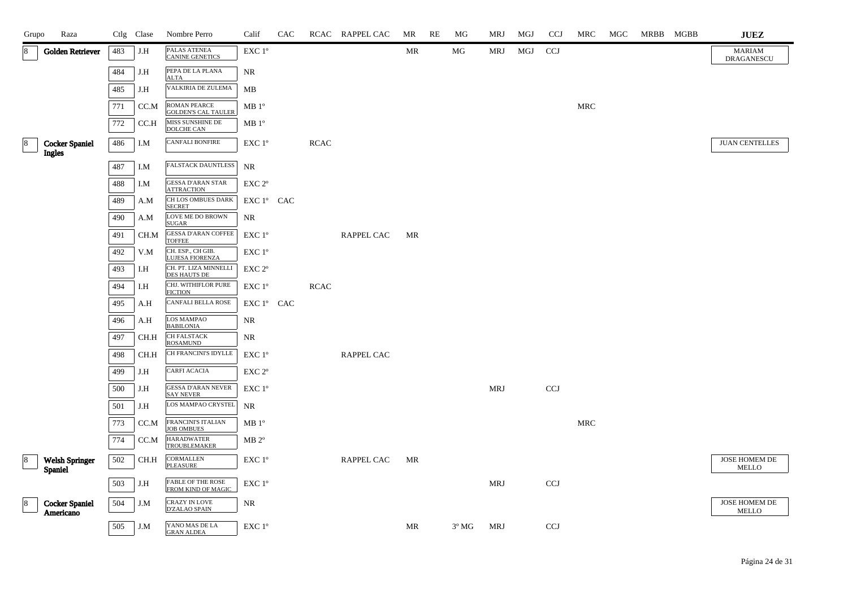| Grupo | Raza                                   |     | Ctlg Clase | Nombre Perro                                   | Calif                                        | CAC |             | RCAC RAPPEL CAC | MR | RE | MG             | MRJ        | MGJ | <b>CCJ</b>                | <b>MRC</b> | MGC | MRBB MGBB | $\mathbf{J}\mathbf{U}\mathbf{E}\mathbf{Z}$ |
|-------|----------------------------------------|-----|------------|------------------------------------------------|----------------------------------------------|-----|-------------|-----------------|----|----|----------------|------------|-----|---------------------------|------------|-----|-----------|--------------------------------------------|
| 18    | <b>Golden Retriever</b>                | 483 | J.H        | PALAS ATENEA<br><b>CANINE GENETICS</b>         | EXC 1°                                       |     |             |                 | MR |    | MG             | MRJ        | MGJ | <b>CCJ</b>                |            |     |           | <b>MARIAM</b><br><b>DRAGANESCU</b>         |
|       |                                        | 484 | J.H        | PEPA DE LA PLANA<br><b>ALTA</b>                | NR                                           |     |             |                 |    |    |                |            |     |                           |            |     |           |                                            |
|       |                                        | 485 | J.H        | VALKIRIA DE ZULEMA                             | MB                                           |     |             |                 |    |    |                |            |     |                           |            |     |           |                                            |
|       |                                        | 771 | CC.M       | ROMAN PEARCE<br><b>GOLDEN'S CAL TAULER</b>     | $\rm MB$ $1^{\rm o}$                         |     |             |                 |    |    |                |            |     |                           | MRC        |     |           |                                            |
|       |                                        | 772 | CC.H       | MISS SUNSHINE DE<br><b>DOLCHE CAN</b>          | MB 1 <sup>o</sup>                            |     |             |                 |    |    |                |            |     |                           |            |     |           |                                            |
|       | <b>Cocker Spaniel</b><br><b>Ingles</b> | 486 | I.M        | CANFALI BONFIRE                                | $\ensuremath{\mathrm{EXC}}$ $1^\mathrm{o}$   |     | <b>RCAC</b> |                 |    |    |                |            |     |                           |            |     |           | <b>JUAN CENTELLES</b>                      |
|       |                                        | 487 | I.M        | FALSTACK DAUNTLESS                             | NR                                           |     |             |                 |    |    |                |            |     |                           |            |     |           |                                            |
|       |                                        | 488 | I.M        | GESSA D'ARAN STAR<br><b>ATTRACTION</b>         | $\ensuremath{\mathrm{EXC}}$ $2^{\mathrm{o}}$ |     |             |                 |    |    |                |            |     |                           |            |     |           |                                            |
|       |                                        | 489 | A.M        | CH LOS OMBUES DARK<br><b>SECRET</b>            | EXC 1° CAC                                   |     |             |                 |    |    |                |            |     |                           |            |     |           |                                            |
|       |                                        | 490 | A.M        | LOVE ME DO BROWN<br><b>SUGAR</b>               | NR                                           |     |             |                 |    |    |                |            |     |                           |            |     |           |                                            |
|       |                                        | 491 | CH.M       | <b>GESSA D'ARAN COFFEE</b><br><b>TOFFEE</b>    | EXC 1°                                       |     |             | RAPPEL CAC      | MR |    |                |            |     |                           |            |     |           |                                            |
|       |                                        | 492 | V.M        | CH. ESP., CH GIB.<br>LUJESA FIORENZA           | $\ensuremath{\mathrm{EXC}}$ $1^{\mathrm{o}}$ |     |             |                 |    |    |                |            |     |                           |            |     |           |                                            |
|       |                                        | 493 | I.H        | CH. PT. LIZA MINNELLI<br><b>DES HAUTS DE</b>   | $\ensuremath{\mathrm{EXC}}$ $2^{\mathrm{o}}$ |     |             |                 |    |    |                |            |     |                           |            |     |           |                                            |
|       |                                        | 494 | I.H        | CHJ. WITHIFLOR PURE<br><b>FICTION</b>          | EXC 1°                                       |     | <b>RCAC</b> |                 |    |    |                |            |     |                           |            |     |           |                                            |
|       |                                        | 495 | A.H        | CANFALI BELLA ROSE                             | EXC 1° CAC                                   |     |             |                 |    |    |                |            |     |                           |            |     |           |                                            |
|       |                                        | 496 | A.H        | LOS MAMPAO<br><b>BABILONIA</b>                 | NR                                           |     |             |                 |    |    |                |            |     |                           |            |     |           |                                            |
|       |                                        | 497 | CH.H       | CH FALSTACK<br><b>ROSAMUND</b>                 | NR                                           |     |             |                 |    |    |                |            |     |                           |            |     |           |                                            |
|       |                                        | 498 | CH.H       | CH FRANCINI'S IDYLLE                           | EXC 1°                                       |     |             | RAPPEL CAC      |    |    |                |            |     |                           |            |     |           |                                            |
|       |                                        | 499 | J.H        | CARFI ACACIA                                   | EXC 2 <sup>o</sup>                           |     |             |                 |    |    |                |            |     |                           |            |     |           |                                            |
|       |                                        | 500 | J.H        | <b>GESSA D'ARAN NEVER</b><br><b>SAY NEVER</b>  | $\ensuremath{\mathrm{EXC}}$ $1^{\mathrm{o}}$ |     |             |                 |    |    |                | <b>MRJ</b> |     | CCJ                       |            |     |           |                                            |
|       |                                        | 501 | J.H        | LOS MAMPAO CRYSTEL                             | NR                                           |     |             |                 |    |    |                |            |     |                           |            |     |           |                                            |
|       |                                        | 773 | CC.M       | FRANCINI'S ITALIAN<br><b>JOB OMBUES</b>        | MB 1 <sup>o</sup>                            |     |             |                 |    |    |                |            |     |                           | <b>MRC</b> |     |           |                                            |
|       |                                        | 774 | CC.M       | <b>HARADWATER</b><br><b>TROUBLEMAKER</b>       | $MB 2^{\circ}$                               |     |             |                 |    |    |                |            |     |                           |            |     |           |                                            |
| 8     | <b>Welsh Springer</b><br>Spaniel       | 502 | CH.H       | CORMALLEN<br>PLEASURE                          | EXC 1°                                       |     |             | RAPPEL CAC      | MR |    |                |            |     |                           |            |     |           | JOSE HOMEM DE<br><b>MELLO</b>              |
|       |                                        | 503 | J.H        | <b>FABLE OF THE ROSE</b><br>FROM KIND OF MAGIC | $\ensuremath{\mathrm{EXC}}$ $1^{\mathrm{o}}$ |     |             |                 |    |    |                | <b>MRJ</b> |     | $\ensuremath{\text{CCJ}}$ |            |     |           |                                            |
| 8     | <b>Cocker Spaniel</b><br>Americano     | 504 | J.M        | CRAZY IN LOVE<br><b>D'ZALAO SPAIN</b>          | NR                                           |     |             |                 |    |    |                |            |     |                           |            |     |           | JOSE HOMEM DE<br><b>MELLO</b>              |
|       |                                        | 505 | J.M        | YANO MAS DE LA<br><b>GRAN ALDEA</b>            | EXC 1°                                       |     |             |                 | MR |    | $3^{\circ}$ MG | MRJ        |     | <b>CCJ</b>                |            |     |           |                                            |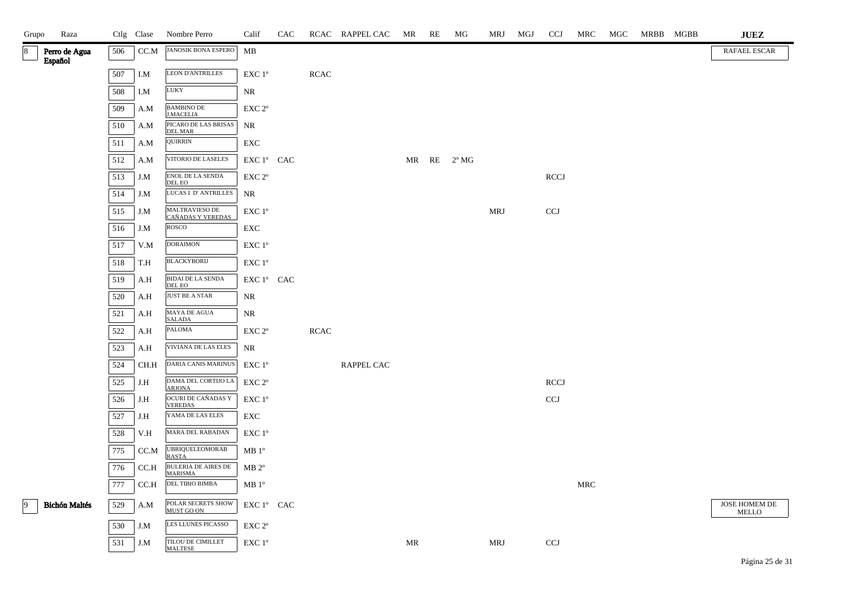| Grupo       | Raza                     |     | Ctlg Clase | Nombre Perro                                 | Calif                                      | CAC |             | RCAC RAPPEL CAC MR |           | RE | MG             | MRJ        | MGJ | <b>CCJ</b>                | MRC | MGC | MRBB MGBB | <b>JUEZ</b>                   |
|-------------|--------------------------|-----|------------|----------------------------------------------|--------------------------------------------|-----|-------------|--------------------|-----------|----|----------------|------------|-----|---------------------------|-----|-----|-----------|-------------------------------|
| 8           | Perro de Agua<br>Español | 506 | CC.M       | <b>JANOSIK BONA ESPERO</b>                   | MB                                         |     |             |                    |           |    |                |            |     |                           |     |     |           | RAFAEL ESCAR                  |
|             |                          | 507 | I.M        | <b>LEON D'ANTRILLES</b>                      | EXC 1°                                     |     | <b>RCAC</b> |                    |           |    |                |            |     |                           |     |     |           |                               |
|             |                          | 508 | I.M        | LUKY                                         | NR                                         |     |             |                    |           |    |                |            |     |                           |     |     |           |                               |
|             |                          | 509 | A.M        | BAMBINO DE<br>J.MACELIA                      | EXC 2°                                     |     |             |                    |           |    |                |            |     |                           |     |     |           |                               |
|             |                          | 510 | A.M        | PICARO DE LAS BRISAS<br><b>DEL MAR</b>       | NR                                         |     |             |                    |           |    |                |            |     |                           |     |     |           |                               |
|             |                          | 511 | A.M        | <b>QUIRRIN</b>                               | EXC                                        |     |             |                    |           |    |                |            |     |                           |     |     |           |                               |
|             |                          | 512 | A.M        | VITORIO DE LASELES                           | EXC 1° CAC                                 |     |             |                    | MR RE     |    | $2^{\circ}$ MG |            |     |                           |     |     |           |                               |
|             |                          | 513 | J.M        | <b>ENOL DE LA SENDA</b><br>DEL EO            | $\ensuremath{\mathrm{EXC}}$ $2^\mathrm{o}$ |     |             |                    |           |    |                |            |     | <b>RCCJ</b>               |     |     |           |                               |
|             |                          | 514 | J.M        | LUCAS I D'ANTRILLES                          | NR                                         |     |             |                    |           |    |                |            |     |                           |     |     |           |                               |
|             |                          | 515 | J.M        | MALTRAVIESO DE<br>CAÑADAS Y VEREDAS          | EXC 1°                                     |     |             |                    |           |    |                | <b>MRJ</b> |     | $\ensuremath{\text{CCJ}}$ |     |     |           |                               |
|             |                          | 516 | J.M        | ROSCO                                        | EXC                                        |     |             |                    |           |    |                |            |     |                           |     |     |           |                               |
|             |                          | 517 | V.M        | <b>DORAIMON</b>                              | $\ensuremath{\mathrm{EXC}}$ $1^\mathrm{o}$ |     |             |                    |           |    |                |            |     |                           |     |     |           |                               |
|             |                          | 518 | T.H        | <b>BLACKYBORIJ</b>                           | EXC 1°                                     |     |             |                    |           |    |                |            |     |                           |     |     |           |                               |
|             |                          | 519 | A.H        | <b>BIDAI DE LA SENDA</b><br>DEL EO           | EXC 1º CAC                                 |     |             |                    |           |    |                |            |     |                           |     |     |           |                               |
|             |                          | 520 | A.H        | <b>JUST BE A STAR</b>                        | NR                                         |     |             |                    |           |    |                |            |     |                           |     |     |           |                               |
|             |                          | 521 | A.H        | MAYA DE AGUA<br><b>SALADA</b>                | NR                                         |     |             |                    |           |    |                |            |     |                           |     |     |           |                               |
|             |                          | 522 | A.H        | PALOMA                                       | EXC 2°                                     |     | <b>RCAC</b> |                    |           |    |                |            |     |                           |     |     |           |                               |
|             |                          | 523 | A.H        | VIVIANA DE LAS ELES                          | NR                                         |     |             |                    |           |    |                |            |     |                           |     |     |           |                               |
|             |                          | 524 | CH.H       | DARIA CANIS MARINUS                          | EXC 1°                                     |     |             | RAPPEL CAC         |           |    |                |            |     |                           |     |     |           |                               |
|             |                          | 525 | J.H        | DAMA DEL CORTIJO LA<br><b>ARJONA</b>         | EXC <sub>2°</sub>                          |     |             |                    |           |    |                |            |     | <b>RCCJ</b>               |     |     |           |                               |
|             |                          | 526 | J.H        | OCURI DE CAÑADAS Y<br><b>VEREDAS</b>         | EXC 1°                                     |     |             |                    |           |    |                |            |     | $\ensuremath{\text{CCJ}}$ |     |     |           |                               |
|             |                          | 527 | J.H        | YAMA DE LAS ELES                             | ${\rm EXC}$                                |     |             |                    |           |    |                |            |     |                           |     |     |           |                               |
|             |                          | 528 | V.H        | MARA DEL RABADAN                             | EXC 1°                                     |     |             |                    |           |    |                |            |     |                           |     |     |           |                               |
|             |                          | 775 | CC.M       | <b>UBRIQUELEOMORAB</b><br><b>RASTA</b>       | MB 1 <sup>o</sup>                          |     |             |                    |           |    |                |            |     |                           |     |     |           |                               |
|             |                          | 776 | CC.H       | <b>BULERIA DE AIRES DE</b><br><b>MARISMA</b> | $MB 2^{\circ}$                             |     |             |                    |           |    |                |            |     |                           |     |     |           |                               |
|             |                          | 777 | CCA        | DEL TIBIO BIMBA                              | $MB1^{\circ}$                              |     |             |                    |           |    |                |            |     |                           | MRC |     |           |                               |
| $ 9\rangle$ | <b>Bichón Maltés</b>     | 529 | A.M        | POLAR SECRETS SHOW<br>MUST GO ON             | EXC 1º CAC                                 |     |             |                    |           |    |                |            |     |                           |     |     |           | JOSE HOMEM DE<br><b>MELLO</b> |
|             |                          | 530 | J.M        | LES LLUNES PICASSO                           | EXC <sub>2°</sub>                          |     |             |                    |           |    |                |            |     |                           |     |     |           |                               |
|             |                          | 531 | J.M        | TILOU DE CIMILLET<br><b>MAI TESE</b>         | EXC 1°                                     |     |             |                    | <b>MR</b> |    |                | <b>MRJ</b> |     | CCJ                       |     |     |           |                               |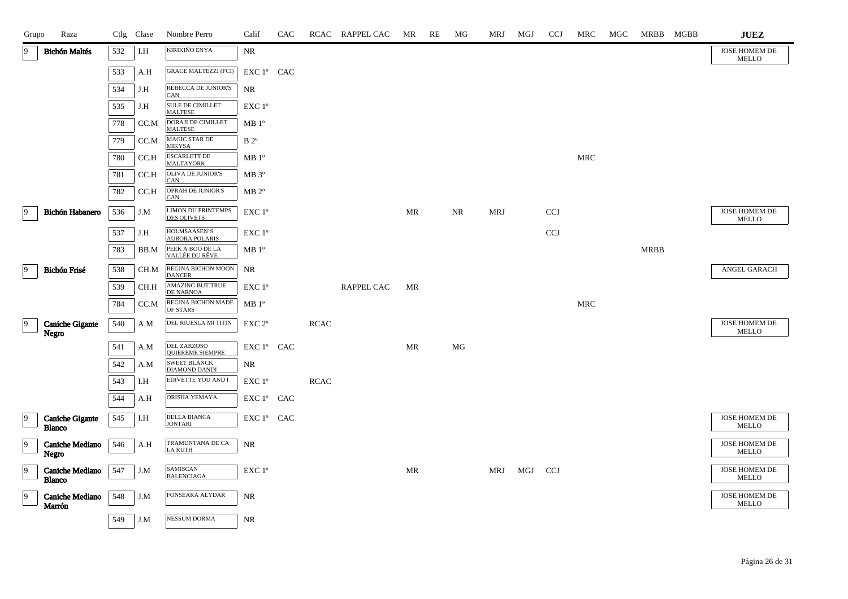| Grupo          | Raza                                    |     | Ctlg Clase | Nombre Perro                                    | Calif                                      | CAC |             | RCAC RAPPEL CAC | MR | RE | MG | MRJ        | MGJ | <b>CCJ</b>                | MRC        | MGC | MRBB MGBB   | <b>JUEZ</b>                          |
|----------------|-----------------------------------------|-----|------------|-------------------------------------------------|--------------------------------------------|-----|-------------|-----------------|----|----|----|------------|-----|---------------------------|------------|-----|-------------|--------------------------------------|
| 19             | <b>Bichón Maltés</b>                    | 532 | I.H        | KIRIKIÑO ENYA                                   | NR                                         |     |             |                 |    |    |    |            |     |                           |            |     |             | JOSE HOMEM DE<br><b>MELLO</b>        |
|                |                                         | 533 | A.H        | <b>GRACE MALTEZZI (FCI)</b>                     | EXC 1° CAC                                 |     |             |                 |    |    |    |            |     |                           |            |     |             |                                      |
|                |                                         | 534 | J.H        | REBECCA DE JUNIOR'S<br><b>CAN</b>               | NR                                         |     |             |                 |    |    |    |            |     |                           |            |     |             |                                      |
|                |                                         | 535 | J.H        | SULE DE CIMILLET<br><b>MALTESE</b>              | EXC 1 <sup>o</sup>                         |     |             |                 |    |    |    |            |     |                           |            |     |             |                                      |
|                |                                         | 778 | CC.M       | DORAJI DE CIMILLET<br><b>MALTESE</b>            | $MB1^{\circ}$                              |     |             |                 |    |    |    |            |     |                           |            |     |             |                                      |
|                |                                         | 779 | CC.M       | MAGIC STAR DE<br><b>MIKYSA</b>                  | $B 2^{\circ}$                              |     |             |                 |    |    |    |            |     |                           |            |     |             |                                      |
|                |                                         | 780 | CC.H       | <b>ESCARLETT DE</b><br><b>MALTAYORK</b>         | $MB1^{\circ}$                              |     |             |                 |    |    |    |            |     |                           | <b>MRC</b> |     |             |                                      |
|                |                                         | 781 | CC.H       | <b>OLIVA DE JUNIOR'S</b><br>CAN                 | $MB 3^{\circ}$                             |     |             |                 |    |    |    |            |     |                           |            |     |             |                                      |
|                |                                         | 782 | CC.H       | OPRAH DE JUNIOR'S<br>CAN                        | $MB 2^{\circ}$                             |     |             |                 |    |    |    |            |     |                           |            |     |             |                                      |
| $\vert$ 9      | Bichón Habanero                         | 536 | J.M        | <b>LIMON DU PRINTEMPS</b><br><b>DES OLIVETS</b> | $\ensuremath{\mathrm{EXC}}$ $1^\mathrm{o}$ |     |             |                 | MR |    | NR | <b>MRJ</b> |     | <b>CCJ</b>                |            |     |             | JOSE HOMEM DE<br><b>MELLO</b>        |
|                |                                         | 537 | J.H        | HOLMSAASEN'S<br>AURORA POLARIS                  | EXC 1 <sup>o</sup>                         |     |             |                 |    |    |    |            |     | $\ensuremath{\text{CCJ}}$ |            |     |             |                                      |
|                |                                         | 783 | BB.M       | PEEK A BOO DE LA<br>VALLÉE DU RÊVE              | $MB1^{\circ}$                              |     |             |                 |    |    |    |            |     |                           |            |     | <b>MRBB</b> |                                      |
| $\vert$ 9      | Bichón Frisé                            | 538 | CH.M       | REGINA BICHON MOON<br>DANCER                    | NR                                         |     |             |                 |    |    |    |            |     |                           |            |     |             | ANGEL GARACH                         |
|                |                                         | 539 | CH.H       | AMAZING BUT TRUE<br>DE NARNOA                   | EXC 1 <sup>o</sup>                         |     |             | RAPPEL CAC      | MR |    |    |            |     |                           |            |     |             |                                      |
|                |                                         | 784 | CC.M       | REGINA BICHON MADE<br>OF STARS                  | MB 1 <sup>o</sup>                          |     |             |                 |    |    |    |            |     |                           | <b>MRC</b> |     |             |                                      |
| $\overline{9}$ | <b>Caniche Gigante</b><br>Negro         | 540 | A.M        | DEL RIUESLA MI TITIN                            | EXC 2 <sup>o</sup>                         |     | <b>RCAC</b> |                 |    |    |    |            |     |                           |            |     |             | <b>JOSE HOMEM DE</b><br><b>MELLO</b> |
|                |                                         | 541 | A.M        | DEL ZARZOSO<br><b>OUIEREME SIEMPRE</b>          | EXC 1° CAC                                 |     |             |                 | MR |    | MG |            |     |                           |            |     |             |                                      |
|                |                                         | 542 | A.M        | <b>SWEET BLANCK</b><br><b>DIAMOND DANDI</b>     | NR                                         |     |             |                 |    |    |    |            |     |                           |            |     |             |                                      |
|                |                                         | 543 | I.H        | EDIVETTE YOU AND I                              | EXC 1°                                     |     | <b>RCAC</b> |                 |    |    |    |            |     |                           |            |     |             |                                      |
|                |                                         | 544 | A.H        | ORISHA YEMAYA                                   | EXC 1° CAC                                 |     |             |                 |    |    |    |            |     |                           |            |     |             |                                      |
| $\overline{9}$ | <b>Caniche Gigante</b><br><b>Blanco</b> | 545 | I.H        | BELLA BIANCA<br><b>JONTARI</b>                  | EXC 1° CAC                                 |     |             |                 |    |    |    |            |     |                           |            |     |             | JOSE HOMEM DE<br>MELLO               |
| 9              | Caniche Mediano<br>Negro                | 546 | A.H        | TRAMUNTANA DE CA<br><b>LA RUTH</b>              | NR                                         |     |             |                 |    |    |    |            |     |                           |            |     |             | JOSE HOMEM DE<br>MELLO               |
| $\overline{9}$ | Caniche Mediano<br><b>Blanco</b>        | 547 | J.M        | SAMISCAN<br><b>BALENCIAGA</b>                   | EXC 1°                                     |     |             |                 | MR |    |    | MRJ        | MGJ | <b>CCJ</b>                |            |     |             | <b>JOSE HOMEM DE</b><br><b>MELLO</b> |
| $\overline{9}$ | Caniche Mediano<br>Marrón               | 548 | J.M        | <b>FONSEARA ALYDAR</b>                          | <b>NR</b>                                  |     |             |                 |    |    |    |            |     |                           |            |     |             | JOSE HOMEM DE<br><b>MELLO</b>        |
|                |                                         | 549 | J.M        | <b>NESSUM DORMA</b>                             | NR                                         |     |             |                 |    |    |    |            |     |                           |            |     |             |                                      |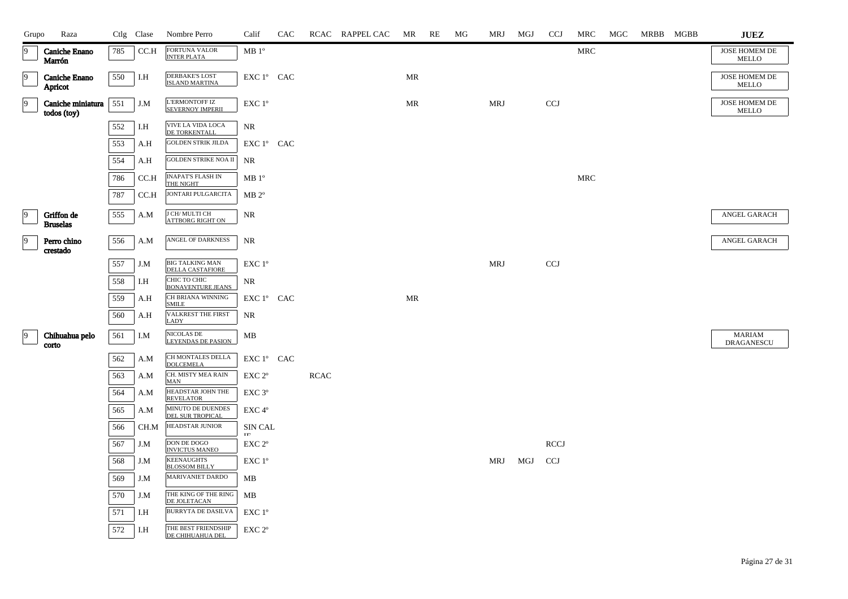| Grupo          | Raza                             |     | Ctlg Clase | Nombre Perro                                      | Calif              | CAC |             | RCAC RAPPEL CAC | <b>MR</b>                         | RE | MG | MRJ        | MGJ | <b>CCJ</b>  | MRC        | MGC | MRBB MGBB | <b>JUEZ</b>                        |
|----------------|----------------------------------|-----|------------|---------------------------------------------------|--------------------|-----|-------------|-----------------|-----------------------------------|----|----|------------|-----|-------------|------------|-----|-----------|------------------------------------|
| 19             | <b>Caniche Enano</b><br>Marrón   | 785 | CC.H       | FORTUNA VALOR<br><b>INTER PLATA</b>               | MB 1 <sup>o</sup>  |     |             |                 |                                   |    |    |            |     |             | <b>MRC</b> |     |           | JOSE HOMEM DE<br>MELLO             |
| $\overline{9}$ | <b>Caniche Enano</b><br>Apricot  | 550 | I.H        | <b>DERBAKE'S LOST</b><br><b>ISLAND MARTINA</b>    | EXC 1º CAC         |     |             |                 | MR                                |    |    |            |     |             |            |     |           | JOSE HOMEM DE<br>MELLO             |
| $\vert$ 9      | Caniche miniatura<br>todos (toy) | 551 | J.M        | L'ERMONTOFF IZ<br><b>SEVERNOY IMPERII</b>         | EXC 1°             |     |             |                 | $\ensuremath{\mathsf{MR}}\xspace$ |    |    | <b>MRJ</b> |     | <b>CCJ</b>  |            |     |           | JOSE HOMEM DE<br><b>MELLO</b>      |
|                |                                  | 552 | I.H        | VIVE LA VIDA LOCA<br>DE TORKENTALL                | <b>NR</b>          |     |             |                 |                                   |    |    |            |     |             |            |     |           |                                    |
|                |                                  | 553 | A.H        | <b>GOLDEN STRIK JILDA</b>                         | EXC 1° CAC         |     |             |                 |                                   |    |    |            |     |             |            |     |           |                                    |
|                |                                  | 554 | A.H        | <b>GOLDEN STRIKE NOA II</b>                       | <b>NR</b>          |     |             |                 |                                   |    |    |            |     |             |            |     |           |                                    |
|                |                                  | 786 | CC.H       | <b>INAPAT'S FLASH IN</b><br>THE NIGHT             | $MB1^{\circ}$      |     |             |                 |                                   |    |    |            |     |             | <b>MRC</b> |     |           |                                    |
|                |                                  | 787 | CC.H       | JONTARI PULGARCITA                                | $MB 2^{\circ}$     |     |             |                 |                                   |    |    |            |     |             |            |     |           |                                    |
| $\overline{9}$ | Griffon de<br><b>Bruselas</b>    | 555 | A.M        | J CH/ MULTI CH<br>ATTBORG RIGHT ON                | NR                 |     |             |                 |                                   |    |    |            |     |             |            |     |           | ANGEL GARACH                       |
| $\overline{9}$ | Perro chino<br>crestado          | 556 | A.M        | ANGEL OF DARKNESS                                 | NR                 |     |             |                 |                                   |    |    |            |     |             |            |     |           | ANGEL GARACH                       |
|                |                                  | 557 | J.M        | <b>BIG TALKING MAN</b><br><b>DELLA CASTAFIORE</b> | EXC 1°             |     |             |                 |                                   |    |    | <b>MRJ</b> |     | <b>CCJ</b>  |            |     |           |                                    |
|                |                                  | 558 | I.H        | CHIC TO CHIC<br><b>BONAVENTURE JEANS</b>          | NR                 |     |             |                 |                                   |    |    |            |     |             |            |     |           |                                    |
|                |                                  | 559 | A.H        | CH BRIANA WINNING<br><b>SMILE</b>                 | EXC 1° CAC         |     |             |                 | $\ensuremath{\mathsf{MR}}\xspace$ |    |    |            |     |             |            |     |           |                                    |
|                |                                  | 560 | A.H        | VALKREST THE FIRST<br><b>LADY</b>                 | NR                 |     |             |                 |                                   |    |    |            |     |             |            |     |           |                                    |
| $ 9\rangle$    | Chihuahua pelo<br>corto          | 561 | I.M        | <b>NICOLAS DE</b><br><b>LEYENDAS DE PASION</b>    | MB                 |     |             |                 |                                   |    |    |            |     |             |            |     |           | <b>MARIAM</b><br><b>DRAGANESCU</b> |
|                |                                  | 562 | A.M        | CH MONTALES DELLA<br><b>DOLCEMELA</b>             | EXC 1° CAC         |     |             |                 |                                   |    |    |            |     |             |            |     |           |                                    |
|                |                                  | 563 | A.M        | CH. MISTY MEA RAIN<br><b>MAN</b>                  | EXC 2 <sup>o</sup> |     | <b>RCAC</b> |                 |                                   |    |    |            |     |             |            |     |           |                                    |
|                |                                  | 564 | A.M        | HEADSTAR JOHN THE<br><b>REVELATOR</b>             | EXC 3°             |     |             |                 |                                   |    |    |            |     |             |            |     |           |                                    |
|                |                                  | 565 | A.M        | MINUTO DE DUENDES<br>DEL SUR TROPICAL             | EXC 4°             |     |             |                 |                                   |    |    |            |     |             |            |     |           |                                    |
|                |                                  | 566 | CH.M       | <b>HEADSTAR JUNIOR</b>                            | SIN CAL<br>TT.     |     |             |                 |                                   |    |    |            |     |             |            |     |           |                                    |
|                |                                  | 567 | J.M        | DON DE DOGO<br><b>INVICTUS MANEO</b>              | EXC 2 <sup>o</sup> |     |             |                 |                                   |    |    |            |     | <b>RCCJ</b> |            |     |           |                                    |
|                |                                  | 568 | J.M        | <b>KEENAUGHTS</b><br><b>BLOSSOM BILLY</b>         | EXC 1°             |     |             |                 |                                   |    |    | MRJ        | MGJ | <b>CCJ</b>  |            |     |           |                                    |
|                |                                  | 569 | J.M        | MARIVANIET DARDO                                  | MB                 |     |             |                 |                                   |    |    |            |     |             |            |     |           |                                    |
|                |                                  | 570 | J.M        | THE KING OF THE RING<br>DE JOLETACAN              | MB                 |     |             |                 |                                   |    |    |            |     |             |            |     |           |                                    |
|                |                                  | 571 | I.H        | BURRYTA DE DASILVA                                | $EXC1^{\circ}$     |     |             |                 |                                   |    |    |            |     |             |            |     |           |                                    |
|                |                                  | 572 | I.H        | THE BEST FRIENDSHIP<br>DE CHIHUAHUA DEL           | EXC 2 <sup>o</sup> |     |             |                 |                                   |    |    |            |     |             |            |     |           |                                    |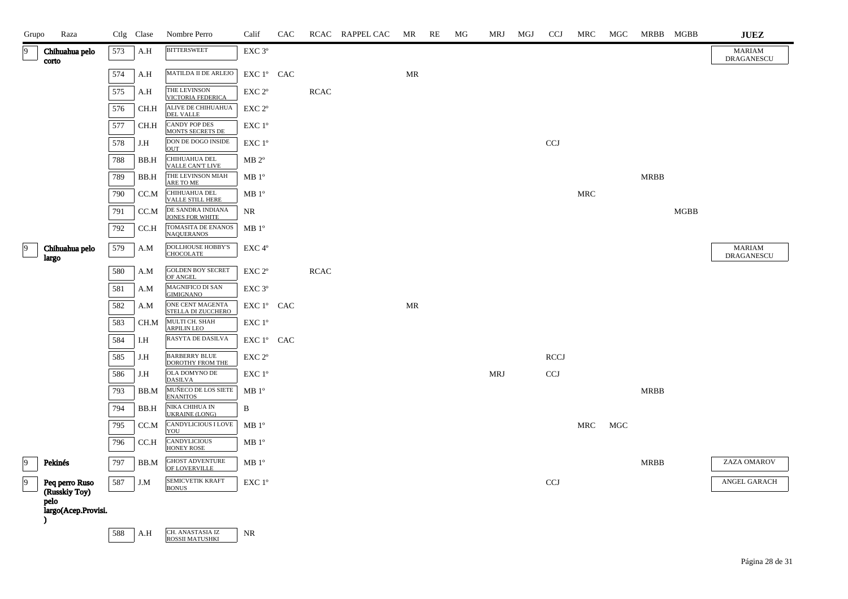| Grupo           | Raza                            |     | Ctlg Clase | Nombre Perro                                    | Calif              | CAC |             | RCAC RAPPEL CAC | MR | RE | MG | MRJ        | MGJ | <b>CCJ</b>  | MRC                  | MGC | MRBB MGBB   |             | $_{\rm JUEZ}$               |
|-----------------|---------------------------------|-----|------------|-------------------------------------------------|--------------------|-----|-------------|-----------------|----|----|----|------------|-----|-------------|----------------------|-----|-------------|-------------|-----------------------------|
| 9               | Chihuahua pelo<br>corto         | 573 | A.H        | <b>BITTERSWEET</b>                              | EXC 3°             |     |             |                 |    |    |    |            |     |             |                      |     |             |             | <b>MARIAM</b><br>DRAGANESCU |
|                 |                                 | 574 | A.H        | MATILDA II DE ARLEJO                            | EXC 1º CAC         |     |             |                 | MR |    |    |            |     |             |                      |     |             |             |                             |
|                 |                                 | 575 | A.H        | THE LEVINSON<br>VICTORIA FEDERICA               | EXC 2°             |     | <b>RCAC</b> |                 |    |    |    |            |     |             |                      |     |             |             |                             |
|                 |                                 | 576 | CH.H       | ALIVE DE CHIHUAHUA<br>DEL VALLE                 | EXC 2 <sup>o</sup> |     |             |                 |    |    |    |            |     |             |                      |     |             |             |                             |
|                 |                                 | 577 | CH.H       | <b>CANDY POP DES</b><br><b>MONTS SECRETS DE</b> | EXC 1°             |     |             |                 |    |    |    |            |     |             |                      |     |             |             |                             |
|                 |                                 | 578 | J.H        | DON DE DOGO INSIDE<br><b>OUT</b>                | EXC 1°             |     |             |                 |    |    |    |            |     | CCJ         |                      |     |             |             |                             |
|                 |                                 | 788 | BB.H       | CHIHUAHUA DEL<br>VALLE CAN'T LIVE               | $MB 2^{\circ}$     |     |             |                 |    |    |    |            |     |             |                      |     |             |             |                             |
|                 |                                 | 789 | BB.H       | THE LEVINSON MIAH<br>ARE TO ME                  | MB1°               |     |             |                 |    |    |    |            |     |             |                      |     | <b>MRBB</b> |             |                             |
|                 |                                 | 790 | CC.M       | CHIHUAHUA DEL<br>VALLE STILL HERE               | $MB1^{\circ}$      |     |             |                 |    |    |    |            |     |             | $\operatorname{MRC}$ |     |             |             |                             |
|                 |                                 | 791 | CC.M       | DE SANDRA INDIANA<br>JONES FOR WHITE            | NR                 |     |             |                 |    |    |    |            |     |             |                      |     |             | <b>MGBB</b> |                             |
|                 |                                 | 792 | CC.H       | TOMASITA DE ENANOS<br><b>NAQUERANOS</b>         | MB1°               |     |             |                 |    |    |    |            |     |             |                      |     |             |             |                             |
| 9               | Chihuahua pelo<br>largo         | 579 | A.M        | <b>DOLLHOUSE HOBBY'S</b><br><b>CHOCOLATE</b>    | EXC 4°             |     |             |                 |    |    |    |            |     |             |                      |     |             |             | <b>MARIAM</b><br>DRAGANESCU |
|                 |                                 | 580 | A.M        | <b>GOLDEN BOY SECRET</b><br>OF ANGEL            | EXC 2°             |     | <b>RCAC</b> |                 |    |    |    |            |     |             |                      |     |             |             |                             |
|                 |                                 | 581 | A.M        | MAGNIFICO DI SAN<br><b>GIMIGNANO</b>            | $EXC$ $3^{\circ}$  |     |             |                 |    |    |    |            |     |             |                      |     |             |             |                             |
|                 |                                 | 582 | A.M        | ONE CENT MAGENTA<br>STELLA DI ZUCCHERO          | EXC 1° CAC         |     |             |                 | MR |    |    |            |     |             |                      |     |             |             |                             |
|                 |                                 | 583 | CH.M       | MULTI CH. SHAH<br><b>ARPILIN LEO</b>            | EXC 1°             |     |             |                 |    |    |    |            |     |             |                      |     |             |             |                             |
|                 |                                 | 584 | I.H        | RASYTA DE DASILVA                               | EXC 1° CAC         |     |             |                 |    |    |    |            |     |             |                      |     |             |             |                             |
|                 |                                 | 585 | J.H        | <b>BARBERRY BLUE</b><br><b>DOROTHY FROM THE</b> | EXC 2 <sup>o</sup> |     |             |                 |    |    |    |            |     | <b>RCCJ</b> |                      |     |             |             |                             |
|                 |                                 | 586 | J.H        | OLA DOMYNO DE<br><b>DASILVA</b>                 | EXC 1°             |     |             |                 |    |    |    | <b>MRJ</b> |     | <b>CCJ</b>  |                      |     |             |             |                             |
|                 |                                 | 793 | BB.M       | MUÑECO DE LOS SIETE<br><b>ENANITOS</b>          | MB 1 <sup>o</sup>  |     |             |                 |    |    |    |            |     |             |                      |     | <b>MRBB</b> |             |                             |
|                 |                                 | 794 | BB.H       | NIKA CHIHUA IN<br><b>UKRAINE (LONG)</b>         | B                  |     |             |                 |    |    |    |            |     |             |                      |     |             |             |                             |
|                 |                                 | 795 | CC.M       | CANDYLICIOUS I LOVE<br>YOU                      | MB1°               |     |             |                 |    |    |    |            |     |             | MRC                  | MGC |             |             |                             |
|                 |                                 | 796 | CC.H       | <b>CANDYLICIOUS</b><br><b>HONEY ROSE</b>        | MB 1 <sup>o</sup>  |     |             |                 |    |    |    |            |     |             |                      |     |             |             |                             |
| $\overline{9}$  | Pekinés                         | 797 | BB.M       | GHOST ADVENTURE<br>OF LOVERVILLE                | $MB1^{\circ}$      |     |             |                 |    |    |    |            |     |             |                      |     | <b>MRBB</b> |             | ZAZA OMAROV                 |
| $\vert 9 \vert$ | Peq perro Ruso<br>(Russkiy Toy) | 587 | J.M        | SEMICVETIK KRAFT<br><b>BONUS</b>                | EXC 1°             |     |             |                 |    |    |    |            |     | <b>CCJ</b>  |                      |     |             |             | ANGEL GARACH                |
|                 | pelo<br>largo(Acep.Provisi.     |     |            |                                                 |                    |     |             |                 |    |    |    |            |     |             |                      |     |             |             |                             |
| $\lambda$       |                                 |     |            |                                                 |                    |     |             |                 |    |    |    |            |     |             |                      |     |             |             |                             |
|                 |                                 | 588 | A.H        | CH. ANASTASIA IZ<br><b>ROSSII MATUSHKI</b>      | NR.                |     |             |                 |    |    |    |            |     |             |                      |     |             |             |                             |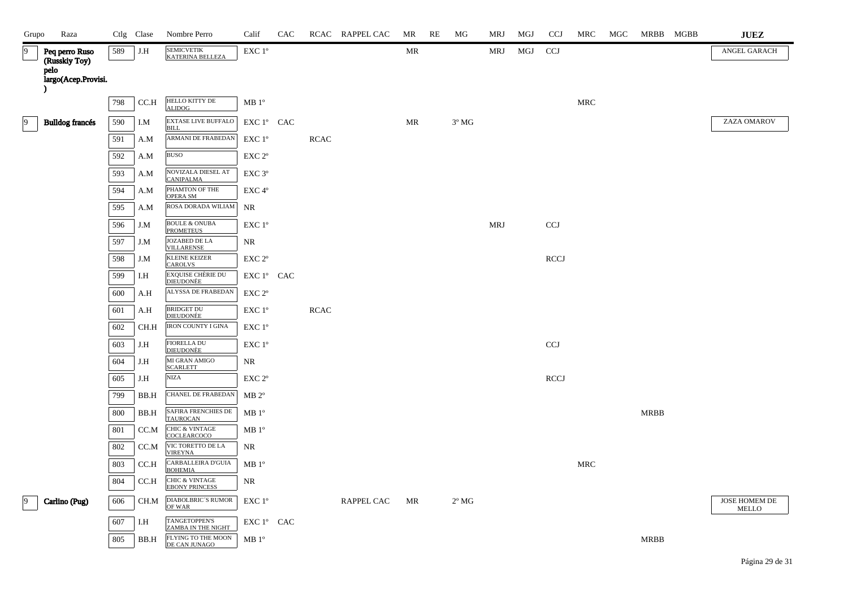| Grupo          | Raza                            |     | Ctlg Clase | Nombre Perro                                       | Calif              | CAC |             | RCAC RAPPEL CAC   | MR | RE | MG             | MRJ        | MGJ | <b>CCJ</b>  | MRC        | MGC |             | MRBB MGBB | $\mathbf{J}\mathbf{U}\mathbf{E}\mathbf{Z}$ |
|----------------|---------------------------------|-----|------------|----------------------------------------------------|--------------------|-----|-------------|-------------------|----|----|----------------|------------|-----|-------------|------------|-----|-------------|-----------|--------------------------------------------|
| 19             | Peq perro Ruso<br>(Russkiy Toy) | 589 | J.H        | <b>SEMICVETIK</b><br><b>KATERINA BELLEZA</b>       | EXC 1°             |     |             |                   | MR |    |                | MRJ        | MGJ | <b>CCI</b>  |            |     |             |           | ANGEL GARACH                               |
|                | pelo<br>largo(Acep.Provisi.     |     |            |                                                    |                    |     |             |                   |    |    |                |            |     |             |            |     |             |           |                                            |
|                |                                 | 798 | CC.H       | HELLO KITTY DE<br><b>ALIDOG</b>                    | MB 1 <sup>o</sup>  |     |             |                   |    |    |                |            |     |             | <b>MRC</b> |     |             |           |                                            |
| $\overline{9}$ | <b>Bulldog francés</b>          | 590 | I.M        | <b>EXTASE LIVE BUFFALO</b><br><b>BILL</b>          | EXC 1° CAC         |     |             |                   | MR |    | $3^{\circ}$ MG |            |     |             |            |     |             |           | ZAZA OMAROV                                |
|                |                                 | 591 | A.M        | ARMANI DE FRABEDAN                                 | EXC 1 <sup>o</sup> |     | <b>RCAC</b> |                   |    |    |                |            |     |             |            |     |             |           |                                            |
|                |                                 | 592 | A.M        | <b>BUSO</b>                                        | EXC 2 <sup>o</sup> |     |             |                   |    |    |                |            |     |             |            |     |             |           |                                            |
|                |                                 | 593 | A.M        | NOVIZALA DIESEL AT<br><b>CANIPALMA</b>             | EXC 3°             |     |             |                   |    |    |                |            |     |             |            |     |             |           |                                            |
|                |                                 | 594 | A.M        | PHAMTON OF THE<br>OPERA SM                         | EXC 4°             |     |             |                   |    |    |                |            |     |             |            |     |             |           |                                            |
|                |                                 | 595 | A.M        | ROSA DORADA WILIAM                                 | NR                 |     |             |                   |    |    |                |            |     |             |            |     |             |           |                                            |
|                |                                 | 596 | J.M        | <b>BOULE &amp; ONUBA</b><br><b>PROMETEUS</b>       | EXC 1°             |     |             |                   |    |    |                | <b>MRJ</b> |     | <b>CCJ</b>  |            |     |             |           |                                            |
|                |                                 | 597 | J.M        | JOZABED DE LA<br><b>VILLARENSE</b>                 | NR                 |     |             |                   |    |    |                |            |     |             |            |     |             |           |                                            |
|                |                                 | 598 | J.M        | <b>KLEINE KEIZER</b><br><b>CAROLVS</b>             | EXC 2°             |     |             |                   |    |    |                |            |     | <b>RCCJ</b> |            |     |             |           |                                            |
|                |                                 | 599 | I.H        | <b>EXQUISE CHÈRIE DU</b><br><b>DIEUDONÉE</b>       | EXC 1° CAC         |     |             |                   |    |    |                |            |     |             |            |     |             |           |                                            |
|                |                                 | 600 | A.H        | ALYSSA DE FRABEDAN                                 | EXC 2°             |     |             |                   |    |    |                |            |     |             |            |     |             |           |                                            |
|                |                                 | 601 | A.H        | <b>BRIDGET DU</b><br><b>DIEUDONÉE</b>              | EXC 1 <sup>o</sup> |     | <b>RCAC</b> |                   |    |    |                |            |     |             |            |     |             |           |                                            |
|                |                                 | 602 | CH.H       | IRON COUNTY I GINA                                 | EXC 1 <sup>o</sup> |     |             |                   |    |    |                |            |     |             |            |     |             |           |                                            |
|                |                                 | 603 | J.H        | <b>FIORELLA DU</b><br><b>DIEUDONÈE</b>             | EXC 1 <sup>o</sup> |     |             |                   |    |    |                |            |     | <b>CCJ</b>  |            |     |             |           |                                            |
|                |                                 | 604 | J.H        | MI GRAN AMIGO<br><b>SCARLETT</b>                   | NR                 |     |             |                   |    |    |                |            |     |             |            |     |             |           |                                            |
|                |                                 | 605 | J.H        | <b>NIZA</b>                                        | EXC 2 <sup>o</sup> |     |             |                   |    |    |                |            |     | <b>RCCJ</b> |            |     |             |           |                                            |
|                |                                 | 799 | BB.H       | CHANEL DE FRABEDAN                                 | $MB 2^{\circ}$     |     |             |                   |    |    |                |            |     |             |            |     |             |           |                                            |
|                |                                 | 800 | BB.H       | <b>SAFIRA FRENCHIES DE</b><br><b>TAUROCAN</b>      | $MB1^{\circ}$      |     |             |                   |    |    |                |            |     |             |            |     | <b>MRBB</b> |           |                                            |
|                |                                 | 801 | CC.M       | <b>CHIC &amp; VINTAGE</b><br><b>COCLEARCOCO</b>    | $MB1^{\circ}$      |     |             |                   |    |    |                |            |     |             |            |     |             |           |                                            |
|                |                                 | 802 | CC.M       | VIC TORETTO DE LA<br><b>VIREYNA</b>                | NR                 |     |             |                   |    |    |                |            |     |             |            |     |             |           |                                            |
|                |                                 | 803 | CC.H       | CARBALLEIRA D'GUIA<br><b>BOHEMIA</b>               | $MB1^{\circ}$      |     |             |                   |    |    |                |            |     |             | <b>MRC</b> |     |             |           |                                            |
|                |                                 | 804 | CC.H       | <b>CHIC &amp; VINTAGE</b><br><b>EBONY PRINCESS</b> | NR                 |     |             |                   |    |    |                |            |     |             |            |     |             |           |                                            |
| 19             | Carlino (Pug)                   | 606 | CH.M       | DIABOLBRIC'S RUMOR<br>OF WAR                       | EXC 1 <sup>o</sup> |     |             | <b>RAPPEL CAC</b> | MR |    | $2^{\circ}$ MG |            |     |             |            |     |             |           | JOSE HOMEM DE<br>MELLO                     |
|                |                                 | 607 | I.H        | TANGETOPPEN'S<br>ZAMBA IN THE NIGHT                | EXC 1° CAC         |     |             |                   |    |    |                |            |     |             |            |     |             |           |                                            |
|                |                                 | 805 | BB.H       | FLYING TO THE MOON<br>DE CAN JUNAGO                | MB 1 <sup>o</sup>  |     |             |                   |    |    |                |            |     |             |            |     | <b>MRBB</b> |           |                                            |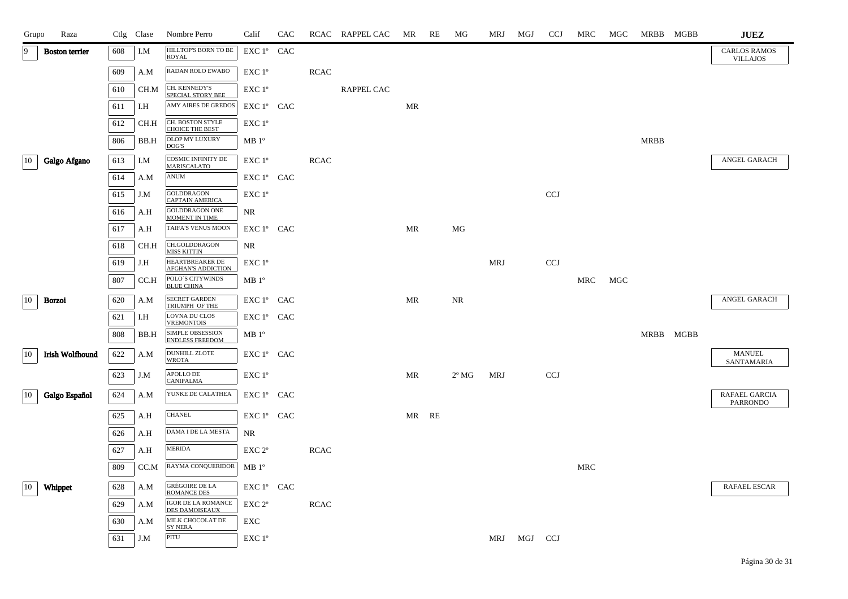| Grupo | Raza                   |     | Ctlg Clase | Nombre Perro                                      | Calif              | CAC |             | RCAC RAPPEL CAC | MR        | RE    | MG             | MRJ        | MGJ     | <b>CCJ</b>                | MRC | MGC |      | MRBB MGBB | ${\bf JUEZ}$                           |
|-------|------------------------|-----|------------|---------------------------------------------------|--------------------|-----|-------------|-----------------|-----------|-------|----------------|------------|---------|---------------------------|-----|-----|------|-----------|----------------------------------------|
| 9     | <b>Boston</b> terrier  | 608 | I.M        | HILLTOP'S BORN TO BE<br><b>ROYAL</b>              | EXC 1º CAC         |     |             |                 |           |       |                |            |         |                           |     |     |      |           | <b>CARLOS RAMOS</b><br><b>VILLAJOS</b> |
|       |                        | 609 | A.M        | RADAN ROLO EWABO                                  | EXC 1°             |     | <b>RCAC</b> |                 |           |       |                |            |         |                           |     |     |      |           |                                        |
|       |                        | 610 | CH.M       | CH. KENNEDY'S<br>SPECIAL STORY BEE                | EXC 1°             |     |             | RAPPEL CAC      |           |       |                |            |         |                           |     |     |      |           |                                        |
|       |                        | 611 | I.H        | AMY AIRES DE GREDOS                               | EXC 1° CAC         |     |             |                 | MR        |       |                |            |         |                           |     |     |      |           |                                        |
|       |                        | 612 | CH.H       | CH. BOSTON STYLE<br><b>CHOICE THE BEST</b>        | EXC 1°             |     |             |                 |           |       |                |            |         |                           |     |     |      |           |                                        |
|       |                        | 806 | BB.H       | OLOP MY LUXURY<br>DOG'S                           | $MB1^{\circ}$      |     |             |                 |           |       |                |            |         |                           |     |     | MRBB |           |                                        |
| 10    | Galgo Afgano           | 613 | I.M        | <b>COSMIC INFINITY DE</b><br>MARISCALATO          | EXC 1°             |     | <b>RCAC</b> |                 |           |       |                |            |         |                           |     |     |      |           | ANGEL GARACH                           |
|       |                        | 614 | A.M        | <b>ANUM</b>                                       | EXC 1° CAC         |     |             |                 |           |       |                |            |         |                           |     |     |      |           |                                        |
|       |                        | 615 | J.M        | <b>GOLDDRAGON</b><br>CAPTAIN AMERICA              | EXC 1°             |     |             |                 |           |       |                |            |         | CCJ                       |     |     |      |           |                                        |
|       |                        | 616 | A.H        | GOLDDRAGON ONE<br><b>MOMENT IN TIME</b>           | NR                 |     |             |                 |           |       |                |            |         |                           |     |     |      |           |                                        |
|       |                        | 617 | A.H        | TAIFA'S VENUS MOON                                | EXC 1° CAC         |     |             |                 | <b>MR</b> |       | MG             |            |         |                           |     |     |      |           |                                        |
|       |                        | 618 | CH.H       | CH.GOLDDRAGON<br><b>MISS KITTIN</b>               | NR                 |     |             |                 |           |       |                |            |         |                           |     |     |      |           |                                        |
|       |                        | 619 | J.H        | HEARTBREAKER DE<br><b>AFGHAN'S ADDICTION</b>      | EXC 1°             |     |             |                 |           |       |                | <b>MRJ</b> |         | <b>CCJ</b>                |     |     |      |           |                                        |
|       |                        | 807 | CC.H       | POLO'S CITYWINDS<br><b>BLUE CHINA</b>             | $MB 1^{\circ}$     |     |             |                 |           |       |                |            |         |                           | MRC | MGC |      |           |                                        |
| 10    | <b>Borzoi</b>          | 620 | A.M        | SECRET GARDEN<br>TRIUMPH OF THE                   | EXC 1° CAC         |     |             |                 | <b>MR</b> |       | NR             |            |         |                           |     |     |      |           | ANGEL GARACH                           |
|       |                        | 621 | I.H        | <b>LOVNA DU CLOS</b><br><b>VREMONTOIS</b>         | EXC 1° CAC         |     |             |                 |           |       |                |            |         |                           |     |     |      |           |                                        |
|       |                        | 808 | BB.H       | <b>SIMPLE OBSESSION</b><br><b>ENDLESS FREEDOM</b> | $MB1^{\circ}$      |     |             |                 |           |       |                |            |         |                           |     |     |      | MRBB MGBB |                                        |
| 10    | <b>Irish Wolfhound</b> | 622 | A.M        | DUNHILL ZLOTE<br><b>WROTA</b>                     | EXC 1° CAC         |     |             |                 |           |       |                |            |         |                           |     |     |      |           | <b>MANUEL</b><br>SANTAMARIA            |
|       |                        | 623 | J.M        | APOLLO DE<br><b>CANIPALMA</b>                     | EXC 1°             |     |             |                 | MR        |       | $2^{\circ}$ MG | <b>MRJ</b> |         | $\ensuremath{\text{CCJ}}$ |     |     |      |           |                                        |
| 10    | Galgo Español          | 624 | A.M        | YUNKE DE CALATHEA                                 | EXC 1° CAC         |     |             |                 |           |       |                |            |         |                           |     |     |      |           | RAFAEL GARCIA<br><b>PARRONDO</b>       |
|       |                        | 625 | A.H        | <b>CHANEL</b>                                     | EXC 1° CAC         |     |             |                 |           | MR RE |                |            |         |                           |     |     |      |           |                                        |
|       |                        | 626 | A.H        | DAMA I DE LA MESTA                                | NR                 |     |             |                 |           |       |                |            |         |                           |     |     |      |           |                                        |
|       |                        | 627 | A.H        | <b>MERIDA</b>                                     | EXC 2 <sup>o</sup> |     | <b>RCAC</b> |                 |           |       |                |            |         |                           |     |     |      |           |                                        |
|       |                        | 809 | CC.M       | RAYMA CONQUERIDOR                                 | $MB1^{\circ}$      |     |             |                 |           |       |                |            |         |                           | MRC |     |      |           |                                        |
| 10    | Whippet                | 628 | A.M        | <b>GRÉGOIRE DE LA</b>                             | EXC 1° CAC         |     |             |                 |           |       |                |            |         |                           |     |     |      |           | RAFAEL ESCAR                           |
|       |                        | 629 | A.M        | <b>ROMANCE DES</b><br>IGOR DE LA ROMANCE          | EXC 2 <sup>o</sup> |     | <b>RCAC</b> |                 |           |       |                |            |         |                           |     |     |      |           |                                        |
|       |                        | 630 | A.M        | <b>DES DAMOISEAUX</b><br>MILK CHOCOLAT DE         | EXC                |     |             |                 |           |       |                |            |         |                           |     |     |      |           |                                        |
|       |                        | 631 | J.M        | <b>SYNERA</b><br>PITU                             | EXC 1°             |     |             |                 |           |       |                | MRJ        | MGJ CCJ |                           |     |     |      |           |                                        |